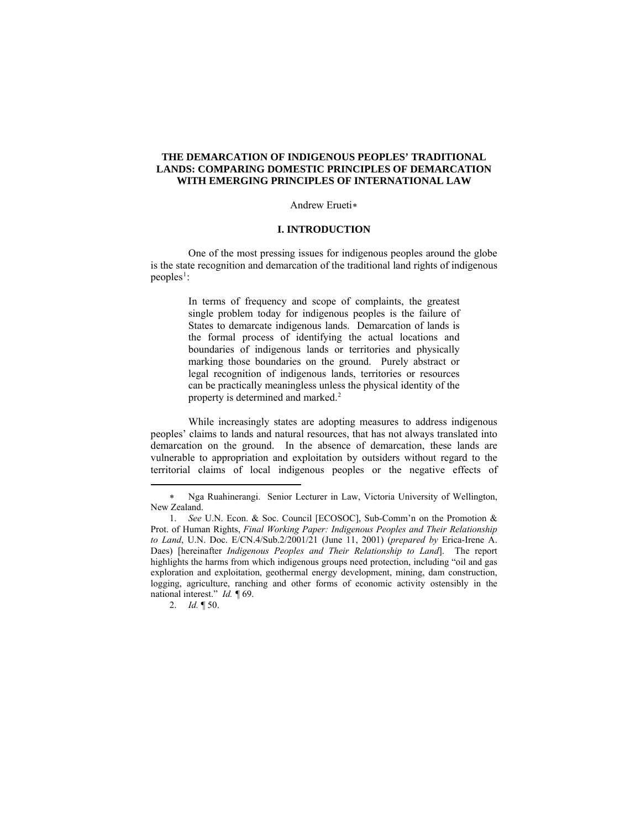# **THE DEMARCATION OF INDIGENOUS PEOPLES' TRADITIONAL LANDS: COMPARING DOMESTIC PRINCIPLES OF DEMARCATION WITH EMERGING PRINCIPLES OF INTERNATIONAL LAW**

#### Andrew Erueti[∗](#page-0-0)

#### **I. INTRODUCTION**

One of the most pressing issues for indigenous peoples around the globe is the state recognition and demarcation of the traditional land rights of indigenous  $peoples<sup>1</sup>$  $peoples<sup>1</sup>$  $peoples<sup>1</sup>$ :

> In terms of frequency and scope of complaints, the greatest single problem today for indigenous peoples is the failure of States to demarcate indigenous lands. Demarcation of lands is the formal process of identifying the actual locations and boundaries of indigenous lands or territories and physically marking those boundaries on the ground. Purely abstract or legal recognition of indigenous lands, territories or resources can be practically meaningless unless the physical identity of the property is determined and marked.<sup>[2](#page-0-2)</sup>

While increasingly states are adopting measures to address indigenous peoples' claims to lands and natural resources, that has not always translated into demarcation on the ground. In the absence of demarcation, these lands are vulnerable to appropriation and exploitation by outsiders without regard to the territorial claims of local indigenous peoples or the negative effects of

<span id="page-0-2"></span>2. *Id.* ¶ 50.

 $\overline{a}$ 

<sup>∗</sup> Nga Ruahinerangi. Senior Lecturer in Law, Victoria University of Wellington, New Zealand.

<span id="page-0-1"></span><span id="page-0-0"></span><sup>1.</sup> *See* U.N. Econ. & Soc. Council [ECOSOC], Sub-Comm'n on the Promotion & Prot. of Human Rights, *Final Working Paper: Indigenous Peoples and Their Relationship to Land*, U.N. Doc. E/CN.4/Sub.2/2001/21 (June 11, 2001) (*prepared by* Erica-Irene A. Daes) [hereinafter *Indigenous Peoples and Their Relationship to Land*]. The report highlights the harms from which indigenous groups need protection, including "oil and gas exploration and exploitation, geothermal energy development, mining, dam construction, logging, agriculture, ranching and other forms of economic activity ostensibly in the national interest." *Id. ¶* 69.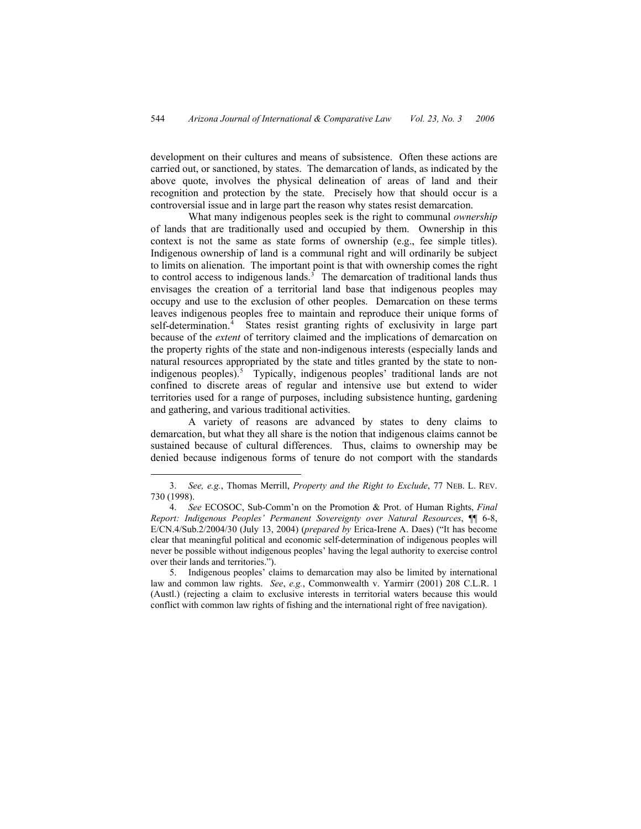development on their cultures and means of subsistence. Often these actions are carried out, or sanctioned, by states. The demarcation of lands, as indicated by the above quote, involves the physical delineation of areas of land and their recognition and protection by the state. Precisely how that should occur is a controversial issue and in large part the reason why states resist demarcation.

What many indigenous peoples seek is the right to communal *ownership* of lands that are traditionally used and occupied by them. Ownership in this context is not the same as state forms of ownership (e.g., fee simple titles). Indigenous ownership of land is a communal right and will ordinarily be subject to limits on alienation. The important point is that with ownership comes the right to control access to indigenous lands.<sup>[3](#page-1-0)</sup> The demarcation of traditional lands thus envisages the creation of a territorial land base that indigenous peoples may occupy and use to the exclusion of other peoples. Demarcation on these terms leaves indigenous peoples free to maintain and reproduce their unique forms of self-determination.<sup>[4](#page-1-1)</sup> States resist granting rights of exclusivity in large part because of the *extent* of territory claimed and the implications of demarcation on the property rights of the state and non-indigenous interests (especially lands and natural resources appropriated by the state and titles granted by the state to non-indigenous peoples).<sup>[5](#page-1-2)</sup> Typically, indigenous peoples' traditional lands are not confined to discrete areas of regular and intensive use but extend to wider territories used for a range of purposes, including subsistence hunting, gardening and gathering, and various traditional activities.

A variety of reasons are advanced by states to deny claims to demarcation, but what they all share is the notion that indigenous claims cannot be sustained because of cultural differences. Thus, claims to ownership may be denied because indigenous forms of tenure do not comport with the standards

 <sup>3.</sup> *See, e.g.*, Thomas Merrill, *Property and the Right to Exclude*, 77 NEB. L. REV. 730 (1998).

<sup>4.</sup> *See* ECOSOC, Sub-Comm'n on the Promotion & Prot. of Human Rights, *Final Report: Indigenous Peoples' Permanent Sovereignty over Natural Resources*, ¶¶ 6-8, E/CN.4/Sub.2/2004/30 (July 13, 2004) (*prepared by* Erica-Irene A. Daes) ("It has become clear that meaningful political and economic self-determination of indigenous peoples will never be possible without indigenous peoples' having the legal authority to exercise control over their lands and territories.").

<span id="page-1-2"></span><span id="page-1-1"></span><span id="page-1-0"></span><sup>5.</sup> Indigenous peoples' claims to demarcation may also be limited by international law and common law rights. *See*, *e.g.*, Commonwealth v. Yarmirr (2001) 208 C.L.R. 1 (Austl.) (rejecting a claim to exclusive interests in territorial waters because this would conflict with common law rights of fishing and the international right of free navigation).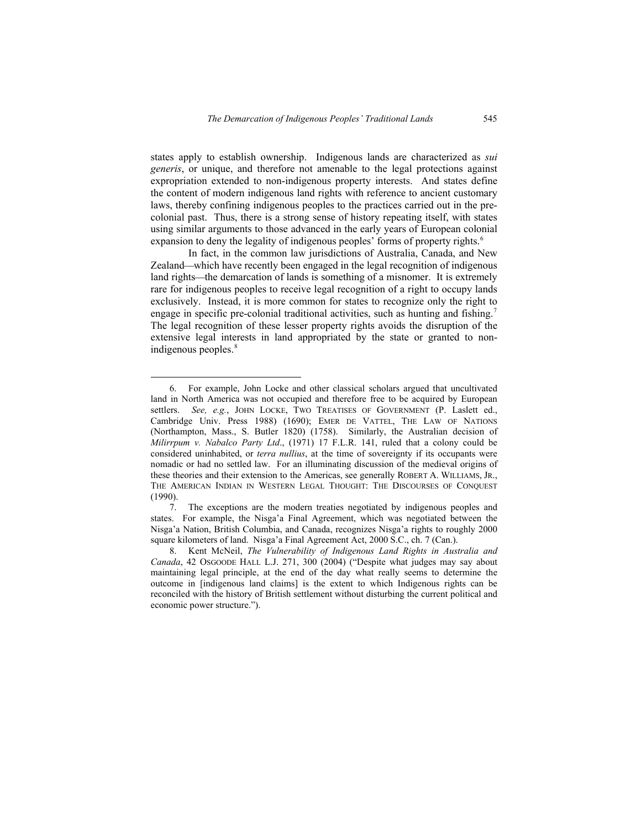states apply to establish ownership. Indigenous lands are characterized as *sui generis*, or unique, and therefore not amenable to the legal protections against expropriation extended to non-indigenous property interests. And states define the content of modern indigenous land rights with reference to ancient customary laws, thereby confining indigenous peoples to the practices carried out in the precolonial past. Thus, there is a strong sense of history repeating itself, with states using similar arguments to those advanced in the early years of European colonial expansion to deny the legality of indigenous peoples' forms of property rights.<sup>[6](#page-2-0)</sup>

In fact, in the common law jurisdictions of Australia, Canada, and New Zealand—which have recently been engaged in the legal recognition of indigenous land rights—the demarcation of lands is something of a misnomer. It is extremely rare for indigenous peoples to receive legal recognition of a right to occupy lands exclusively. Instead, it is more common for states to recognize only the right to engage in specific pre-colonial traditional activities, such as hunting and fishing.<sup>[7](#page-2-1)</sup> The legal recognition of these lesser property rights avoids the disruption of the extensive legal interests in land appropriated by the state or granted to non-indigenous peoples.<sup>[8](#page-2-2)</sup>

 <sup>6.</sup> For example, John Locke and other classical scholars argued that uncultivated land in North America was not occupied and therefore free to be acquired by European settlers. *See, e.g.*, JOHN LOCKE, TWO TREATISES OF GOVERNMENT (P. Laslett ed., Cambridge Univ. Press 1988) (1690); EMER DE VATTEL, THE LAW OF NATIONS (Northampton, Mass., S. Butler 1820) (1758). Similarly, the Australian decision of *Milirrpum v. Nabalco Party Ltd*., (1971) 17 F.L.R. 141, ruled that a colony could be considered uninhabited, or *terra nullius*, at the time of sovereignty if its occupants were nomadic or had no settled law. For an illuminating discussion of the medieval origins of these theories and their extension to the Americas, see generally ROBERT A. WILLIAMS, JR., THE AMERICAN INDIAN IN WESTERN LEGAL THOUGHT: THE DISCOURSES OF CONQUEST (1990).

<span id="page-2-0"></span><sup>7.</sup> The exceptions are the modern treaties negotiated by indigenous peoples and states. For example, the Nisga'a Final Agreement, which was negotiated between the Nisga'a Nation, British Columbia, and Canada, recognizes Nisga'a rights to roughly 2000 square kilometers of land. Nisga'a Final Agreement Act, 2000 S.C., ch. 7 (Can.).

<span id="page-2-2"></span><span id="page-2-1"></span><sup>8.</sup> Kent McNeil, *The Vulnerability of Indigenous Land Rights in Australia and Canada*, 42 OSGOODE HALL L.J. 271, 300 (2004) ("Despite what judges may say about maintaining legal principle, at the end of the day what really seems to determine the outcome in [indigenous land claims] is the extent to which Indigenous rights can be reconciled with the history of British settlement without disturbing the current political and economic power structure.").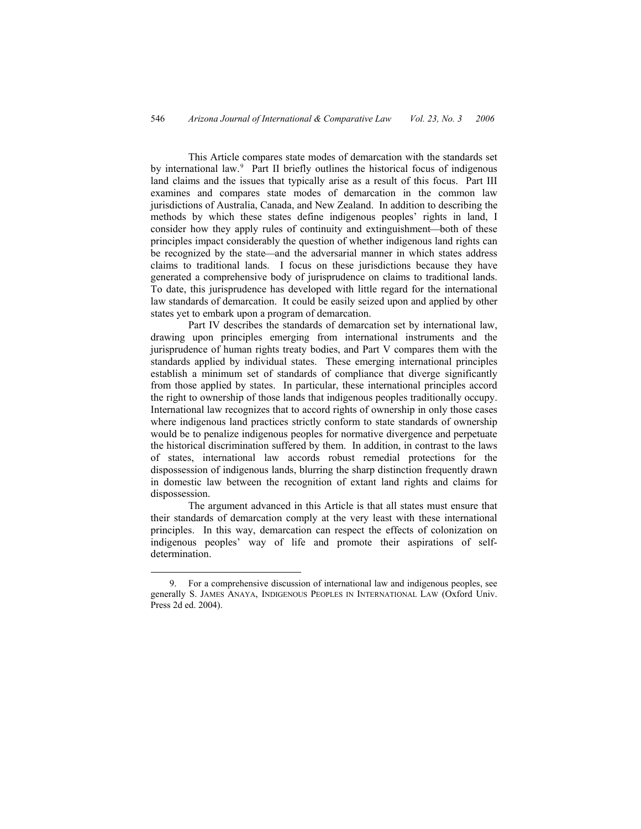This Article compares state modes of demarcation with the standards set by international law.<sup>[9](#page-3-0)</sup> Part II briefly outlines the historical focus of indigenous land claims and the issues that typically arise as a result of this focus. Part III examines and compares state modes of demarcation in the common law jurisdictions of Australia, Canada, and New Zealand. In addition to describing the methods by which these states define indigenous peoples' rights in land, I consider how they apply rules of continuity and extinguishment—both of these principles impact considerably the question of whether indigenous land rights can be recognized by the state—and the adversarial manner in which states address claims to traditional lands. I focus on these jurisdictions because they have generated a comprehensive body of jurisprudence on claims to traditional lands. To date, this jurisprudence has developed with little regard for the international law standards of demarcation. It could be easily seized upon and applied by other states yet to embark upon a program of demarcation.

Part IV describes the standards of demarcation set by international law, drawing upon principles emerging from international instruments and the jurisprudence of human rights treaty bodies, and Part V compares them with the standards applied by individual states. These emerging international principles establish a minimum set of standards of compliance that diverge significantly from those applied by states. In particular, these international principles accord the right to ownership of those lands that indigenous peoples traditionally occupy. International law recognizes that to accord rights of ownership in only those cases where indigenous land practices strictly conform to state standards of ownership would be to penalize indigenous peoples for normative divergence and perpetuate the historical discrimination suffered by them. In addition, in contrast to the laws of states, international law accords robust remedial protections for the dispossession of indigenous lands, blurring the sharp distinction frequently drawn in domestic law between the recognition of extant land rights and claims for dispossession.

The argument advanced in this Article is that all states must ensure that their standards of demarcation comply at the very least with these international principles. In this way, demarcation can respect the effects of colonization on indigenous peoples' way of life and promote their aspirations of selfdetermination.

<span id="page-3-0"></span> <sup>9.</sup> For a comprehensive discussion of international law and indigenous peoples, see generally S. JAMES ANAYA, INDIGENOUS PEOPLES IN INTERNATIONAL LAW (Oxford Univ. Press 2d ed. 2004).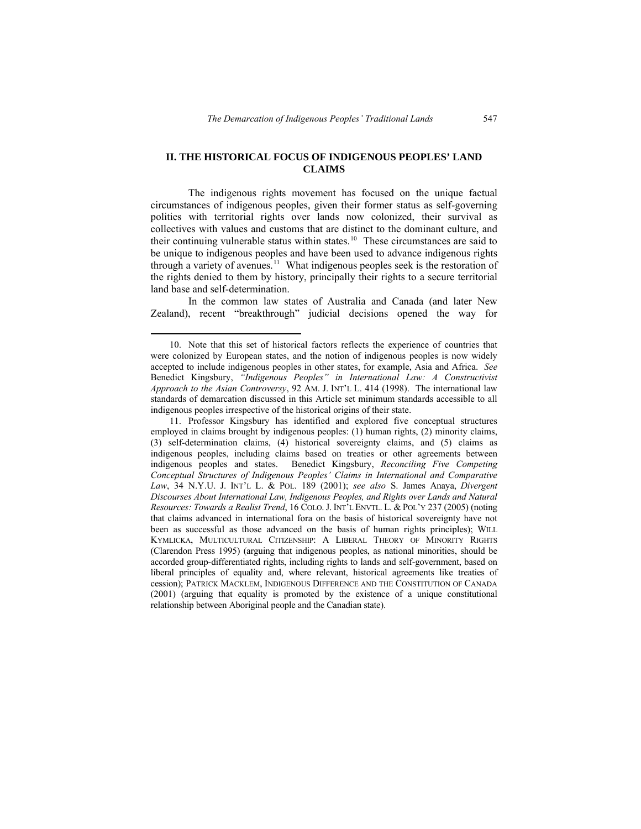# **II. THE HISTORICAL FOCUS OF INDIGENOUS PEOPLES' LAND CLAIMS**

The indigenous rights movement has focused on the unique factual circumstances of indigenous peoples, given their former status as self-governing polities with territorial rights over lands now colonized, their survival as collectives with values and customs that are distinct to the dominant culture, and their continuing vulnerable status within states.<sup>[10](#page-4-0)</sup> These circumstances are said to be unique to indigenous peoples and have been used to advance indigenous rights through a variety of avenues.<sup>[11](#page-4-1)</sup> What indigenous peoples seek is the restoration of the rights denied to them by history, principally their rights to a secure territorial land base and self-determination.

In the common law states of Australia and Canada (and later New Zealand), recent "breakthrough" judicial decisions opened the way for

 <sup>10.</sup> Note that this set of historical factors reflects the experience of countries that were colonized by European states, and the notion of indigenous peoples is now widely accepted to include indigenous peoples in other states, for example, Asia and Africa. *See* Benedict Kingsbury, *"Indigenous Peoples" in International Law: A Constructivist Approach to the Asian Controversy*, 92 AM. J. INT'L L. 414 (1998). The international law standards of demarcation discussed in this Article set minimum standards accessible to all indigenous peoples irrespective of the historical origins of their state.

<span id="page-4-1"></span><span id="page-4-0"></span><sup>11.</sup> Professor Kingsbury has identified and explored five conceptual structures employed in claims brought by indigenous peoples: (1) human rights, (2) minority claims, (3) self-determination claims, (4) historical sovereignty claims, and (5) claims as indigenous peoples, including claims based on treaties or other agreements between indigenous peoples and states. Benedict Kingsbury, *Reconciling Five Competing Conceptual Structures of Indigenous Peoples' Claims in International and Comparative Law*, 34 N.Y.U. J. INT'L L. & POL. 189 (2001); *see also* S. James Anaya, *Divergent Discourses About International Law, Indigenous Peoples, and Rights over Lands and Natural Resources: Towards a Realist Trend*, 16 COLO.J. INT'L ENVTL. L. & POL'Y 237 (2005) (noting that claims advanced in international fora on the basis of historical sovereignty have not been as successful as those advanced on the basis of human rights principles); WILL KYMLICKA, MULTICULTURAL CITIZENSHIP: A LIBERAL THEORY OF MINORITY RIGHTS (Clarendon Press 1995) (arguing that indigenous peoples, as national minorities, should be accorded group-differentiated rights, including rights to lands and self-government, based on liberal principles of equality and, where relevant, historical agreements like treaties of cession); PATRICK MACKLEM, INDIGENOUS DIFFERENCE AND THE CONSTITUTION OF CANADA (2001) (arguing that equality is promoted by the existence of a unique constitutional relationship between Aboriginal people and the Canadian state).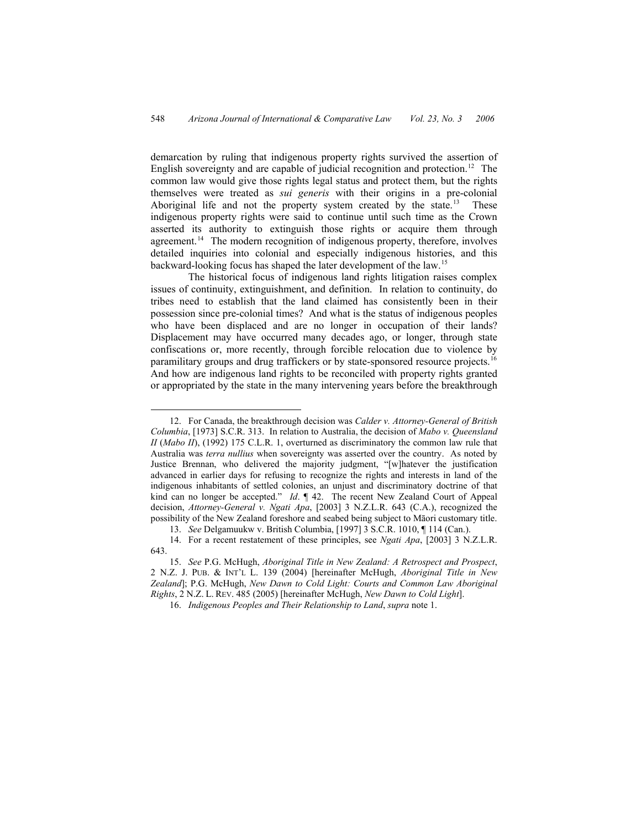demarcation by ruling that indigenous property rights survived the assertion of English sovereignty and are capable of judicial recognition and protection.<sup>[12](#page-5-0)</sup> The common law would give those rights legal status and protect them, but the rights themselves were treated as *sui generis* with their origins in a pre-colonial Aboriginal life and not the property system created by the state.<sup>[13](#page-5-1)</sup> These indigenous property rights were said to continue until such time as the Crown asserted its authority to extinguish those rights or acquire them through agreement.<sup>[14](#page-5-2)</sup> The modern recognition of indigenous property, therefore, involves detailed inquiries into colonial and especially indigenous histories, and this backward-looking focus has shaped the later development of the law.[15](#page-5-3)

The historical focus of indigenous land rights litigation raises complex issues of continuity, extinguishment, and definition. In relation to continuity, do tribes need to establish that the land claimed has consistently been in their possession since pre-colonial times? And what is the status of indigenous peoples who have been displaced and are no longer in occupation of their lands? Displacement may have occurred many decades ago, or longer, through state confiscations or, more recently, through forcible relocation due to violence by paramilitary groups and drug traffickers or by state-sponsored resource projects.<sup>[16](#page-5-4)</sup> And how are indigenous land rights to be reconciled with property rights granted or appropriated by the state in the many intervening years before the breakthrough

 <sup>12.</sup> For Canada, the breakthrough decision was *Calder v. Attorney-General of British Columbia*, [1973] S.C.R. 313. In relation to Australia, the decision of *Mabo v. Queensland II (Mabo II)*, (1992) 175 C.L.R. 1, overturned as discriminatory the common law rule that Australia was *terra nullius* when sovereignty was asserted over the country. As noted by Justice Brennan, who delivered the majority judgment, "[w]hatever the justification advanced in earlier days for refusing to recognize the rights and interests in land of the indigenous inhabitants of settled colonies, an unjust and discriminatory doctrine of that kind can no longer be accepted." *Id*. ¶ 42. The recent New Zealand Court of Appeal decision, *Attorney-General v. Ngati Apa*, [2003] 3 N.Z.L.R. 643 (C.A.), recognized the possibility of the New Zealand foreshore and seabed being subject to Māori customary title.

<sup>13.</sup> *See* Delgamuukw v. British Columbia, [1997] 3 S.C.R. 1010, ¶ 114 (Can.).

<span id="page-5-0"></span><sup>14.</sup> For a recent restatement of these principles, see *Ngati Apa*, [2003] 3 N.Z.L.R. 643.

<span id="page-5-3"></span><span id="page-5-2"></span><span id="page-5-1"></span><sup>15.</sup> *See* P.G. McHugh, *Aboriginal Title in New Zealand: A Retrospect and Prospect*, 2 N.Z. J. PUB. & INT'L L. 139 (2004) [hereinafter McHugh, *Aboriginal Title in New Zealand*]; P.G. McHugh, *New Dawn to Cold Light: Courts and Common Law Aboriginal Rights*, 2 N.Z. L. REV. 485 (2005) [hereinafter McHugh, *New Dawn to Cold Light*].

<span id="page-5-4"></span><sup>16.</sup> *Indigenous Peoples and Their Relationship to Land*, *supra* note 1.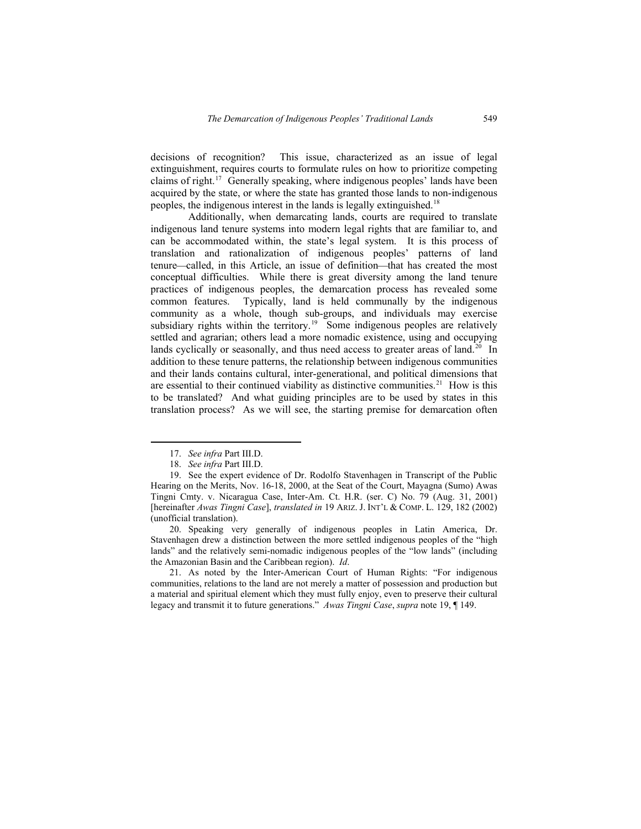decisions of recognition? This issue, characterized as an issue of legal extinguishment, requires courts to formulate rules on how to prioritize competing claims of right.[17](#page-6-0) Generally speaking, where indigenous peoples' lands have been acquired by the state, or where the state has granted those lands to non-indigenous peoples, the indigenous interest in the lands is legally extinguished.[18](#page-6-1)

Additionally, when demarcating lands, courts are required to translate indigenous land tenure systems into modern legal rights that are familiar to, and can be accommodated within, the state's legal system. It is this process of translation and rationalization of indigenous peoples' patterns of land tenure—called, in this Article, an issue of definition—that has created the most conceptual difficulties. While there is great diversity among the land tenure practices of indigenous peoples, the demarcation process has revealed some common features. Typically, land is held communally by the indigenous community as a whole, though sub-groups, and individuals may exercise subsidiary rights within the territory.<sup>[19](#page-6-2)</sup> Some indigenous peoples are relatively settled and agrarian; others lead a more nomadic existence, using and occupying lands cyclically or seasonally, and thus need access to greater areas of land.<sup>[20](#page-6-3)</sup> In addition to these tenure patterns, the relationship between indigenous communities and their lands contains cultural, inter-generational, and political dimensions that are essential to their continued viability as distinctive communities.<sup>[21](#page-6-4)</sup> How is this to be translated? And what guiding principles are to be used by states in this translation process? As we will see, the starting premise for demarcation often

<span id="page-6-2"></span><span id="page-6-1"></span><span id="page-6-0"></span>20. Speaking very generally of indigenous peoples in Latin America, Dr. Stavenhagen drew a distinction between the more settled indigenous peoples of the "high lands" and the relatively semi-nomadic indigenous peoples of the "low lands" (including the Amazonian Basin and the Caribbean region). *Id*.

<span id="page-6-4"></span><span id="page-6-3"></span>21. As noted by the Inter-American Court of Human Rights: "For indigenous communities, relations to the land are not merely a matter of possession and production but a material and spiritual element which they must fully enjoy, even to preserve their cultural legacy and transmit it to future generations." *Awas Tingni Case*, *supra* note 19, ¶ 149.

 <sup>17.</sup> *See infra* Part III.D.

<sup>18.</sup> *See infra* Part III.D.

<sup>19.</sup> See the expert evidence of Dr. Rodolfo Stavenhagen in Transcript of the Public Hearing on the Merits, Nov. 16-18, 2000, at the Seat of the Court, Mayagna (Sumo) Awas Tingni Cmty. v. Nicaragua Case, Inter-Am. Ct. H.R. (ser. C) No. 79 (Aug. 31, 2001) [hereinafter *Awas Tingni Case*], *translated in* 19 ARIZ. J. INT'L & COMP. L. 129, 182 (2002) (unofficial translation).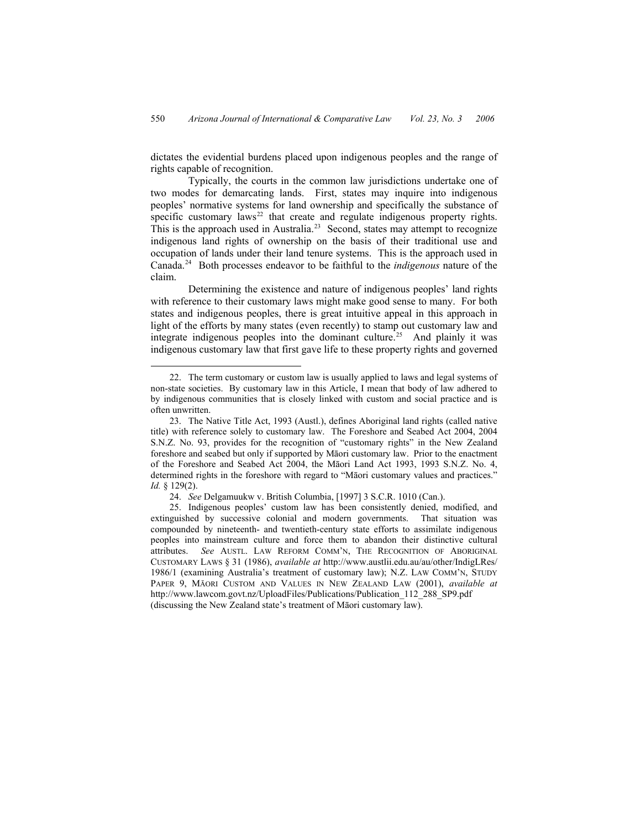dictates the evidential burdens placed upon indigenous peoples and the range of rights capable of recognition.

Typically, the courts in the common law jurisdictions undertake one of two modes for demarcating lands. First, states may inquire into indigenous peoples' normative systems for land ownership and specifically the substance of specific customary laws<sup>[22](#page-7-0)</sup> that create and regulate indigenous property rights. This is the approach used in Australia.<sup>[23](#page-7-1)</sup> Second, states may attempt to recognize indigenous land rights of ownership on the basis of their traditional use and occupation of lands under their land tenure systems. This is the approach used in Canada.[24](#page-7-2) Both processes endeavor to be faithful to the *indigenous* nature of the claim.

Determining the existence and nature of indigenous peoples' land rights with reference to their customary laws might make good sense to many. For both states and indigenous peoples, there is great intuitive appeal in this approach in light of the efforts by many states (even recently) to stamp out customary law and integrate indigenous peoples into the dominant culture.<sup>[25](#page-7-3)</sup> And plainly it was indigenous customary law that first gave life to these property rights and governed

 <sup>22.</sup> The term customary or custom law is usually applied to laws and legal systems of non-state societies. By customary law in this Article, I mean that body of law adhered to by indigenous communities that is closely linked with custom and social practice and is often unwritten.

<span id="page-7-0"></span><sup>23.</sup> The Native Title Act, 1993 (Austl.), defines Aboriginal land rights (called native title) with reference solely to customary law. The Foreshore and Seabed Act 2004, 2004 S.N.Z. No. 93, provides for the recognition of "customary rights" in the New Zealand foreshore and seabed but only if supported by Māori customary law. Prior to the enactment of the Foreshore and Seabed Act 2004, the Māori Land Act 1993, 1993 S.N.Z. No. 4, determined rights in the foreshore with regard to "Māori customary values and practices." *Id.* § 129(2).

<sup>24.</sup> *See* Delgamuukw v. British Columbia, [1997] 3 S.C.R. 1010 (Can.).

<span id="page-7-3"></span><span id="page-7-2"></span><span id="page-7-1"></span><sup>25.</sup> Indigenous peoples' custom law has been consistently denied, modified, and extinguished by successive colonial and modern governments. That situation was compounded by nineteenth- and twentieth-century state efforts to assimilate indigenous peoples into mainstream culture and force them to abandon their distinctive cultural attributes. *See* AUSTL. LAW REFORM COMM'N, THE RECOGNITION OF ABORIGINAL CUSTOMARY LAWS § 31 (1986), *available at* http://www.austlii.edu.au/au/other/IndigLRes/ 1986/1 (examining Australia's treatment of customary law); N.Z. LAW COMM'N, STUDY PAPER 9, MĀORI CUSTOM AND VALUES IN NEW ZEALAND LAW (2001), *available at* http://www.lawcom.govt.nz/UploadFiles/Publications/Publication\_112\_288\_SP9.pdf (discussing the New Zealand state's treatment of Māori customary law).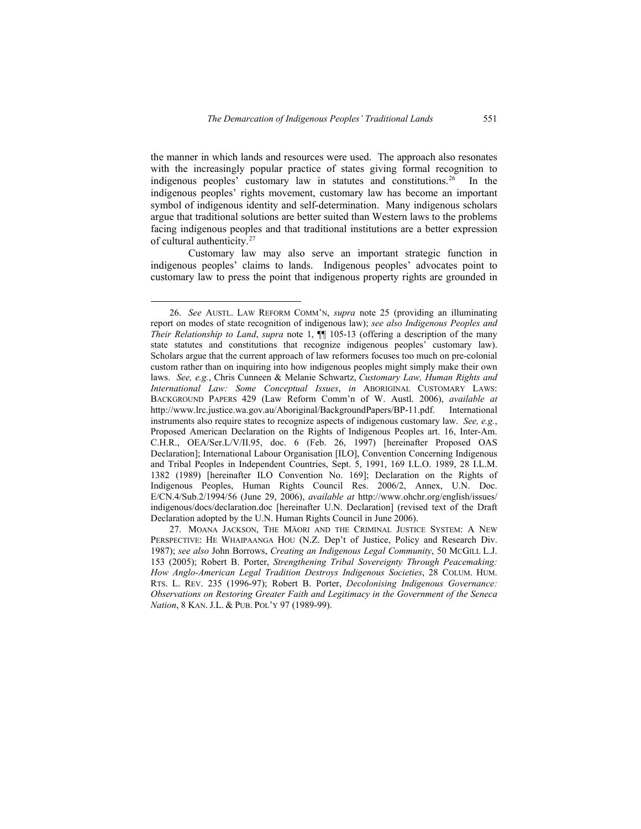the manner in which lands and resources were used. The approach also resonates with the increasingly popular practice of states giving formal recognition to indigenous peoples' customary law in statutes and constitutions.<sup>[26](#page-8-0)</sup> In the indigenous peoples' rights movement, customary law has become an important symbol of indigenous identity and self-determination. Many indigenous scholars argue that traditional solutions are better suited than Western laws to the problems facing indigenous peoples and that traditional institutions are a better expression of cultural authenticity.[27](#page-8-1)

Customary law may also serve an important strategic function in indigenous peoples' claims to lands. Indigenous peoples' advocates point to customary law to press the point that indigenous property rights are grounded in

<span id="page-8-0"></span> <sup>26.</sup> *See* AUSTL. LAW REFORM COMM'N, *supra* note 25 (providing an illuminating report on modes of state recognition of indigenous law); *see also Indigenous Peoples and Their Relationship to Land*, *supra* note 1, ¶¶ 105-13 (offering a description of the many state statutes and constitutions that recognize indigenous peoples' customary law). Scholars argue that the current approach of law reformers focuses too much on pre-colonial custom rather than on inquiring into how indigenous peoples might simply make their own laws. *See, e.g.*, Chris Cunneen & Melanie Schwartz, *[Customary Law, Human Rights and](http://www.lrc.justice.wa.gov.au/Aboriginal/BackgroundPapers/P94-11_background_Cunneen-Schwartz.pdf)  [International Law: Some Conceptual Issues](http://www.lrc.justice.wa.gov.au/Aboriginal/BackgroundPapers/P94-11_background_Cunneen-Schwartz.pdf)*, *in* ABORIGINAL CUSTOMARY LAWS: BACKGROUND PAPERS 429 (Law Reform Comm'n of W. Austl. 2006), *available at* http://www.lrc.justice.wa.gov.au/Aboriginal/BackgroundPapers/BP-11.pdf. International instruments also require states to recognize aspects of indigenous customary law. *See, e.g.*, Proposed American Declaration on the Rights of Indigenous Peoples art. 16, Inter-Am. C.H.R., OEA/Ser.L/V/II.95, doc. 6 (Feb. 26, 1997) [hereinafter Proposed OAS Declaration]; International Labour Organisation [ILO], Convention Concerning Indigenous and Tribal Peoples in Independent Countries, Sept. 5, 1991, 169 I.L.O. 1989, 28 I.L.M. 1382 (1989) [hereinafter ILO Convention No. 169]; Declaration on the Rights of Indigenous Peoples, Human Rights Council Res. 2006/2, Annex, U.N. Doc. E/CN.4/Sub.2/1994/56 (June 29, 2006), *available at* http://www.ohchr.org/english/issues/ indigenous/docs/declaration.doc [hereinafter U.N. Declaration] (revised text of the Draft Declaration adopted by the U.N. Human Rights Council in June 2006).

<span id="page-8-1"></span><sup>27.</sup> MOANA JACKSON, THE MĀORI AND THE CRIMINAL JUSTICE SYSTEM: A NEW PERSPECTIVE: HE WHAIPAANGA HOU (N.Z. Dep't of Justice, Policy and Research Div. 1987); *see also* John Borrows, *Creating an Indigenous Legal Community*, 50 MCGILL L.J. 153 (2005); Robert B. Porter, *Strengthening Tribal Sovereignty Through Peacemaking: How Anglo-American Legal Tradition Destroys Indigenous Societies*, 28 COLUM. HUM. RTS. L. REV. 235 (1996-97); Robert B. Porter, *Decolonising Indigenous Governance: Observations on Restoring Greater Faith and Legitimacy in the Government of the Seneca Nation*, 8 KAN. J.L. & PUB. POL'Y 97 (1989-99).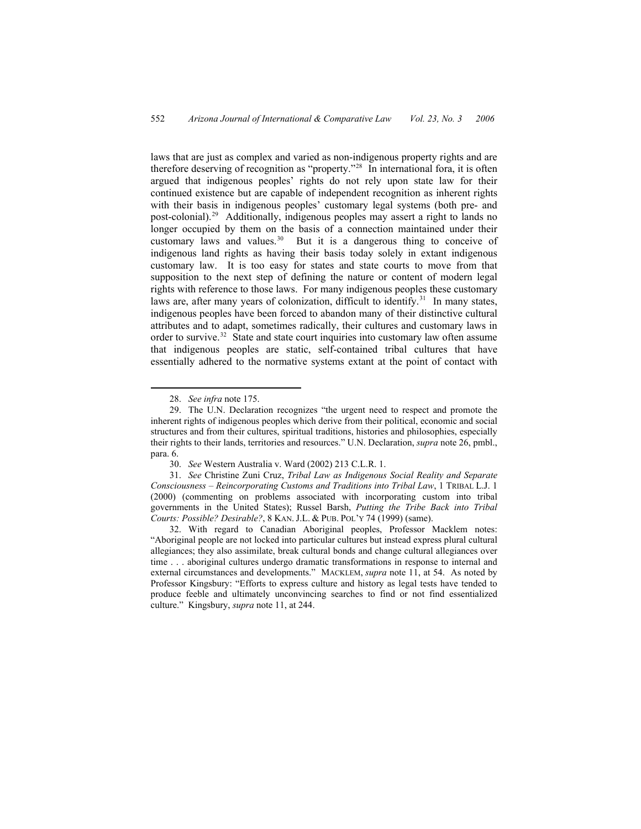laws that are just as complex and varied as non-indigenous property rights and are therefore deserving of recognition as "property."[28](#page-9-0) In international fora, it is often argued that indigenous peoples' rights do not rely upon state law for their continued existence but are capable of independent recognition as inherent rights with their basis in indigenous peoples' customary legal systems (both pre- and post-colonial).<sup>[29](#page-9-1)</sup> Additionally, indigenous peoples may assert a right to lands no longer occupied by them on the basis of a connection maintained under their customary laws and values.<sup>[30](#page-9-2)</sup> But it is a dangerous thing to conceive of indigenous land rights as having their basis today solely in extant indigenous customary law. It is too easy for states and state courts to move from that supposition to the next step of defining the nature or content of modern legal rights with reference to those laws. For many indigenous peoples these customary laws are, after many years of colonization, difficult to identify.<sup>[31](#page-9-3)</sup> In many states, indigenous peoples have been forced to abandon many of their distinctive cultural attributes and to adapt, sometimes radically, their cultures and customary laws in order to survive.<sup>32</sup> State and state court inquiries into customary law often assume that indigenous peoples are static, self-contained tribal cultures that have essentially adhered to the normative systems extant at the point of contact with

 <sup>28.</sup> *See infra* note 175.

<sup>29.</sup> The U.N. Declaration recognizes "the urgent need to respect and promote the inherent rights of indigenous peoples which derive from their political, economic and social structures and from their cultures, spiritual traditions, histories and philosophies, especially their rights to their lands, territories and resources." U.N. Declaration, *supra* note 26, pmbl., para. 6.

<sup>30.</sup> *See* Western Australia v. Ward (2002) 213 C.L.R. 1.

<span id="page-9-1"></span><span id="page-9-0"></span><sup>31.</sup> *See* Christine Zuni Cruz, *Tribal Law as Indigenous Social Reality and Separate Consciousness – Reincorporating Customs and Traditions into Tribal Law*, 1 TRIBAL L.J. 1 (2000) (commenting on problems associated with incorporating custom into tribal governments in the United States); Russel Barsh, *Putting the Tribe Back into Tribal Courts: Possible? Desirable?*, 8 KAN. J.L. & PUB. POL'Y 74 (1999) (same).

<span id="page-9-4"></span><span id="page-9-3"></span><span id="page-9-2"></span><sup>32.</sup> With regard to Canadian Aboriginal peoples, Professor Macklem notes: "Aboriginal people are not locked into particular cultures but instead express plural cultural allegiances; they also assimilate, break cultural bonds and change cultural allegiances over time . . . aboriginal cultures undergo dramatic transformations in response to internal and external circumstances and developments." MACKLEM, *supra* note 11, at 54. As noted by Professor Kingsbury: "Efforts to express culture and history as legal tests have tended to produce feeble and ultimately unconvincing searches to find or not find essentialized culture." Kingsbury, *supra* note 11, at 244.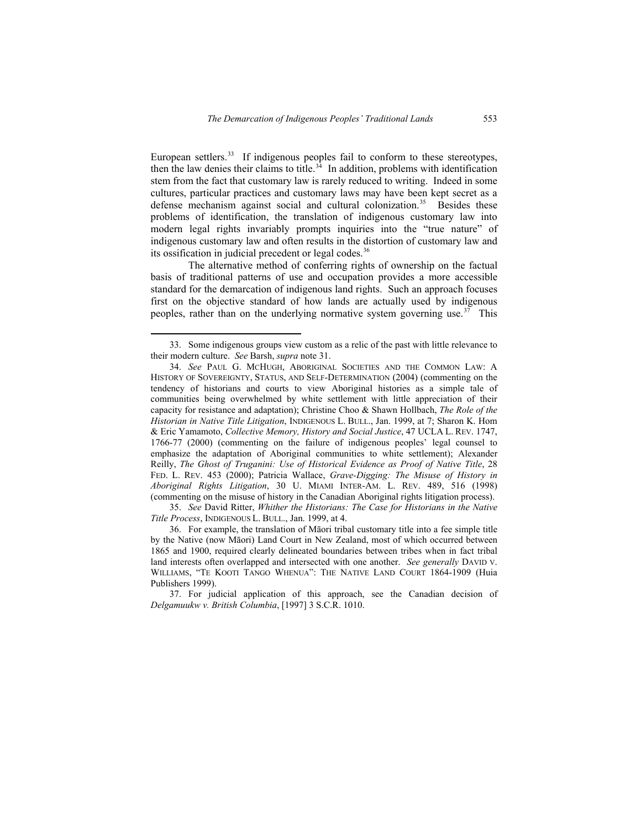European settlers.<sup>[33](#page-10-0)</sup> If indigenous peoples fail to conform to these stereotypes, then the law denies their claims to title. $3<sup>3</sup>$  In addition, problems with identification stem from the fact that customary law is rarely reduced to writing. Indeed in some cultures, particular practices and customary laws may have been kept secret as a defense mechanism against social and cultural colonization.<sup>[35](#page-10-2)</sup> Besides these problems of identification, the translation of indigenous customary law into modern legal rights invariably prompts inquiries into the "true nature" of indigenous customary law and often results in the distortion of customary law and its ossification in judicial precedent or legal codes.<sup>[36](#page-10-3)</sup>

The alternative method of conferring rights of ownership on the factual basis of traditional patterns of use and occupation provides a more accessible standard for the demarcation of indigenous land rights. Such an approach focuses first on the objective standard of how lands are actually used by indigenous peoples, rather than on the underlying normative system governing use.<sup>[37](#page-10-4)</sup> This

 <sup>33.</sup> Some indigenous groups view custom as a relic of the past with little relevance to their modern culture. *See* Barsh, *supra* note 31.

<span id="page-10-0"></span><sup>34.</sup> *See* PAUL G. MCHUGH, ABORIGINAL SOCIETIES AND THE COMMON LAW: A HISTORY OF SOVEREIGNTY, STATUS, AND SELF-DETERMINATION (2004) (commenting on the tendency of historians and courts to view Aboriginal histories as a simple tale of communities being overwhelmed by white settlement with little appreciation of their capacity for resistance and adaptation); Christine Choo & Shawn Hollbach, *The Role of the Historian in Native Title Litigation*, INDIGENOUS L. BULL., Jan. 1999, at 7; Sharon K. Hom & Eric Yamamoto, *Collective Memory, History and Social Justice*, 47 UCLA L. REV. 1747, 1766-77 (2000) (commenting on the failure of indigenous peoples' legal counsel to emphasize the adaptation of Aboriginal communities to white settlement); Alexander Reilly, *The Ghost of Truganini: Use of Historical Evidence as Proof of Native Title*, 28 FED. L. REV. 453 (2000); Patricia Wallace, *Grave-Digging: The Misuse of History in Aboriginal Rights Litigation*, 30 U. MIAMI INTER-AM. L. REV. 489, 516 (1998) (commenting on the misuse of history in the Canadian Aboriginal rights litigation process).

<span id="page-10-1"></span><sup>35.</sup> *See* David Ritter, *Whither the Historians: The Case for Historians in the Native Title Process*, INDIGENOUS L. BULL., Jan. 1999, at 4.

<sup>36.</sup> For example, the translation of Māori tribal customary title into a fee simple title by the Native (now Māori) Land Court in New Zealand, most of which occurred between 1865 and 1900, required clearly delineated boundaries between tribes when in fact tribal land interests often overlapped and intersected with one another. *See generally* DAVID V. WILLIAMS, "TE KOOTI TANGO WHENUA": THE NATIVE LAND COURT 1864-1909 (Huia Publishers 1999).

<span id="page-10-4"></span><span id="page-10-3"></span><span id="page-10-2"></span><sup>37.</sup> For judicial application of this approach, see the Canadian decision of *Delgamuukw v. British Columbia*, [1997] 3 S.C.R. 1010.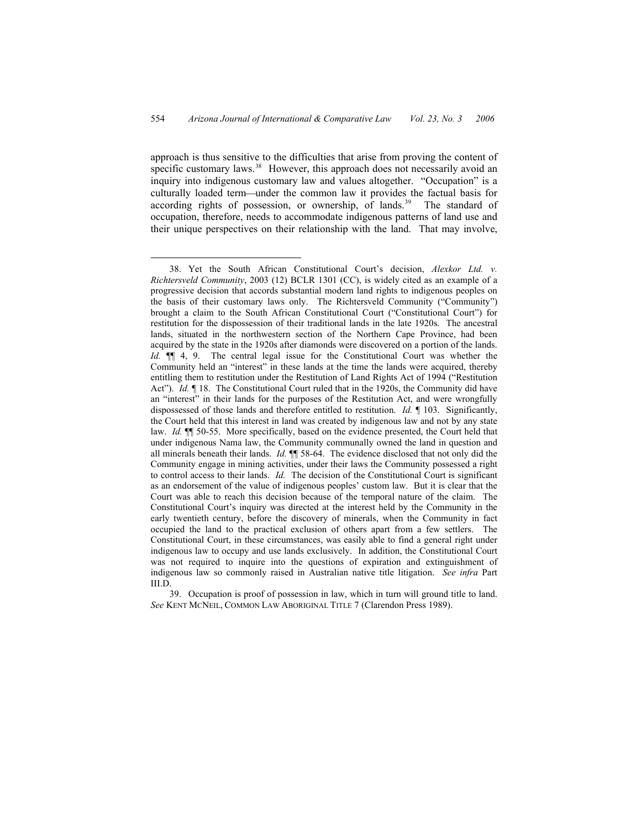approach is thus sensitive to the difficulties that arise from proving the content of specific customary laws.<sup>[38](#page-11-0)</sup> However, this approach does not necessarily avoid an inquiry into indigenous customary law and values altogether. "Occupation" is a culturally loaded term—under the common law it provides the factual basis for according rights of possession, or ownership, of lands.<sup>[39](#page-11-1)</sup> The standard of occupation, therefore, needs to accommodate indigenous patterns of land use and their unique perspectives on their relationship with the land. That may involve,

<span id="page-11-1"></span>39. Occupation is proof of possession in law, which in turn will ground title to land. *See* KENT MCNEIL, COMMON LAW ABORIGINAL TITLE 7 (Clarendon Press 1989).

<span id="page-11-0"></span> <sup>38.</sup> Yet the South African Constitutional Court's decision, *Alexkor Ltd. v. Richtersveld Community*, 2003 (12) BCLR 1301 (CC), is widely cited as an example of a progressive decision that accords substantial modern land rights to indigenous peoples on the basis of their customary laws only. The Richtersveld Community ("Community") brought a claim to the South African Constitutional Court ("Constitutional Court") for restitution for the dispossession of their traditional lands in the late 1920s. The ancestral lands, situated in the northwestern section of the Northern Cape Province, had been acquired by the state in the 1920s after diamonds were discovered on a portion of the lands. *Id.* ¶¶ 4, 9. The central legal issue for the Constitutional Court was whether the Community held an "interest" in these lands at the time the lands were acquired, thereby entitling them to restitution under the Restitution of Land Rights Act of 1994 ("Restitution Act"). *Id.* ¶ 18. The Constitutional Court ruled that in the 1920s, the Community did have an "interest" in their lands for the purposes of the Restitution Act, and were wrongfully dispossessed of those lands and therefore entitled to restitution. *Id.* ¶ 103. Significantly, the Court held that this interest in land was created by indigenous law and not by any state law. *Id.* ¶¶ 50-55. More specifically, based on the evidence presented, the Court held that under indigenous Nama law, the Community communally owned the land in question and all minerals beneath their lands. *Id.* ¶¶ 58-64. The evidence disclosed that not only did the Community engage in mining activities, under their laws the Community possessed a right to control access to their lands. *Id.* The decision of the Constitutional Court is significant as an endorsement of the value of indigenous peoples' custom law. But it is clear that the Court was able to reach this decision because of the temporal nature of the claim. The Constitutional Court's inquiry was directed at the interest held by the Community in the early twentieth century, before the discovery of minerals, when the Community in fact occupied the land to the practical exclusion of others apart from a few settlers. The Constitutional Court, in these circumstances, was easily able to find a general right under indigenous law to occupy and use lands exclusively. In addition, the Constitutional Court was not required to inquire into the questions of expiration and extinguishment of indigenous law so commonly raised in Australian native title litigation. *See infra* Part III.D.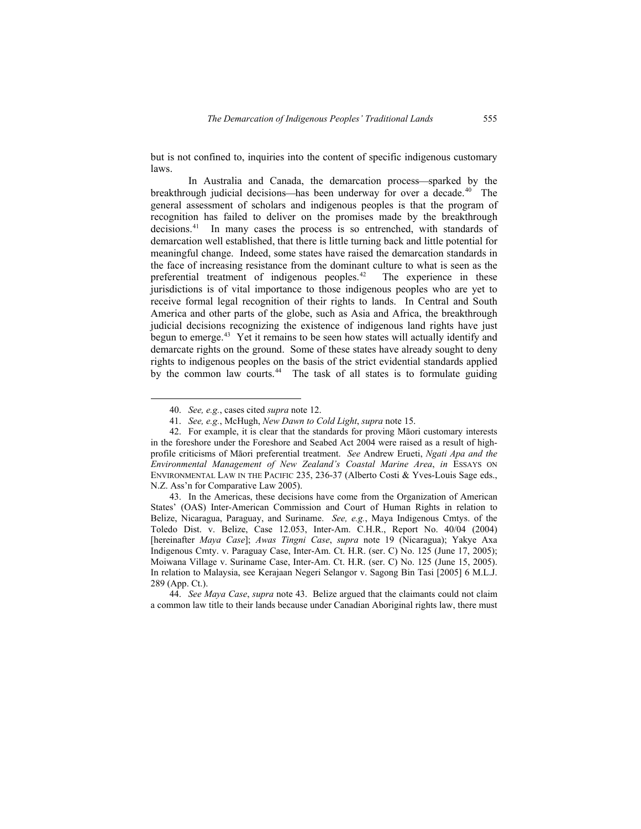but is not confined to, inquiries into the content of specific indigenous customary laws.

In Australia and Canada, the demarcation process—sparked by the breakthrough judicial decisions—has been underway for over a decade.<sup>40</sup> The general assessment of scholars and indigenous peoples is that the program of recognition has failed to deliver on the promises made by the breakthrough decisions.<sup>[41](#page-12-1)</sup> In many cases the process is so entrenched, with standards of demarcation well established, that there is little turning back and little potential for meaningful change. Indeed, some states have raised the demarcation standards in the face of increasing resistance from the dominant culture to what is seen as the preferential treatment of indigenous peoples.<sup>[42](#page-12-2)</sup> The experience in these jurisdictions is of vital importance to those indigenous peoples who are yet to receive formal legal recognition of their rights to lands. In Central and South America and other parts of the globe, such as Asia and Africa, the breakthrough judicial decisions recognizing the existence of indigenous land rights have just begun to emerge.<sup>[43](#page-12-3)</sup> Yet it remains to be seen how states will actually identify and demarcate rights on the ground. Some of these states have already sought to deny rights to indigenous peoples on the basis of the strict evidential standards applied by the common law courts.<sup>[44](#page-12-4)</sup> The task of all states is to formulate guiding

 <sup>40.</sup> *See, e.g.*, cases cited *supra* note 12.

<sup>41.</sup> *See, e.g.*, McHugh, *New Dawn to Cold Light*, *supra* note 15.

<sup>42.</sup> For example, it is clear that the standards for proving Māori customary interests in the foreshore under the Foreshore and Seabed Act 2004 were raised as a result of highprofile criticisms of Māori preferential treatment. *See* Andrew Erueti, *Ngati Apa and the Environmental Management of New Zealand's Coastal Marine Area*, *in* ESSAYS ON ENVIRONMENTAL LAW IN THE PACIFIC 235, 236-37 (Alberto Costi & Yves-Louis Sage eds., N.Z. Ass'n for Comparative Law 2005).

<span id="page-12-2"></span><span id="page-12-1"></span><span id="page-12-0"></span><sup>43.</sup> In the Americas, these decisions have come from the Organization of American States' (OAS) Inter-American Commission and Court of Human Rights in relation to Belize, Nicaragua, Paraguay, and Suriname. *See, e.g.*, Maya Indigenous Cmtys. of the Toledo Dist. v. Belize, Case 12.053, Inter-Am. C.H.R., Report No. 40/04 (2004) [hereinafter *Maya Case*]; *Awas Tingni Case*, *supra* note 19 (Nicaragua); Yakye Axa Indigenous Cmty. v. Paraguay Case, Inter-Am. Ct. H.R. (ser. C) No. 125 (June 17, 2005); Moiwana Village v. Suriname Case, Inter-Am. Ct. H.R. (ser. C) No. 125 (June 15, 2005). In relation to Malaysia, see Kerajaan Negeri Selangor v. Sagong Bin Tasi [2005] 6 M.L.J. 289 (App. Ct.).

<span id="page-12-4"></span><span id="page-12-3"></span><sup>44.</sup> *See Maya Case*, *supra* note 43. Belize argued that the claimants could not claim a common law title to their lands because under Canadian Aboriginal rights law, there must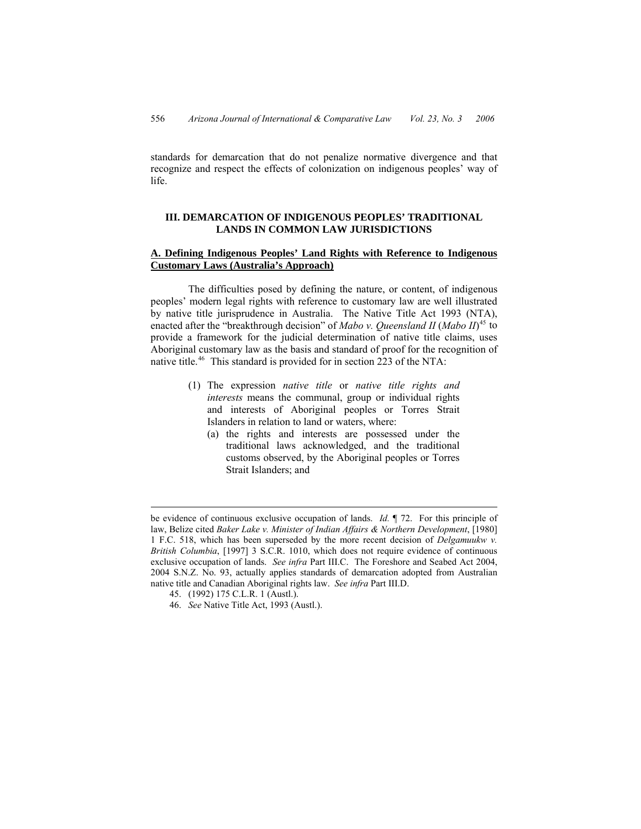standards for demarcation that do not penalize normative divergence and that recognize and respect the effects of colonization on indigenous peoples' way of life.

### **III. DEMARCATION OF INDIGENOUS PEOPLES' TRADITIONAL LANDS IN COMMON LAW JURISDICTIONS**

## **A. Defining Indigenous Peoples' Land Rights with Reference to Indigenous Customary Laws (Australia's Approach)**

The difficulties posed by defining the nature, or content, of indigenous peoples' modern legal rights with reference to customary law are well illustrated by native title jurisprudence in Australia. The Native Title Act 1993 (NTA), enacted after the "breakthrough decision" of *Mabo v. Queensland II* (*Mabo II*) [45](#page-13-0) to provide a framework for the judicial determination of native title claims, uses Aboriginal customary law as the basis and standard of proof for the recognition of native title.<sup>46</sup> This standard is provided for in section 223 of the NTA:

- (1) The expression *native title* or *native title rights and interests* means the communal, group or individual rights and interests of Aboriginal peoples or Torres Strait Islanders in relation to land or waters, where:
	- (a) the rights and interests are possessed under the traditional laws acknowledged, and the traditional customs observed, by the Aboriginal peoples or Torres Strait Islanders; and

 $\overline{a}$ 

be evidence of continuous exclusive occupation of lands. *Id.* ¶ 72. For this principle of law, Belize cited *Baker Lake v. Minister of Indian Affairs & Northern Development*, [1980] 1 F.C. 518, which has been superseded by the more recent decision of *Delgamuukw v. British Columbia*, [1997] 3 S.C.R. 1010, which does not require evidence of continuous exclusive occupation of lands. *See infra* Part III.C. The Foreshore and Seabed Act 2004, 2004 S.N.Z. No. 93, actually applies standards of demarcation adopted from Australian native title and Canadian Aboriginal rights law. *See infra* Part III.D.

<sup>45. (1992) 175</sup> C.L.R. 1 (Austl.).

<span id="page-13-1"></span><span id="page-13-0"></span><sup>46.</sup> *See* Native Title Act, 1993 (Austl.).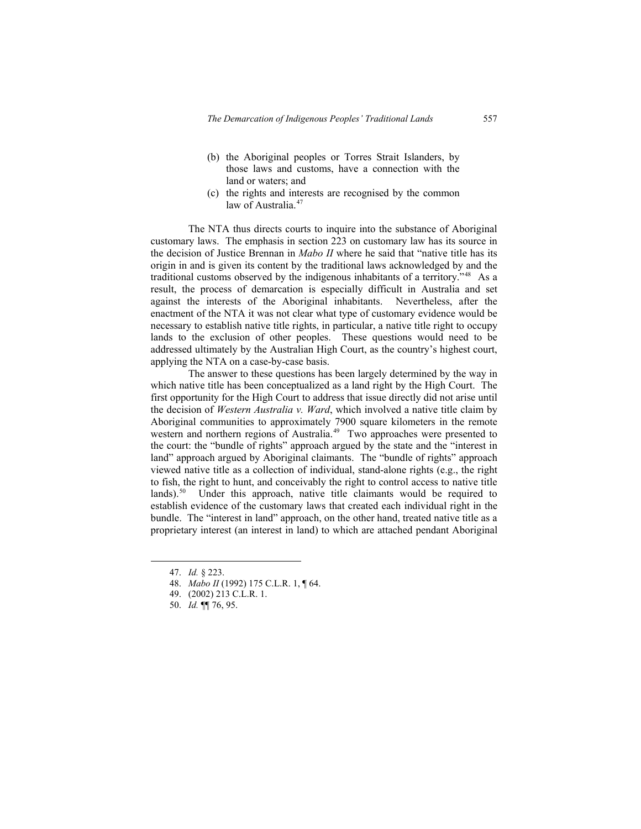- (b) the Aboriginal peoples or Torres Strait Islanders, by those laws and customs, have a connection with the land or waters; and
- (c) the rights and interests are recognised by the common law of Australia.<sup>[47](#page-14-0)</sup>

The NTA thus directs courts to inquire into the substance of Aboriginal customary laws. The emphasis in section 223 on customary law has its source in the decision of Justice Brennan in *Mabo II* where he said that "native title has its origin in and is given its content by the traditional laws acknowledged by and the traditional customs observed by the indigenous inhabitants of a territory."[48](#page-14-1) As a result, the process of demarcation is especially difficult in Australia and set against the interests of the Aboriginal inhabitants. Nevertheless, after the enactment of the NTA it was not clear what type of customary evidence would be necessary to establish native title rights, in particular, a native title right to occupy lands to the exclusion of other peoples. These questions would need to be addressed ultimately by the Australian High Court, as the country's highest court, applying the NTA on a case-by-case basis.

The answer to these questions has been largely determined by the way in which native title has been conceptualized as a land right by the High Court. The first opportunity for the High Court to address that issue directly did not arise until the decision of *Western Australia v. Ward*, which involved a native title claim by Aboriginal communities to approximately 7900 square kilometers in the remote western and northern regions of Australia.<sup>[49](#page-14-2)</sup> Two approaches were presented to the court: the "bundle of rights" approach argued by the state and the "interest in land" approach argued by Aboriginal claimants. The "bundle of rights" approach viewed native title as a collection of individual, stand-alone rights (e.g., the right to fish, the right to hunt, and conceivably the right to control access to native title lands).<sup>[50](#page-14-3)</sup> Under this approach, native title claimants would be required to establish evidence of the customary laws that created each individual right in the bundle. The "interest in land" approach, on the other hand, treated native title as a proprietary interest (an interest in land) to which are attached pendant Aboriginal

 <sup>47.</sup> *Id.* § 223.

<sup>48.</sup> *Mabo II* (1992) 175 C.L.R. 1, ¶ 64.

<sup>49. (2002) 213</sup> C.L.R. 1.

<span id="page-14-3"></span><span id="page-14-2"></span><span id="page-14-1"></span><span id="page-14-0"></span><sup>50.</sup> *Id.* ¶¶ 76, 95.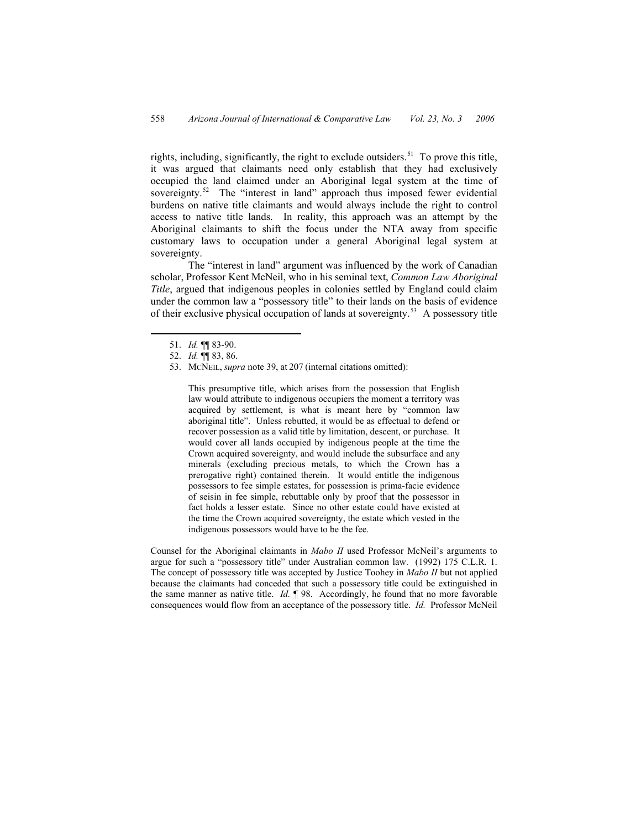rights, including, significantly, the right to exclude outsiders.<sup>[51](#page-15-0)</sup> To prove this title, it was argued that claimants need only establish that they had exclusively occupied the land claimed under an Aboriginal legal system at the time of sovereignty.<sup>[52](#page-15-1)</sup> The "interest in land" approach thus imposed fewer evidential burdens on native title claimants and would always include the right to control access to native title lands. In reality, this approach was an attempt by the Aboriginal claimants to shift the focus under the NTA away from specific customary laws to occupation under a general Aboriginal legal system at sovereignty.

The "interest in land" argument was influenced by the work of Canadian scholar, Professor Kent McNeil, who in his seminal text, *Common Law Aboriginal Title*, argued that indigenous peoples in colonies settled by England could claim under the common law a "possessory title" to their lands on the basis of evidence of their exclusive physical occupation of lands at sovereignty.[53](#page-15-2) A possessory title

This presumptive title, which arises from the possession that English law would attribute to indigenous occupiers the moment a territory was acquired by settlement, is what is meant here by "common law aboriginal title". Unless rebutted, it would be as effectual to defend or recover possession as a valid title by limitation, descent, or purchase. It would cover all lands occupied by indigenous people at the time the Crown acquired sovereignty, and would include the subsurface and any minerals (excluding precious metals, to which the Crown has a prerogative right) contained therein. It would entitle the indigenous possessors to fee simple estates, for possession is prima-facie evidence of seisin in fee simple, rebuttable only by proof that the possessor in fact holds a lesser estate. Since no other estate could have existed at the time the Crown acquired sovereignty, the estate which vested in the indigenous possessors would have to be the fee.

Counsel for the Aboriginal claimants in *Mabo II* used Professor McNeil's arguments to argue for such a "possessory title" under Australian common law. (1992) 175 C.L.R. 1. The concept of possessory title was accepted by Justice Toohey in *Mabo II* but not applied because the claimants had conceded that such a possessory title could be extinguished in the same manner as native title. *Id.* ¶ 98. Accordingly, he found that no more favorable consequences would flow from an acceptance of the possessory title. *Id.* Professor McNeil

 <sup>51.</sup> *Id.* ¶¶ 83-90.

<sup>52.</sup> *Id.* ¶¶ 83, 86.

<span id="page-15-2"></span><span id="page-15-1"></span><span id="page-15-0"></span><sup>53.</sup> MCNEIL, *supra* note 39, at 207 (internal citations omitted):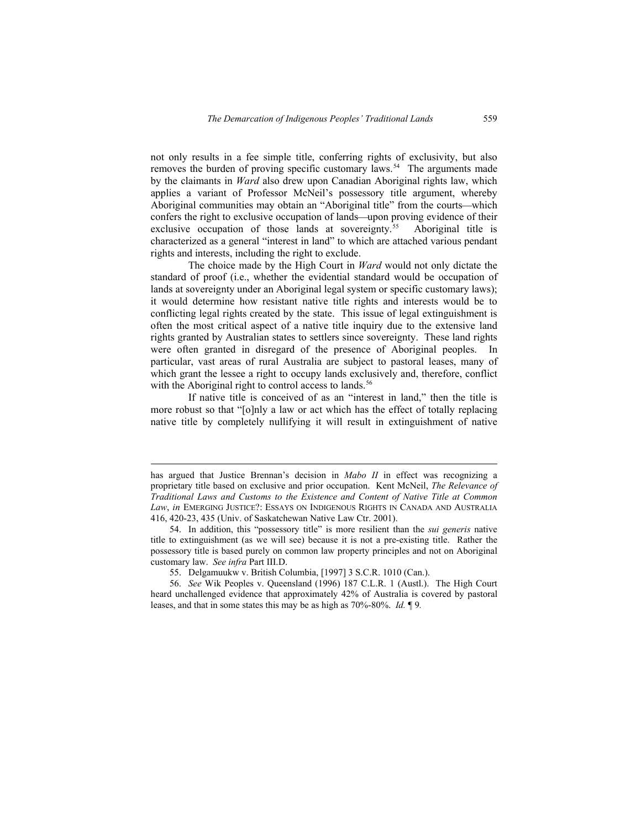not only results in a fee simple title, conferring rights of exclusivity, but also removes the burden of proving specific customary laws.<sup>[54](#page-16-0)</sup> The arguments made by the claimants in *Ward* also drew upon Canadian Aboriginal rights law, which applies a variant of Professor McNeil's possessory title argument, whereby Aboriginal communities may obtain an "Aboriginal title" from the courts—which confers the right to exclusive occupation of lands—upon proving evidence of their exclusive occupation of those lands at sovereignty.<sup>[55](#page-16-1)</sup> Aboriginal title is characterized as a general "interest in land" to which are attached various pendant rights and interests, including the right to exclude.

The choice made by the High Court in *Ward* would not only dictate the standard of proof (i.e., whether the evidential standard would be occupation of lands at sovereignty under an Aboriginal legal system or specific customary laws); it would determine how resistant native title rights and interests would be to conflicting legal rights created by the state. This issue of legal extinguishment is often the most critical aspect of a native title inquiry due to the extensive land rights granted by Australian states to settlers since sovereignty. These land rights were often granted in disregard of the presence of Aboriginal peoples. In particular, vast areas of rural Australia are subject to pastoral leases, many of which grant the lessee a right to occupy lands exclusively and, therefore, conflict with the Aboriginal right to control access to lands.<sup>[56](#page-16-2)</sup>

If native title is conceived of as an "interest in land," then the title is more robust so that "[o]nly a law or act which has the effect of totally replacing native title by completely nullifying it will result in extinguishment of native

 $\overline{a}$ 

has argued that Justice Brennan's decision in *Mabo II* in effect was recognizing a proprietary title based on exclusive and prior occupation. Kent McNeil, *The Relevance of Traditional Laws and Customs to the Existence and Content of Native Title at Common Law*, *in* EMERGING JUSTICE?: ESSAYS ON INDIGENOUS RIGHTS IN CANADA AND AUSTRALIA 416, 420-23, 435 (Univ. of Saskatchewan Native Law Ctr. 2001).

<sup>54.</sup> In addition, this "possessory title" is more resilient than the *sui generis* native title to extinguishment (as we will see) because it is not a pre-existing title. Rather the possessory title is based purely on common law property principles and not on Aboriginal customary law. *See infra* Part III.D.

<sup>55.</sup> Delgamuukw v. British Columbia, [1997] 3 S.C.R. 1010 (Can.).

<span id="page-16-2"></span><span id="page-16-1"></span><span id="page-16-0"></span><sup>56.</sup> *See* Wik Peoples v. Queensland (1996) 187 C.L.R. 1 (Austl.). The High Court heard unchallenged evidence that approximately 42% of Australia is covered by pastoral leases, and that in some states this may be as high as 70%-80%. *Id.* ¶ 9*.*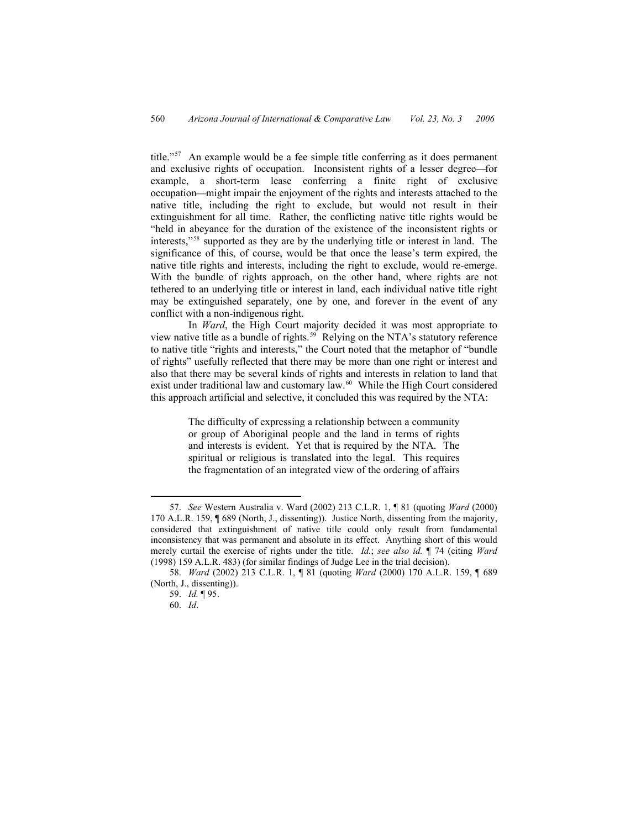title."[57](#page-17-0) An example would be a fee simple title conferring as it does permanent and exclusive rights of occupation. Inconsistent rights of a lesser degree—for example, a short-term lease conferring a finite right of exclusive occupation—might impair the enjoyment of the rights and interests attached to the native title, including the right to exclude, but would not result in their extinguishment for all time. Rather, the conflicting native title rights would be "held in abeyance for the duration of the existence of the inconsistent rights or interests,"[58](#page-17-1) supported as they are by the underlying title or interest in land. The significance of this, of course, would be that once the lease's term expired, the native title rights and interests, including the right to exclude, would re-emerge. With the bundle of rights approach, on the other hand, where rights are not tethered to an underlying title or interest in land, each individual native title right may be extinguished separately, one by one, and forever in the event of any conflict with a non-indigenous right.

In *Ward*, the High Court majority decided it was most appropriate to view native title as a bundle of rights.<sup>[59](#page-17-2)</sup> Relying on the NTA's statutory reference to native title "rights and interests," the Court noted that the metaphor of "bundle of rights" usefully reflected that there may be more than one right or interest and also that there may be several kinds of rights and interests in relation to land that exist under traditional law and customary law.<sup>[60](#page-17-3)</sup> While the High Court considered this approach artificial and selective, it concluded this was required by the NTA:

> The difficulty of expressing a relationship between a community or group of Aboriginal people and the land in terms of rights and interests is evident. Yet that is required by the NTA. The spiritual or religious is translated into the legal. This requires the fragmentation of an integrated view of the ordering of affairs

 <sup>57.</sup> *See* Western Australia v. Ward (2002) 213 C.L.R. 1, ¶ 81 (quoting *Ward* (2000) 170 A.L.R. 159, ¶ 689 (North, J., dissenting)). Justice North, dissenting from the majority, considered that extinguishment of native title could only result from fundamental inconsistency that was permanent and absolute in its effect. Anything short of this would merely curtail the exercise of rights under the title. *Id.*; *see also id.* ¶ 74 (citing *Ward* (1998) 159 A.L.R. 483) (for similar findings of Judge Lee in the trial decision).

<span id="page-17-2"></span><span id="page-17-1"></span><span id="page-17-0"></span><sup>58.</sup> *Ward* (2002) 213 C.L.R. 1, ¶ 81 (quoting *Ward* (2000) 170 A.L.R. 159, ¶ 689 (North, J., dissenting)).

<span id="page-17-3"></span><sup>59.</sup> *Id.* ¶ 95.

<sup>60.</sup> *Id*.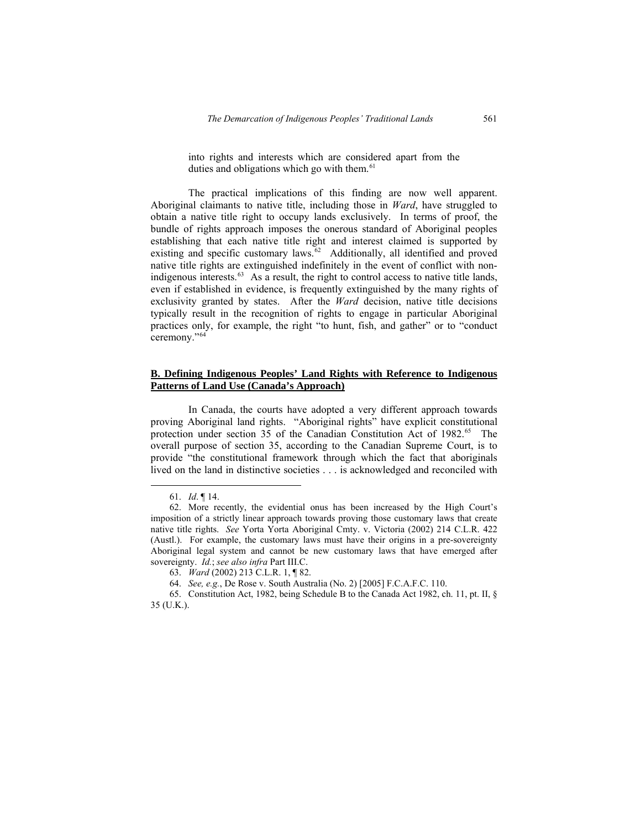into rights and interests which are considered apart from the duties and obligations which go with them.<sup>[61](#page-18-0)</sup>

The practical implications of this finding are now well apparent. Aboriginal claimants to native title, including those in *Ward*, have struggled to obtain a native title right to occupy lands exclusively. In terms of proof, the bundle of rights approach imposes the onerous standard of Aboriginal peoples establishing that each native title right and interest claimed is supported by existing and specific customary laws.<sup>[62](#page-18-1)</sup> Additionally, all identified and proved native title rights are extinguished indefinitely in the event of conflict with non-indigenous interests.<sup>[63](#page-18-2)</sup> As a result, the right to control access to native title lands, even if established in evidence, is frequently extinguished by the many rights of exclusivity granted by states. After the *Ward* decision, native title decisions typically result in the recognition of rights to engage in particular Aboriginal practices only, for example, the right "to hunt, fish, and gather" or to "conduct ceremony."[64](#page-18-3)

# **B. Defining Indigenous Peoples' Land Rights with Reference to Indigenous Patterns of Land Use (Canada's Approach)**

In Canada, the courts have adopted a very different approach towards proving Aboriginal land rights. "Aboriginal rights" have explicit constitutional protection under section 35 of the Canadian Constitution Act of  $1982^{65}$  $1982^{65}$  $1982^{65}$  The overall purpose of section 35, according to the Canadian Supreme Court, is to provide "the constitutional framework through which the fact that aboriginals lived on the land in distinctive societies . . . is acknowledged and reconciled with

 <sup>61.</sup> *Id*. ¶ 14.

<sup>62.</sup> More recently, the evidential onus has been increased by the High Court's imposition of a strictly linear approach towards proving those customary laws that create native title rights. *See* Yorta Yorta Aboriginal Cmty. v. Victoria (2002) 214 C.L.R. 422 (Austl.). For example, the customary laws must have their origins in a pre-sovereignty Aboriginal legal system and cannot be new customary laws that have emerged after sovereignty. *Id.*; *see also infra* Part III.C.

<sup>63.</sup> *Ward* (2002) 213 C.L.R. 1, ¶ 82.

<sup>64.</sup> *See, e.g.*, De Rose v. South Australia (No. 2) [2005] F.C.A.F.C. 110.

<span id="page-18-4"></span><span id="page-18-3"></span><span id="page-18-2"></span><span id="page-18-1"></span><span id="page-18-0"></span><sup>65.</sup> Constitution Act, 1982, being Schedule B to the Canada Act 1982, ch. 11, pt. II, § 35 (U.K.).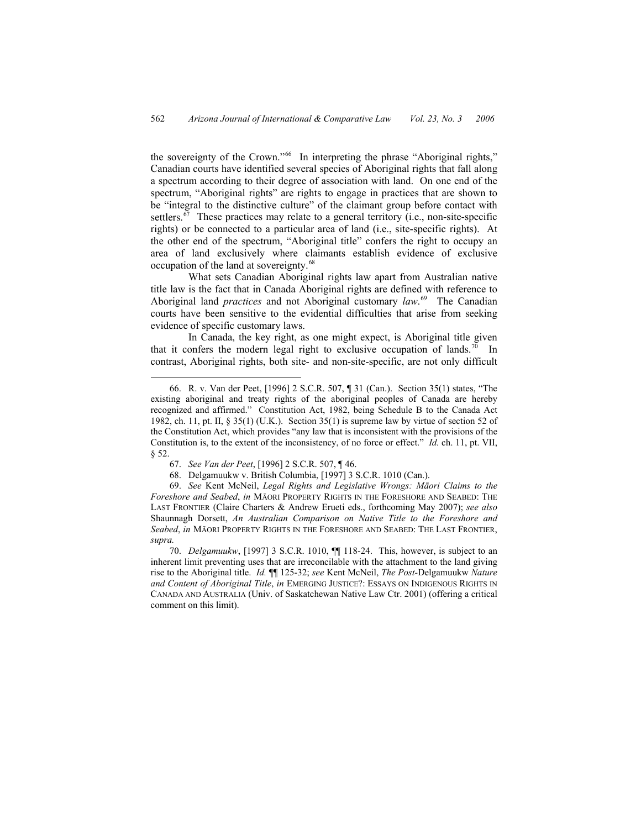the sovereignty of the Crown."<sup>[66](#page-19-0)</sup> In interpreting the phrase "Aboriginal rights," Canadian courts have identified several species of Aboriginal rights that fall along a spectrum according to their degree of association with land. On one end of the spectrum, "Aboriginal rights" are rights to engage in practices that are shown to be "integral to the distinctive culture" of the claimant group before contact with settlers.<sup>[67](#page-19-1)</sup> These practices may relate to a general territory (i.e., non-site-specific rights) or be connected to a particular area of land (i.e., site-specific rights). At the other end of the spectrum, "Aboriginal title" confers the right to occupy an area of land exclusively where claimants establish evidence of exclusive occupation of the land at sovereignty.<sup>[68](#page-19-2)</sup>

What sets Canadian Aboriginal rights law apart from Australian native title law is the fact that in Canada Aboriginal rights are defined with reference to Aboriginal land *practices* and not Aboriginal customary *law*. [69](#page-19-3) The Canadian courts have been sensitive to the evidential difficulties that arise from seeking evidence of specific customary laws.

In Canada, the key right, as one might expect, is Aboriginal title given that it confers the modern legal right to exclusive occupation of lands.<sup>[70](#page-19-4)</sup> In contrast, Aboriginal rights, both site- and non-site-specific, are not only difficult

 <sup>66.</sup> R. v. Van der Peet, [1996] 2 S.C.R. 507, ¶ 31 (Can.). Section 35(1) states, "The existing aboriginal and treaty rights of the aboriginal peoples of Canada are hereby recognized and affirmed." Constitution Act, 1982, being Schedule B to the Canada Act 1982, ch. 11, pt. II,  $\S 35(1)$  (U.K.). Section 35(1) is supreme law by virtue of section 52 of the Constitution Act, which provides "any law that is inconsistent with the provisions of the Constitution is, to the extent of the inconsistency, of no force or effect." *Id.* ch. 11, pt. VII, § 52.

<sup>67.</sup> *See Van der Peet*, [1996] 2 S.C.R. 507, ¶ 46.

<sup>68.</sup> Delgamuukw v. British Columbia, [1997] 3 S.C.R. 1010 (Can.).

<span id="page-19-0"></span><sup>69.</sup> *See* Kent McNeil, *Legal Rights and Legislative Wrongs: Māori Claims to the Foreshore and Seabed*, *in* MĀORI PROPERTY RIGHTS IN THE FORESHORE AND SEABED: THE LAST FRONTIER (Claire Charters & Andrew Erueti eds., forthcoming May 2007); *see also* Shaunnagh Dorsett, *An Australian Comparison on Native Title to the Foreshore and Seabed*, *in* MĀORI PROPERTY RIGHTS IN THE FORESHORE AND SEABED: THE LAST FRONTIER, *supra.*

<span id="page-19-4"></span><span id="page-19-3"></span><span id="page-19-2"></span><span id="page-19-1"></span><sup>70.</sup> *Delgamuukw*, [1997] 3 S.C.R. 1010, ¶¶ 118-24. This, however, is subject to an inherent limit preventing uses that are irreconcilable with the attachment to the land giving rise to the Aboriginal title. *Id.* ¶¶ 125-32; *see* Kent McNeil, *The Post-*Delgamuukw *Nature and Content of Aboriginal Title*, *in* EMERGING JUSTICE?: ESSAYS ON INDIGENOUS RIGHTS IN CANADA AND AUSTRALIA (Univ. of Saskatchewan Native Law Ctr. 2001) (offering a critical comment on this limit).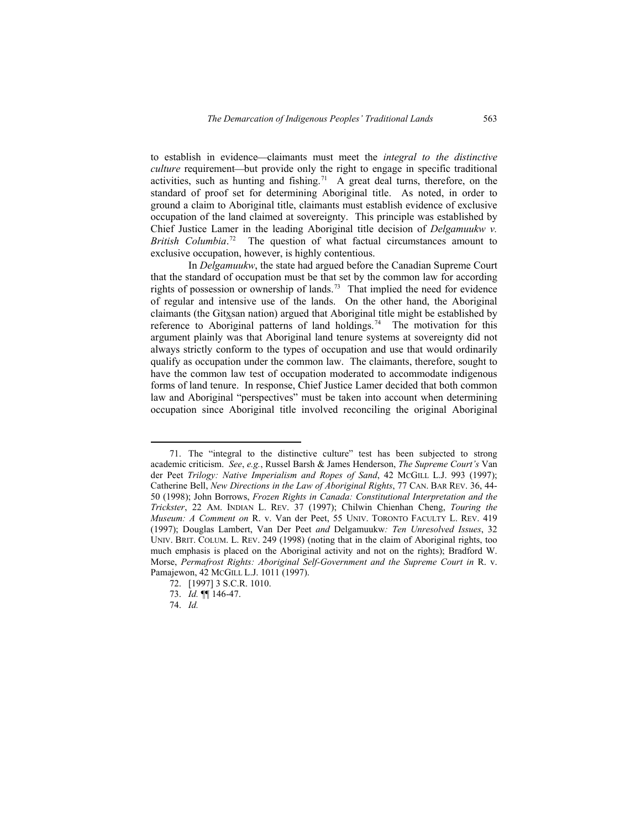to establish in evidence—claimants must meet the *integral to the distinctive culture* requirement—but provide only the right to engage in specific traditional activities, such as hunting and fishing.<sup>[71](#page-20-0)</sup> A great deal turns, therefore, on the standard of proof set for determining Aboriginal title. As noted, in order to ground a claim to Aboriginal title, claimants must establish evidence of exclusive occupation of the land claimed at sovereignty. This principle was established by Chief Justice Lamer in the leading Aboriginal title decision of *Delgamuukw v.*  British Columbia.<sup>[72](#page-20-1)</sup> The question of what factual circumstances amount to exclusive occupation, however, is highly contentious.

In *Delgamuukw*, the state had argued before the Canadian Supreme Court that the standard of occupation must be that set by the common law for according rights of possession or ownership of lands.<sup>[73](#page-20-2)</sup> That implied the need for evidence of regular and intensive use of the lands. On the other hand, the Aboriginal claimants (the Gitxsan nation) argued that Aboriginal title might be established by reference to Aboriginal patterns of land holdings.<sup>[74](#page-20-3)</sup> The motivation for this argument plainly was that Aboriginal land tenure systems at sovereignty did not always strictly conform to the types of occupation and use that would ordinarily qualify as occupation under the common law. The claimants, therefore, sought to have the common law test of occupation moderated to accommodate indigenous forms of land tenure. In response, Chief Justice Lamer decided that both common law and Aboriginal "perspectives" must be taken into account when determining occupation since Aboriginal title involved reconciling the original Aboriginal

<span id="page-20-0"></span> <sup>71.</sup> The "integral to the distinctive culture" test has been subjected to strong academic criticism. *See*, *e.g.*, Russel Barsh & James Henderson, *The Supreme Court's* Van der Peet *Trilogy: Native Imperialism and Ropes of Sand*, 42 MCGILL L.J. 993 (1997); Catherine Bell, *New Directions in the Law of Aboriginal Rights*, 77 CAN. BAR REV. 36, 44- 50 (1998); John Borrows, *Frozen Rights in Canada: Constitutional Interpretation and the Trickster*, 22 AM. INDIAN L. REV. 37 (1997); Chilwin Chienhan Cheng, *Touring the Museum: A Comment on* R. v. Van der Peet, 55 UNIV. TORONTO FACULTY L. REV. 419 (1997); Douglas Lambert, Van Der Peet *and* Delgamuukw*: Ten Unresolved Issues*, 32 UNIV. BRIT. COLUM. L. REV. 249 (1998) (noting that in the claim of Aboriginal rights, too much emphasis is placed on the Aboriginal activity and not on the rights); Bradford W. Morse, *Permafrost Rights: Aboriginal Self-Government and the Supreme Court in* R. v. Pamajewon, 42 MCGILL L.J. 1011 (1997).

<sup>72. [1997] 3</sup> S.C.R. 1010.

<sup>73.</sup> *Id.* ¶¶ 146-47.

<span id="page-20-3"></span><span id="page-20-2"></span><span id="page-20-1"></span><sup>74.</sup> *Id.*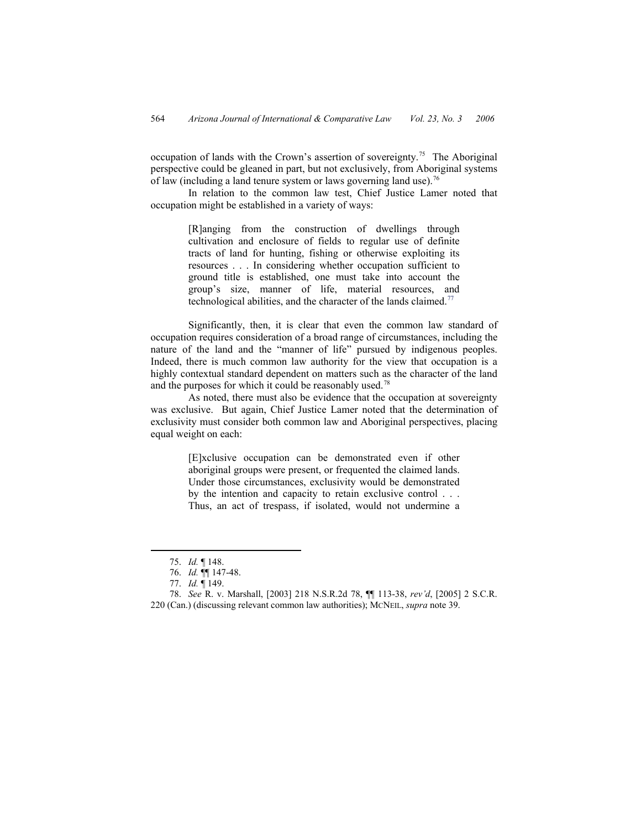occupation of lands with the Crown's assertion of sovereignty.[75](#page-21-0) The Aboriginal perspective could be gleaned in part, but not exclusively, from Aboriginal systems of law (including a land tenure system or laws governing land use).<sup>[76](#page-21-1)</sup>

In relation to the common law test, Chief Justice Lamer noted that occupation might be established in a variety of ways:

> [R]anging from the construction of dwellings through cultivation and enclosure of fields to regular use of definite tracts of land for hunting, fishing or otherwise exploiting its resources . . . In considering whether occupation sufficient to ground title is established, one must take into account the group's size, manner of life, material resources, and technological abilities, and the character of the lands claimed.<sup>[77](#page-21-2)</sup>

Significantly, then, it is clear that even the common law standard of occupation requires consideration of a broad range of circumstances, including the nature of the land and the "manner of life" pursued by indigenous peoples. Indeed, there is much common law authority for the view that occupation is a highly contextual standard dependent on matters such as the character of the land and the purposes for which it could be reasonably used.<sup>[78](#page-21-3)</sup>

As noted, there must also be evidence that the occupation at sovereignty was exclusive. But again, Chief Justice Lamer noted that the determination of exclusivity must consider both common law and Aboriginal perspectives, placing equal weight on each:

> [E]xclusive occupation can be demonstrated even if other aboriginal groups were present, or frequented the claimed lands. Under those circumstances, exclusivity would be demonstrated by the intention and capacity to retain exclusive control . . . Thus, an act of trespass, if isolated, would not undermine a

 <sup>75.</sup> *Id.* ¶ 148.

<sup>76.</sup> *Id.* ¶¶ 147-48.

<sup>77.</sup> *Id.* ¶ 149.

<span id="page-21-3"></span><span id="page-21-2"></span><span id="page-21-1"></span><span id="page-21-0"></span><sup>78.</sup> *See* R. v. Marshall, [2003] 218 N.S.R.2d 78, ¶¶ 113-38, *rev'd*, [2005] 2 S.C.R. 220 (Can.) (discussing relevant common law authorities); MCNEIL, *supra* note 39.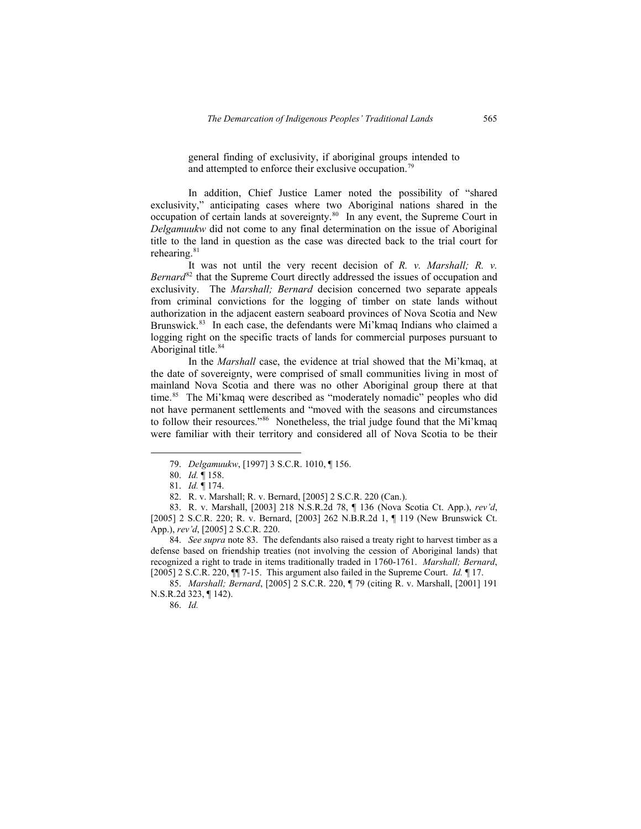general finding of exclusivity, if aboriginal groups intended to and attempted to enforce their exclusive occupation.<sup>[79](#page-22-0)</sup>

In addition, Chief Justice Lamer noted the possibility of "shared exclusivity," anticipating cases where two Aboriginal nations shared in the occupation of certain lands at sovereignty.[80](#page-22-1) In any event, the Supreme Court in *Delgamuukw* did not come to any final determination on the issue of Aboriginal title to the land in question as the case was directed back to the trial court for rehearing.<sup>[81](#page-22-2)</sup>

It was not until the very recent decision of *R. v. Marshall; R. v. Bernard*<sup>[82](#page-22-3)</sup> that the Supreme Court directly addressed the issues of occupation and exclusivity. The *Marshall; Bernard* decision concerned two separate appeals from criminal convictions for the logging of timber on state lands without authorization in the adjacent eastern seaboard provinces of Nova Scotia and New Brunswick.<sup>[83](#page-22-4)</sup> In each case, the defendants were Mi'kmaq Indians who claimed a logging right on the specific tracts of lands for commercial purposes pursuant to Aboriginal title.<sup>[84](#page-22-5)</sup>

In the *Marshall* case, the evidence at trial showed that the Mi'kmaq, at the date of sovereignty, were comprised of small communities living in most of mainland Nova Scotia and there was no other Aboriginal group there at that time.<sup>[85](#page-22-6)</sup> The Mi'kmaq were described as "moderately nomadic" peoples who did not have permanent settlements and "moved with the seasons and circumstances to follow their resources."<sup>[86](#page-22-7)</sup> Nonetheless, the trial judge found that the Mi'kmaq were familiar with their territory and considered all of Nova Scotia to be their

<span id="page-22-2"></span><span id="page-22-1"></span><span id="page-22-0"></span>84. *See supra* note 83. The defendants also raised a treaty right to harvest timber as a defense based on friendship treaties (not involving the cession of Aboriginal lands) that recognized a right to trade in items traditionally traded in 1760-1761. *Marshall; Bernard*, [2005] 2 S.C.R. 220, ¶¶ 7-15. This argument also failed in the Supreme Court. *Id.* ¶ 17.

<span id="page-22-7"></span><span id="page-22-6"></span><span id="page-22-5"></span><span id="page-22-4"></span><span id="page-22-3"></span>85. *Marshall; Bernard*, [2005] 2 S.C.R. 220, ¶ 79 (citing R. v. Marshall, [2001] 191 N.S.R.2d 323, ¶ 142).

86. *Id.*

 <sup>79.</sup> *Delgamuukw*, [1997] 3 S.C.R. 1010, ¶ 156.

<sup>80.</sup> *Id.* ¶ 158.

<sup>81.</sup> *Id.* ¶ 174.

<sup>82.</sup> R. v. Marshall; R. v. Bernard, [2005] 2 S.C.R. 220 (Can.).

<sup>83.</sup> R. v. Marshall, [2003] 218 N.S.R.2d 78, ¶ 136 (Nova Scotia Ct. App.), *rev'd*, [2005] 2 S.C.R. 220; R. v. Bernard, [2003] 262 N.B.R.2d 1, ¶ 119 (New Brunswick Ct. App.), *rev'd*, [2005] 2 S.C.R. 220.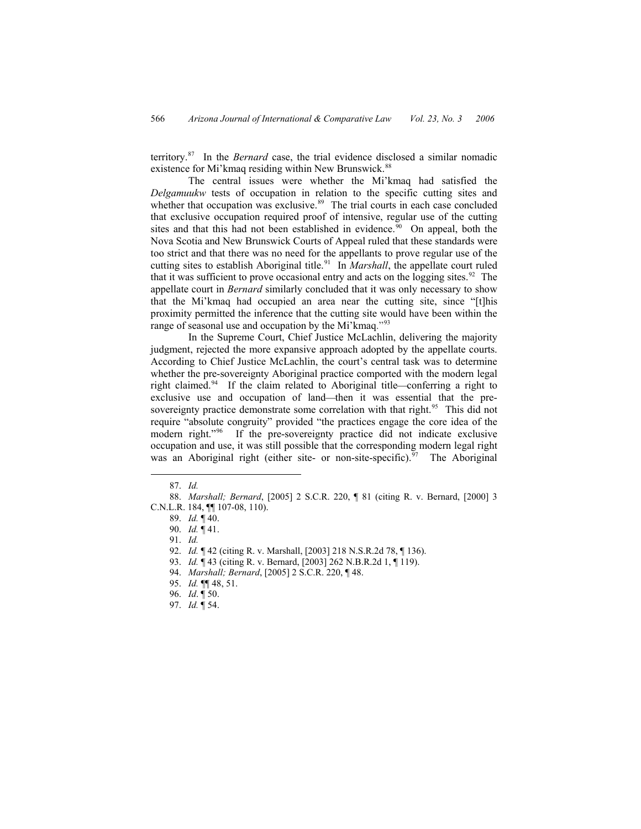territory.[87](#page-23-0) In the *Bernard* case, the trial evidence disclosed a similar nomadic existence for Mi'kmaq residing within New Brunswick.<sup>[88](#page-23-1)</sup>

The central issues were whether the Mi'kmaq had satisfied the *Delgamuukw* tests of occupation in relation to the specific cutting sites and whether that occupation was exclusive.<sup>[89](#page-23-2)</sup> The trial courts in each case concluded that exclusive occupation required proof of intensive, regular use of the cutting sites and that this had not been established in evidence.<sup>[90](#page-23-3)</sup> On appeal, both the Nova Scotia and New Brunswick Courts of Appeal ruled that these standards were too strict and that there was no need for the appellants to prove regular use of the cutting sites to establish Aboriginal title.<sup>[91](#page-23-4)</sup> In *Marshall*, the appellate court ruled that it was sufficient to prove occasional entry and acts on the logging sites.<sup>[92](#page-23-5)</sup> The appellate court in *Bernard* similarly concluded that it was only necessary to show that the Mi'kmaq had occupied an area near the cutting site, since "[t]his proximity permitted the inference that the cutting site would have been within the range of seasonal use and occupation by the Mi'kmaq."<sup>[93](#page-23-6)</sup>

In the Supreme Court, Chief Justice McLachlin, delivering the majority judgment, rejected the more expansive approach adopted by the appellate courts. According to Chief Justice McLachlin, the court's central task was to determine whether the pre-sovereignty Aboriginal practice comported with the modern legal right claimed.<sup>[94](#page-23-7)</sup> If the claim related to Aboriginal title—conferring a right to exclusive use and occupation of land—then it was essential that the pre-sovereignty practice demonstrate some correlation with that right.<sup>[95](#page-23-8)</sup> This did not require "absolute congruity" provided "the practices engage the core idea of the modern right."<sup>[96](#page-23-9)</sup> If the pre-sovereignty practice did not indicate exclusive occupation and use, it was still possible that the corresponding modern legal right was an Aboriginal right (either site- or non-site-specific). $97$  The Aboriginal

- 93. *Id.* ¶ 43 (citing R. v. Bernard, [2003] 262 N.B.R.2d 1, ¶ 119).
- 94. *Marshall; Bernard*, [2005] 2 S.C.R. 220, ¶ 48.
- 95. *Id.* ¶¶ 48, 51.
- 96. *Id*. ¶ 50.
- <span id="page-23-10"></span><span id="page-23-9"></span><span id="page-23-8"></span><span id="page-23-7"></span><span id="page-23-6"></span><span id="page-23-5"></span><span id="page-23-4"></span><span id="page-23-3"></span><span id="page-23-2"></span>97. *Id.* ¶ 54.

 <sup>87.</sup> *Id.*

<span id="page-23-1"></span><span id="page-23-0"></span><sup>88.</sup> *Marshall; Bernard*, [2005] 2 S.C.R. 220, ¶ 81 (citing R. v. Bernard, [2000] 3 C.N.L.R. 184, ¶¶ 107-08, 110).

<sup>89.</sup> *Id.* ¶ 40.

<sup>90.</sup> *Id.* ¶ 41.

<sup>91.</sup> *Id.*

<sup>92.</sup> *Id.* ¶ 42 (citing R. v. Marshall, [2003] 218 N.S.R.2d 78, ¶ 136).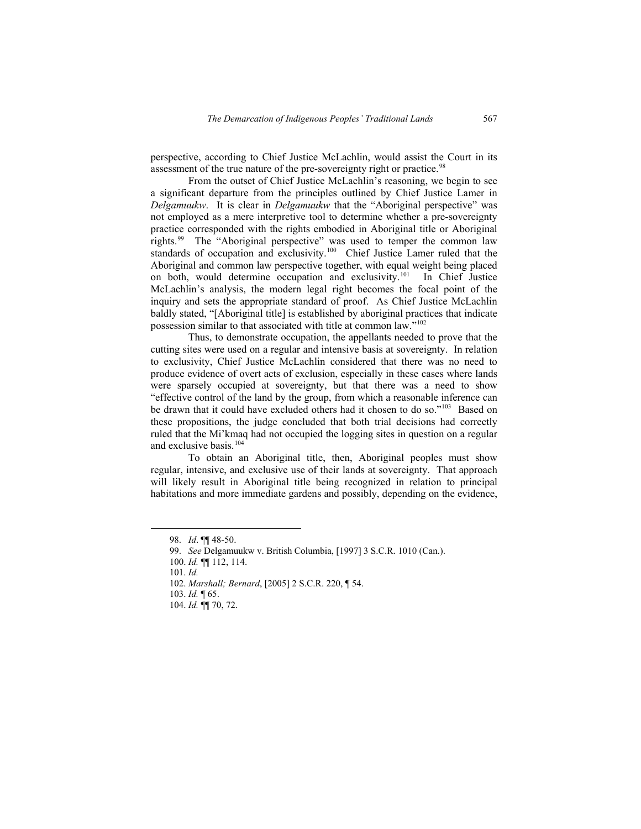perspective, according to Chief Justice McLachlin, would assist the Court in its assessment of the true nature of the pre-sovereignty right or practice.<sup>[98](#page-24-0)</sup>

From the outset of Chief Justice McLachlin's reasoning, we begin to see a significant departure from the principles outlined by Chief Justice Lamer in *Delgamuukw*. It is clear in *Delgamuukw* that the "Aboriginal perspective" was not employed as a mere interpretive tool to determine whether a pre-sovereignty practice corresponded with the rights embodied in Aboriginal title or Aboriginal rights.[99](#page-24-1) The "Aboriginal perspective" was used to temper the common law standards of occupation and exclusivity.<sup>[100](#page-24-2)</sup> Chief Justice Lamer ruled that the Aboriginal and common law perspective together, with equal weight being placed on both, would determine occupation and exclusivity[.101](#page-24-3) In Chief Justice McLachlin's analysis, the modern legal right becomes the focal point of the inquiry and sets the appropriate standard of proof. As Chief Justice McLachlin baldly stated, "[Aboriginal title] is established by aboriginal practices that indicate possession similar to that associated with title at common law.["102](#page-24-4)

Thus, to demonstrate occupation, the appellants needed to prove that the cutting sites were used on a regular and intensive basis at sovereignty. In relation to exclusivity, Chief Justice McLachlin considered that there was no need to produce evidence of overt acts of exclusion, especially in these cases where lands were sparsely occupied at sovereignty, but that there was a need to show "effective control of the land by the group, from which a reasonable inference can be drawn that it could have excluded others had it chosen to do so."<sup>[103](#page-24-5)</sup> Based on these propositions, the judge concluded that both trial decisions had correctly ruled that the Mi'kmaq had not occupied the logging sites in question on a regular and exclusive basis.<sup>[104](#page-24-6)</sup>

To obtain an Aboriginal title, then, Aboriginal peoples must show regular, intensive, and exclusive use of their lands at sovereignty. That approach will likely result in Aboriginal title being recognized in relation to principal habitations and more immediate gardens and possibly, depending on the evidence,

 <sup>98.</sup> *Id*. ¶¶ 48-50.

<sup>99.</sup> *See* Delgamuukw v. British Columbia, [1997] 3 S.C.R. 1010 (Can.).

<sup>100.</sup> *Id.* ¶¶ 112, 114.

<sup>101.</sup> *Id.*

<sup>102.</sup> *Marshall; Bernard*, [2005] 2 S.C.R. 220, ¶ 54.

<sup>103.</sup> *Id.* ¶ 65.

<span id="page-24-6"></span><span id="page-24-5"></span><span id="page-24-4"></span><span id="page-24-3"></span><span id="page-24-2"></span><span id="page-24-1"></span><span id="page-24-0"></span><sup>104.</sup> *Id.* ¶¶ 70, 72.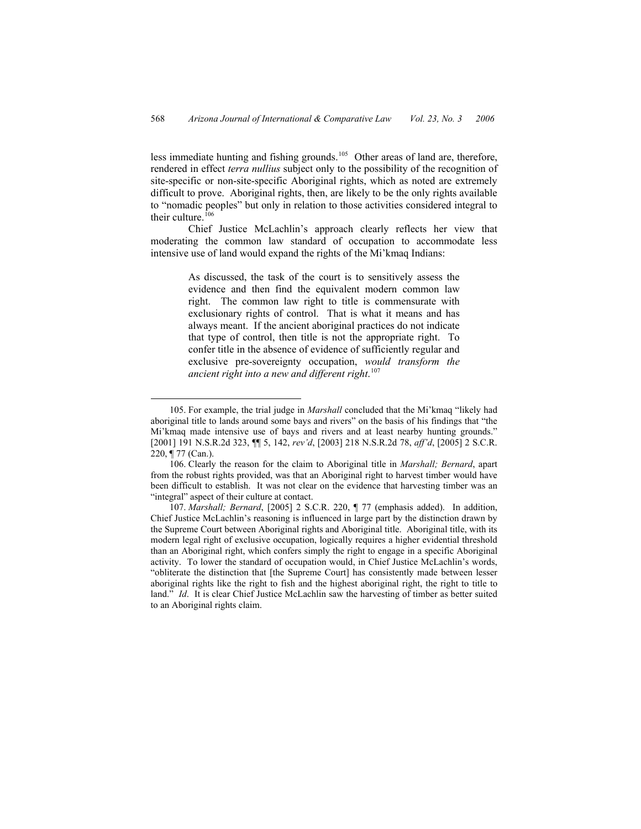less immediate hunting and fishing grounds.[105](#page-25-0) Other areas of land are, therefore, rendered in effect *terra nullius* subject only to the possibility of the recognition of site-specific or non-site-specific Aboriginal rights, which as noted are extremely difficult to prove. Aboriginal rights, then, are likely to be the only rights available to "nomadic peoples" but only in relation to those activities considered integral to their culture.<sup>[106](#page-25-1)</sup>

Chief Justice McLachlin's approach clearly reflects her view that moderating the common law standard of occupation to accommodate less intensive use of land would expand the rights of the Mi'kmaq Indians:

> As discussed, the task of the court is to sensitively assess the evidence and then find the equivalent modern common law right. The common law right to title is commensurate with exclusionary rights of control. That is what it means and has always meant. If the ancient aboriginal practices do not indicate that type of control, then title is not the appropriate right. To confer title in the absence of evidence of sufficiently regular and exclusive pre-sovereignty occupation, *would transform the ancient right into a new and different right*. [107](#page-25-2)

 <sup>105.</sup> For example, the trial judge in *Marshall* concluded that the Mi'kmaq "likely had aboriginal title to lands around some bays and rivers" on the basis of his findings that "the Mi'kmaq made intensive use of bays and rivers and at least nearby hunting grounds." [2001] 191 N.S.R.2d 323, ¶¶ 5, 142, *rev'd*, [2003] 218 N.S.R.2d 78, *aff'd*, [2005] 2 S.C.R. 220, ¶ 77 (Can.).

<span id="page-25-0"></span><sup>106.</sup> Clearly the reason for the claim to Aboriginal title in *Marshall; Bernard*, apart from the robust rights provided, was that an Aboriginal right to harvest timber would have been difficult to establish. It was not clear on the evidence that harvesting timber was an "integral" aspect of their culture at contact.

<span id="page-25-2"></span><span id="page-25-1"></span><sup>107.</sup> *Marshall; Bernard*, [2005] 2 S.C.R. 220, ¶ 77 (emphasis added). In addition, Chief Justice McLachlin's reasoning is influenced in large part by the distinction drawn by the Supreme Court between Aboriginal rights and Aboriginal title. Aboriginal title, with its modern legal right of exclusive occupation, logically requires a higher evidential threshold than an Aboriginal right, which confers simply the right to engage in a specific Aboriginal activity. To lower the standard of occupation would, in Chief Justice McLachlin's words, "obliterate the distinction that [the Supreme Court] has consistently made between lesser aboriginal rights like the right to fish and the highest aboriginal right, the right to title to land." *Id*. It is clear Chief Justice McLachlin saw the harvesting of timber as better suited to an Aboriginal rights claim.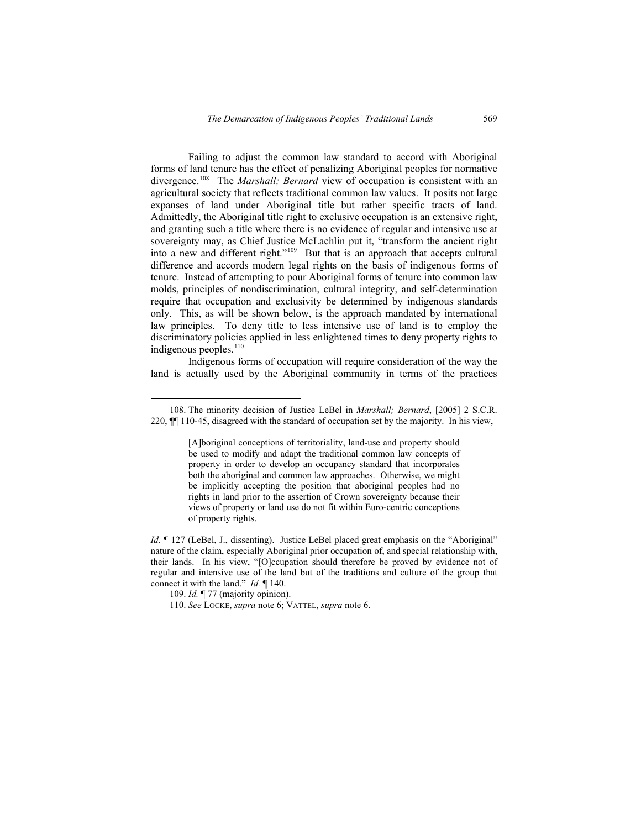Failing to adjust the common law standard to accord with Aboriginal forms of land tenure has the effect of penalizing Aboriginal peoples for normative divergence.<sup>[108](#page-26-0)</sup> The *Marshall; Bernard* view of occupation is consistent with an agricultural society that reflects traditional common law values. It posits not large expanses of land under Aboriginal title but rather specific tracts of land. Admittedly, the Aboriginal title right to exclusive occupation is an extensive right, and granting such a title where there is no evidence of regular and intensive use at sovereignty may, as Chief Justice McLachlin put it, "transform the ancient right into a new and different right."[109](#page-26-1) But that is an approach that accepts cultural difference and accords modern legal rights on the basis of indigenous forms of tenure. Instead of attempting to pour Aboriginal forms of tenure into common law molds, principles of nondiscrimination, cultural integrity, and self-determination require that occupation and exclusivity be determined by indigenous standards only. This, as will be shown below, is the approach mandated by international law principles. To deny title to less intensive use of land is to employ the discriminatory policies applied in less enlightened times to deny property rights to indigenous peoples.<sup>[110](#page-26-2)</sup>

Indigenous forms of occupation will require consideration of the way the land is actually used by the Aboriginal community in terms of the practices

 <sup>108.</sup> The minority decision of Justice LeBel in *Marshall; Bernard*, [2005] 2 S.C.R. 220, ¶¶ 110-45, disagreed with the standard of occupation set by the majority. In his view,

<sup>[</sup>A]boriginal conceptions of territoriality, land-use and property should be used to modify and adapt the traditional common law concepts of property in order to develop an occupancy standard that incorporates both the aboriginal and common law approaches. Otherwise, we might be implicitly accepting the position that aboriginal peoples had no rights in land prior to the assertion of Crown sovereignty because their views of property or land use do not fit within Euro-centric conceptions of property rights.

<span id="page-26-0"></span>*Id.*  $\parallel$  127 (LeBel, J., dissenting). Justice LeBel placed great emphasis on the "Aboriginal" nature of the claim, especially Aboriginal prior occupation of, and special relationship with, their lands. In his view, "[O]ccupation should therefore be proved by evidence not of regular and intensive use of the land but of the traditions and culture of the group that connect it with the land." *Id.* ¶ 140.

<sup>109.</sup> *Id.* ¶ 77 (majority opinion).

<span id="page-26-2"></span><span id="page-26-1"></span><sup>110.</sup> *See* LOCKE, *supra* note 6; VATTEL, *supra* note 6.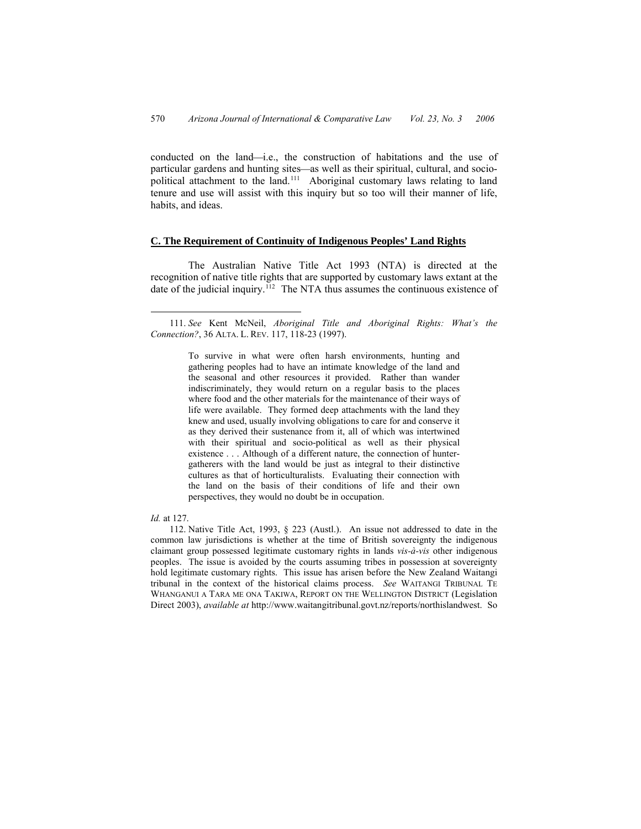conducted on the land—i.e., the construction of habitations and the use of particular gardens and hunting sites—as well as their spiritual, cultural, and socio-political attachment to the land.<sup>[111](#page-27-0)</sup> Aboriginal customary laws relating to land tenure and use will assist with this inquiry but so too will their manner of life, habits, and ideas.

### **C. The Requirement of Continuity of Indigenous Peoples' Land Rights**

The Australian Native Title Act 1993 (NTA) is directed at the recognition of native title rights that are supported by customary laws extant at the date of the judicial inquiry.<sup>[112](#page-27-1)</sup> The NTA thus assumes the continuous existence of

#### *Id.* at 127.

<span id="page-27-1"></span>112. Native Title Act, 1993, § 223 (Austl.). An issue not addressed to date in the common law jurisdictions is whether at the time of British sovereignty the indigenous claimant group possessed legitimate customary rights in lands *vis-à-vis* other indigenous peoples. The issue is avoided by the courts assuming tribes in possession at sovereignty hold legitimate customary rights. This issue has arisen before the New Zealand Waitangi tribunal in the context of the historical claims process. *See* WAITANGI TRIBUNAL TE WHANGANUI A TARA ME ONA TAKIWA, REPORT ON THE WELLINGTON DISTRICT (Legislation Direct 2003), *available at* http://www.waitangitribunal.govt.nz/reports/northislandwest. So

<span id="page-27-0"></span> <sup>111.</sup> *See* Kent McNeil, *Aboriginal Title and Aboriginal Rights: What's the Connection?*, 36 ALTA. L. REV. 117, 118-23 (1997).

To survive in what were often harsh environments, hunting and gathering peoples had to have an intimate knowledge of the land and the seasonal and other resources it provided. Rather than wander indiscriminately, they would return on a regular basis to the places where food and the other materials for the maintenance of their ways of life were available. They formed deep attachments with the land they knew and used, usually involving obligations to care for and conserve it as they derived their sustenance from it, all of which was intertwined with their spiritual and socio-political as well as their physical existence . . . Although of a different nature, the connection of huntergatherers with the land would be just as integral to their distinctive cultures as that of horticulturalists. Evaluating their connection with the land on the basis of their conditions of life and their own perspectives, they would no doubt be in occupation.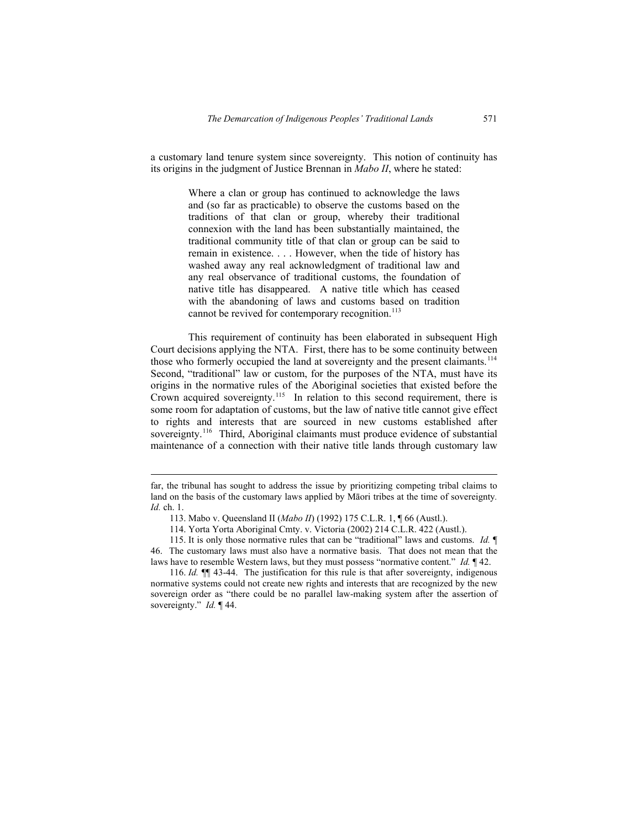a customary land tenure system since sovereignty. This notion of continuity has its origins in the judgment of Justice Brennan in *Mabo II*, where he stated:

> Where a clan or group has continued to acknowledge the laws and (so far as practicable) to observe the customs based on the traditions of that clan or group, whereby their traditional connexion with the land has been substantially maintained, the traditional community title of that clan or group can be said to remain in existence. . . . However, when the tide of history has washed away any real acknowledgment of traditional law and any real observance of traditional customs, the foundation of native title has disappeared. A native title which has ceased with the abandoning of laws and customs based on tradition cannot be revived for contemporary recognition.<sup>[113](#page-28-0)</sup>

This requirement of continuity has been elaborated in subsequent High Court decisions applying the NTA. First, there has to be some continuity between those who formerly occupied the land at sovereignty and the present claimants.<sup>[114](#page-28-1)</sup> Second, "traditional" law or custom, for the purposes of the NTA, must have its origins in the normative rules of the Aboriginal societies that existed before the Crown acquired sovereignty.<sup>[115](#page-28-2)</sup> In relation to this second requirement, there is some room for adaptation of customs, but the law of native title cannot give effect to rights and interests that are sourced in new customs established after sovereignty.<sup>[116](#page-28-3)</sup> Third, Aboriginal claimants must produce evidence of substantial maintenance of a connection with their native title lands through customary law

 $\overline{a}$ 

far, the tribunal has sought to address the issue by prioritizing competing tribal claims to land on the basis of the customary laws applied by Māori tribes at the time of sovereignty*. Id.* ch. 1.

<sup>113.</sup> Mabo v. Queensland II (*Mabo II*) (1992) 175 C.L.R. 1, ¶ 66 (Austl.).

<sup>114.</sup> Yorta Yorta Aboriginal Cmty. v. Victoria (2002) [214 C.L.R. 422](http://www.austlii.edu.au/au/cases/cth/high_ct/214clr422.html) (Austl.).

<sup>115.</sup> It is only those normative rules that can be "traditional" laws and customs. *Id.* ¶ 46. The customary laws must also have a normative basis. That does not mean that the laws have to resemble Western laws, but they must possess "normative content." *Id.* ¶ 42.

<span id="page-28-3"></span><span id="page-28-2"></span><span id="page-28-1"></span><span id="page-28-0"></span><sup>116.</sup> *Id.* ¶¶ 43-44. The justification for this rule is that after sovereignty, indigenous normative systems could not create new rights and interests that are recognized by the new sovereign order as "there could be no parallel law-making system after the assertion of sovereignty." *Id.* ¶ 44.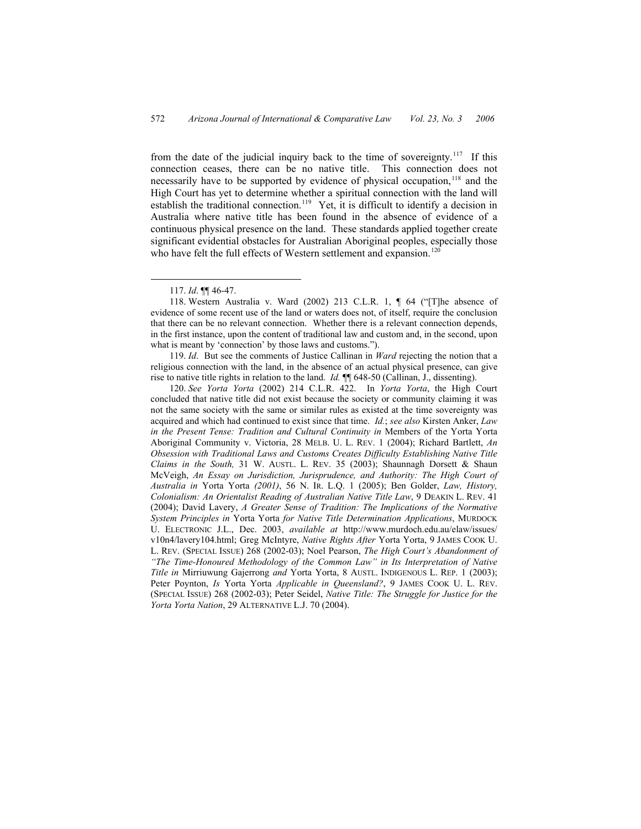from the date of the judicial inquiry back to the time of sovereignty.<sup>[117](#page-29-0)</sup> If this connection ceases, there can be no native title. This connection does not necessarily have to be supported by evidence of physical occupation,  $118$  and the High Court has yet to determine whether a spiritual connection with the land will establish the traditional connection.<sup>[119](#page-29-2)</sup> Yet, it is difficult to identify a decision in Australia where native title has been found in the absence of evidence of a continuous physical presence on the land. These standards applied together create significant evidential obstacles for Australian Aboriginal peoples, especially those who have felt the full effects of Western settlement and expansion.<sup>[120](#page-29-3)</sup>

<span id="page-29-0"></span>119. *Id*. But see the comments of Justice Callinan in *Ward* rejecting the notion that a religious connection with the land, in the absence of an actual physical presence, can give rise to native title rights in relation to the land. *Id.* ¶¶ 648-50 (Callinan, J., dissenting).

<span id="page-29-3"></span><span id="page-29-2"></span><span id="page-29-1"></span>120. *See Yorta Yorta* (2002) [214 C.L.R. 422](http://www.austlii.edu.au/au/cases/cth/high_ct/214clr422.html). In *Yorta Yorta*, the High Court concluded that native title did not exist because the society or community claiming it was not the same society with the same or similar rules as existed at the time sovereignty was acquired and which had continued to exist since that time. *Id.*; *see also* Kirsten Anker, *Law in the Present Tense: Tradition and Cultural Continuity in* Members of the Yorta Yorta Aboriginal Community v. Victoria, 28 MELB. U. L. REV. 1 (2004); Richard Bartlett, *An Obsession with Traditional Laws and Customs Creates Difficulty Establishing Native Title Claims in the South,* 31 W. AUSTL. L. REV. 35 (2003); Shaunnagh Dorsett & Shaun McVeigh, *An Essay on Jurisdiction, Jurisprudence, and Authority: The High Court of Australia in* Yorta Yorta *(2001)*, 56 N. IR. L.Q. 1 (2005); Ben Golder, *Law, History, Colonialism: An Orientalist Reading of Australian Native Title Law*, 9 DEAKIN L. REV. 41 (2004); David Lavery, *A Greater Sense of Tradition: The Implications of the Normative System Principles in* Yorta Yorta *for Native Title Determination Applications*, MURDOCK U. ELECTRONIC J.L., Dec. 2003, *available at* http://www.murdoch.edu.au/elaw/issues/ v10n4/lavery104.html; Greg McIntyre, *Native Rights After* Yorta Yorta, 9 JAMES COOK U. L. REV. (SPECIAL ISSUE) 268 (2002-03); Noel Pearson, *The High Court's Abandonment of "The Time-Honoured Methodology of the Common Law" in Its Interpretation of Native Title in* Mirriuwung Gajerrong *and* Yorta Yorta, 8 AUSTL. INDIGENOUS L. REP. 1 (2003); Peter Poynton, *Is* Yorta Yorta *Applicable in Queensland?*, 9 JAMES COOK U. L. REV. (SPECIAL ISSUE) 268 (2002-03); Peter Seidel, *Native Title: The Struggle for Justice for the Yorta Yorta Nation*, 29 ALTERNATIVE L.J. 70 (2004).

 <sup>117.</sup> *Id*. ¶¶ 46-47.

<sup>118.</sup> Western Australia v. Ward (2002) 213 C.L.R. 1, ¶ 64 ("[T]he absence of evidence of some recent use of the land or waters does not, of itself, require the conclusion that there can be no relevant connection. Whether there is a relevant connection depends, in the first instance, upon the content of traditional law and custom and, in the second, upon what is meant by 'connection' by those laws and customs.").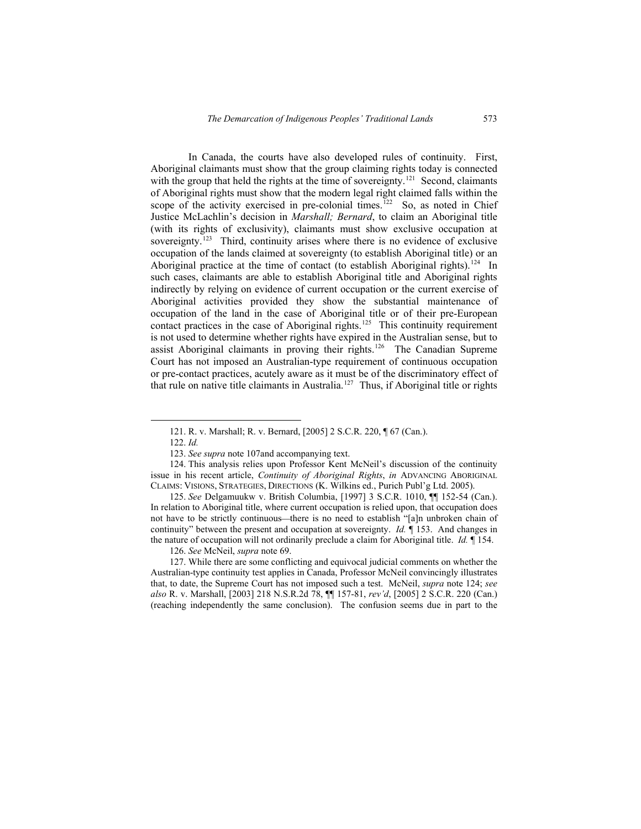In Canada, the courts have also developed rules of continuity. First, Aboriginal claimants must show that the group claiming rights today is connected with the group that held the rights at the time of sovereignty.<sup>[121](#page-30-0)</sup> Second, claimants of Aboriginal rights must show that the modern legal right claimed falls within the scope of the activity exercised in pre-colonial times.<sup>[122](#page-30-1)</sup> So, as noted in Chief Justice McLachlin's decision in *Marshall; Bernard*, to claim an Aboriginal title (with its rights of exclusivity), claimants must show exclusive occupation at sovereignty.<sup>[123](#page-30-2)</sup> Third, continuity arises where there is no evidence of exclusive occupation of the lands claimed at sovereignty (to establish Aboriginal title) or an Aboriginal practice at the time of contact (to establish Aboriginal rights).<sup>[124](#page-30-3)</sup> In such cases, claimants are able to establish Aboriginal title and Aboriginal rights indirectly by relying on evidence of current occupation or the current exercise of Aboriginal activities provided they show the substantial maintenance of occupation of the land in the case of Aboriginal title or of their pre-European contact practices in the case of Aboriginal rights.<sup>[125](#page-30-4)</sup> This continuity requirement is not used to determine whether rights have expired in the Australian sense, but to assist Aboriginal claimants in proving their rights.[126](#page-30-5) The Canadian Supreme Court has not imposed an Australian-type requirement of continuous occupation or pre-contact practices, acutely aware as it must be of the discriminatory effect of that rule on native title claimants in Australia.<sup>[127](#page-30-6)</sup> Thus, if Aboriginal title or rights

 <sup>121.</sup> R. v. Marshall; R. v. Bernard, [2005] 2 S.C.R. 220, ¶ 67 (Can.).

<sup>122.</sup> *Id.*

<sup>123.</sup> *See supra* note 107and accompanying text.

<sup>124.</sup> This analysis relies upon Professor Kent McNeil's discussion of the continuity issue in his recent article, *Continuity of Aboriginal Rights*, *in* ADVANCING ABORIGINAL CLAIMS: VISIONS, STRATEGIES, DIRECTIONS (K. Wilkins ed., Purich Publ'g Ltd. 2005).

<span id="page-30-2"></span><span id="page-30-1"></span><span id="page-30-0"></span><sup>125.</sup> *See* Delgamuukw v. British Columbia, [1997] 3 S.C.R. 1010, ¶¶ 152-54 (Can.). In relation to Aboriginal title, where current occupation is relied upon, that occupation does not have to be strictly continuous—there is no need to establish "[a]n unbroken chain of continuity" between the present and occupation at sovereignty. *Id.* ¶ 153. And changes in the nature of occupation will not ordinarily preclude a claim for Aboriginal title. *Id.* ¶ 154.

<sup>126.</sup> *See* McNeil, *supra* note 69.

<span id="page-30-6"></span><span id="page-30-5"></span><span id="page-30-4"></span><span id="page-30-3"></span><sup>127.</sup> While there are some conflicting and equivocal judicial comments on whether the Australian-type continuity test applies in Canada, Professor McNeil convincingly illustrates that, to date, the Supreme Court has not imposed such a test. McNeil, *supra* note 124; *see also* R. v. Marshall, [2003] 218 N.S.R.2d 78, ¶¶ 157-81, *rev'd*, [2005] 2 S.C.R. 220 (Can.) (reaching independently the same conclusion). The confusion seems due in part to the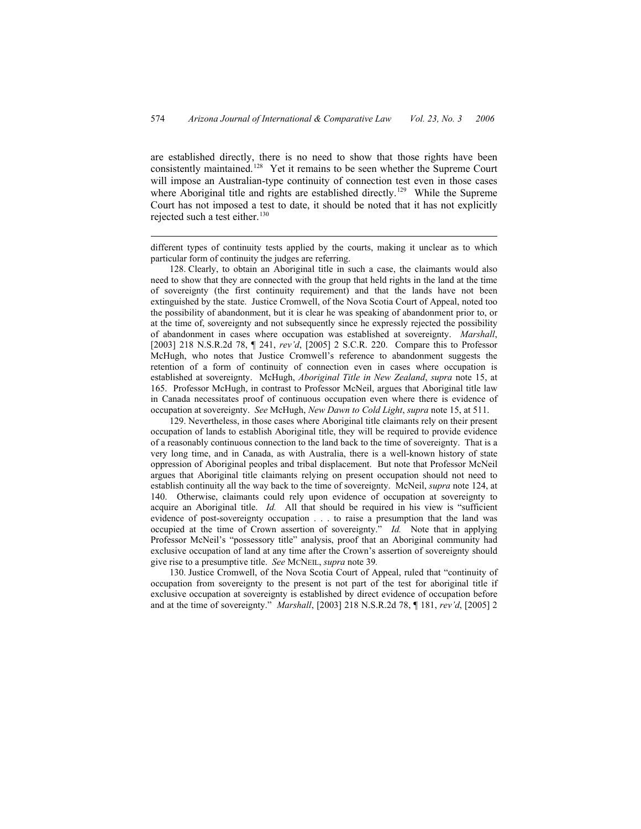are established directly, there is no need to show that those rights have been consistently maintained.<sup>[128](#page-31-0)</sup> Yet it remains to be seen whether the Supreme Court will impose an Australian-type continuity of connection test even in those cases where Aboriginal title and rights are established directly.<sup>[129](#page-31-1)</sup> While the Supreme Court has not imposed a test to date, it should be noted that it has not explicitly rejected such a test either. $130$ 

different types of continuity tests applied by the courts, making it unclear as to which particular form of continuity the judges are referring.

 $\overline{a}$ 

<span id="page-31-0"></span>128. Clearly, to obtain an Aboriginal title in such a case, the claimants would also need to show that they are connected with the group that held rights in the land at the time of sovereignty (the first continuity requirement) and that the lands have not been extinguished by the state. Justice Cromwell, of the Nova Scotia Court of Appeal, noted too the possibility of abandonment, but it is clear he was speaking of abandonment prior to, or at the time of, sovereignty and not subsequently since he expressly rejected the possibility of abandonment in cases where occupation was established at sovereignty. *Marshall*, [2003] 218 N.S.R.2d 78, ¶ 241, *rev'd*, [2005] 2 S.C.R. 220. Compare this to Professor McHugh, who notes that Justice Cromwell's reference to abandonment suggests the retention of a form of continuity of connection even in cases where occupation is established at sovereignty. McHugh, *Aboriginal Title in New Zealand*, *supra* note 15, at 165. Professor McHugh, in contrast to Professor McNeil, argues that Aboriginal title law in Canada necessitates proof of continuous occupation even where there is evidence of occupation at sovereignty. *See* McHugh, *New Dawn to Cold Light*, *supra* note 15, at 511.

<span id="page-31-1"></span>129. Nevertheless, in those cases where Aboriginal title claimants rely on their present occupation of lands to establish Aboriginal title, they will be required to provide evidence of a reasonably continuous connection to the land back to the time of sovereignty. That is a very long time, and in Canada, as with Australia, there is a well-known history of state oppression of Aboriginal peoples and tribal displacement. But note that Professor McNeil argues that Aboriginal title claimants relying on present occupation should not need to establish continuity all the way back to the time of sovereignty. McNeil, *supra* note 124, at 140. Otherwise, claimants could rely upon evidence of occupation at sovereignty to acquire an Aboriginal title. *Id.* All that should be required in his view is "sufficient evidence of post-sovereignty occupation . . . to raise a presumption that the land was occupied at the time of Crown assertion of sovereignty." *Id.* Note that in applying Professor McNeil's "possessory title" analysis, proof that an Aboriginal community had exclusive occupation of land at any time after the Crown's assertion of sovereignty should give rise to a presumptive title. *See* MCNEIL, *supra* note 39*.*

<span id="page-31-2"></span>130. Justice Cromwell, of the Nova Scotia Court of Appeal, ruled that "continuity of occupation from sovereignty to the present is not part of the test for aboriginal title if exclusive occupation at sovereignty is established by direct evidence of occupation before and at the time of sovereignty." *Marshall*, [2003] 218 N.S.R.2d 78, ¶ 181, *rev'd*, [2005] 2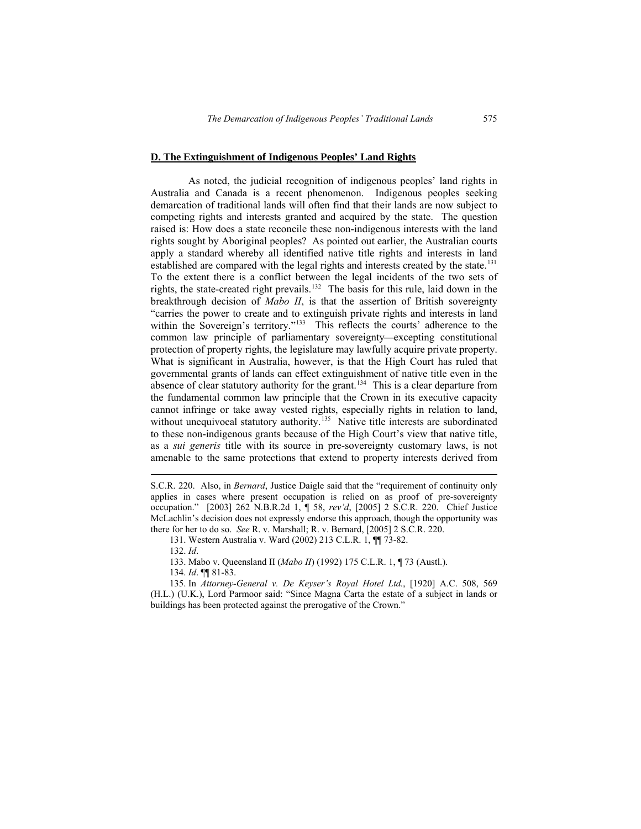#### **D. The Extinguishment of Indigenous Peoples' Land Rights**

As noted, the judicial recognition of indigenous peoples' land rights in Australia and Canada is a recent phenomenon. Indigenous peoples seeking demarcation of traditional lands will often find that their lands are now subject to competing rights and interests granted and acquired by the state. The question raised is: How does a state reconcile these non-indigenous interests with the land rights sought by Aboriginal peoples? As pointed out earlier, the Australian courts apply a standard whereby all identified native title rights and interests in land established are compared with the legal rights and interests created by the state.<sup>[131](#page-32-0)</sup> To the extent there is a conflict between the legal incidents of the two sets of rights, the state-created right prevails.[132](#page-32-1) The basis for this rule, laid down in the breakthrough decision of *Mabo II*, is that the assertion of British sovereignty "carries the power to create and to extinguish private rights and interests in land within the Sovereign's territory."<sup>[133](#page-32-2)</sup> This reflects the courts' adherence to the common law principle of parliamentary sovereignty—excepting constitutional protection of property rights, the legislature may lawfully acquire private property. What is significant in Australia, however, is that the High Court has ruled that governmental grants of lands can effect extinguishment of native title even in the absence of clear statutory authority for the grant.<sup>[134](#page-32-3)</sup> This is a clear departure from the fundamental common law principle that the Crown in its executive capacity cannot infringe or take away vested rights, especially rights in relation to land, without unequivocal statutory authority.<sup>[135](#page-32-4)</sup> Native title interests are subordinated to these non-indigenous grants because of the High Court's view that native title, as a *sui generis* title with its source in pre-sovereignty customary laws, is not amenable to the same protections that extend to property interests derived from

132. *Id*.

 $\overline{a}$ 

133. Mabo v. Queensland II (*Mabo II*) (1992) 175 C.L.R. 1, ¶ 73 (Austl.).

134. *Id*. ¶¶ 81-83.

<span id="page-32-4"></span><span id="page-32-3"></span><span id="page-32-2"></span><span id="page-32-1"></span><span id="page-32-0"></span>135. In *Attorney-General v. De Keyser's Royal Hotel Ltd.*, [1920] A.C. 508, 569 (H.L.) (U.K.), Lord Parmoor said: "Since Magna Carta the estate of a subject in lands or buildings has been protected against the prerogative of the Crown."

S.C.R. 220. Also, in *Bernard*, Justice Daigle said that the "requirement of continuity only applies in cases where present occupation is relied on as proof of pre-sovereignty occupation." [2003] 262 N.B.R.2d 1, ¶ 58, *rev'd*, [2005] 2 S.C.R. 220. Chief Justice McLachlin's decision does not expressly endorse this approach, though the opportunity was there for her to do so. *See* R. v. Marshall; R. v. Bernard, [2005] 2 S.C.R. 220.

<sup>131.</sup> Western Australia v. Ward (2002) 213 C.L.R. 1, ¶¶ 73-82.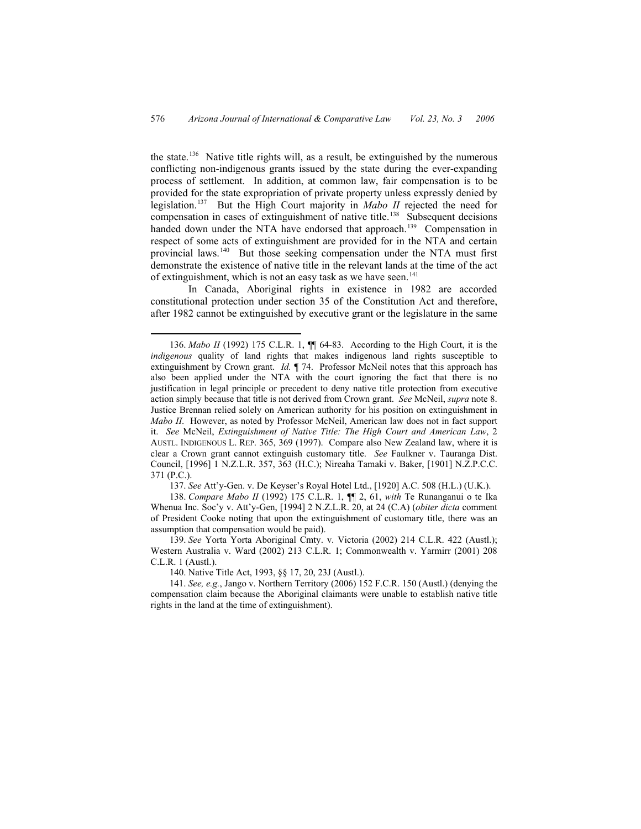the state.[136](#page-33-0) Native title rights will, as a result, be extinguished by the numerous conflicting non-indigenous grants issued by the state during the ever-expanding process of settlement. In addition, at common law, fair compensation is to be provided for the state expropriation of private property unless expressly denied by legislation.[137](#page-33-1) But the High Court majority in *Mabo II* rejected the need for compensation in cases of extinguishment of native title.<sup>[138](#page-33-2)</sup> Subsequent decisions handed down under the NTA have endorsed that approach.<sup>[139](#page-33-3)</sup> Compensation in respect of some acts of extinguishment are provided for in the NTA and certain provincial laws.<sup>[140](#page-33-4)</sup> But those seeking compensation under the NTA must first demonstrate the existence of native title in the relevant lands at the time of the act of extinguishment, which is not an easy task as we have seen.<sup>[141](#page-33-5)</sup>

In Canada, Aboriginal rights in existence in 1982 are accorded constitutional protection under section 35 of the Constitution Act and therefore, after 1982 cannot be extinguished by executive grant or the legislature in the same

137. *See* Att'y-Gen. v. De Keyser's Royal Hotel Ltd., [1920] A.C. 508 (H.L.) (U.K.).

138. *Compare Mabo II* (1992) 175 C.L.R. 1, ¶¶ 2, 61, *with* Te Runanganui o te Ika Whenua Inc. Soc'y v. Att'y-Gen, [1994] 2 N.Z.L.R. 20, at 24 (C.A) (*obiter dicta* comment of President Cooke noting that upon the extinguishment of customary title, there was an assumption that compensation would be paid).

<span id="page-33-1"></span>139. *See* Yorta Yorta Aboriginal Cmty. v. Victoria (2002) [214 C.L.R. 422](http://www.austlii.edu.au/au/cases/cth/high_ct/214clr422.html) (Austl.); Western Australia v. Ward (2002) 213 C.L.R. 1; Commonwealth v. Yarmirr (2001) 208 C.L.R. 1 (Austl.).

140. Native Title Act, 1993, §§ 17, 20, 23J (Austl.).

<span id="page-33-5"></span><span id="page-33-4"></span><span id="page-33-3"></span><span id="page-33-2"></span>141. *See, e.g.*, Jango v. Northern Territory (2006) 152 F.C.R. 150 (Austl.) (denying the compensation claim because the Aboriginal claimants were unable to establish native title rights in the land at the time of extinguishment).

<span id="page-33-0"></span> <sup>136.</sup> *Mabo II* (1992) 175 C.L.R. 1, ¶¶ 64-83. According to the High Court, it is the *indigenous* quality of land rights that makes indigenous land rights susceptible to extinguishment by Crown grant. *Id.* ¶ 74. Professor McNeil notes that this approach has also been applied under the NTA with the court ignoring the fact that there is no justification in legal principle or precedent to deny native title protection from executive action simply because that title is not derived from Crown grant. *See* McNeil, *supra* note 8. Justice Brennan relied solely on American authority for his position on extinguishment in *Mabo II*. However, as noted by Professor McNeil, American law does not in fact support it. *See* McNeil, *Extinguishment of Native Title: The High Court and American Law*, 2 AUSTL. INDIGENOUS L. REP. 365, 369 (1997). Compare also New Zealand law, where it is clear a Crown grant cannot extinguish customary title. *See* Faulkner v. Tauranga Dist. Council, [1996] 1 N.Z.L.R. 357, 363 (H.C.); Nireaha Tamaki v. Baker, [1901] N.Z.P.C.C. 371 (P.C.).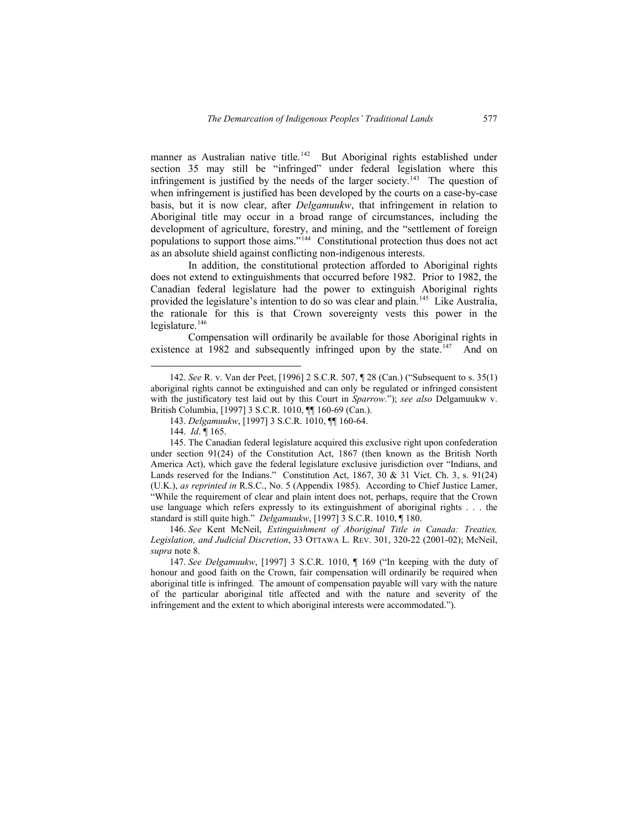manner as Australian native title.<sup>[142](#page-34-0)</sup> But Aboriginal rights established under section 35 may still be "infringed" under federal legislation where this infringement is justified by the needs of the larger society.<sup>[143](#page-34-1)</sup> The question of when infringement is justified has been developed by the courts on a case-by-case basis, but it is now clear, after *Delgamuukw*, that infringement in relation to Aboriginal title may occur in a broad range of circumstances, including the development of agriculture, forestry, and mining, and the "settlement of foreign populations to support those aims."<sup>[144](#page-34-2)</sup> Constitutional protection thus does not act as an absolute shield against conflicting non-indigenous interests.

In addition, the constitutional protection afforded to Aboriginal rights does not extend to extinguishments that occurred before 1982. Prior to 1982, the Canadian federal legislature had the power to extinguish Aboriginal rights provided the legislature's intention to do so was clear and plain.<sup>[145](#page-34-3)</sup> Like Australia, the rationale for this is that Crown sovereignty vests this power in the legislature. $146$ 

Compensation will ordinarily be available for those Aboriginal rights in existence at 1982 and subsequently infringed upon by the state.<sup>[147](#page-34-5)</sup> And on

<span id="page-34-3"></span><span id="page-34-2"></span><span id="page-34-1"></span>146. *See* Kent McNeil, *Extinguishment of Aboriginal Title in Canada: Treaties, Legislation, and Judicial Discretion*, 33 OTTAWA L. REV. 301, 320-22 (2001-02); McNeil, *supra* note 8.

 <sup>142.</sup> *See* R. v. Van der Peet, [\[1996\] 2 S.C.R. 507](http://www.lexum.umontreal.ca/csc-scc/en/pub/1996/vol2/html/1996scr2_0507.html), ¶ 28 (Can.) ("Subsequent to s. 35(1) aboriginal rights cannot be extinguished and can only be regulated or infringed consistent with the justificatory test laid out by this Court in *Sparrow*."); *see also* Delgamuukw v. British Columbia, [1997] 3 S.C.R. 1010, ¶¶ 160-69 (Can.).

<sup>143.</sup> *Delgamuukw*, [1997] 3 S.C.R. 1010, ¶¶ 160-64.

<sup>144.</sup> *Id*. ¶ 165.

<span id="page-34-0"></span><sup>145.</sup> The Canadian federal legislature acquired this exclusive right upon confederation under section 91(24) of the Constitution Act, 1867 (then known as the British North America Act), which gave the federal legislature exclusive jurisdiction over "Indians, and Lands reserved for the Indians." Constitution Act,  $1867$ ,  $30 \& 31$  Vict. Ch. 3, s. 91(24) (U.K.), *as reprinted in* R.S.C., No. 5 (Appendix 1985). According to Chief Justice Lamer, "While the requirement of clear and plain intent does not, perhaps, require that the Crown use language which refers expressly to its extinguishment of aboriginal rights . . . the standard is still quite high." *Delgamuukw*, [1997] 3 S.C.R. 1010, ¶ 180.

<span id="page-34-5"></span><span id="page-34-4"></span><sup>147.</sup> *See Delgamuukw*, [1997] 3 S.C.R. 1010, ¶ 169 ("In keeping with the duty of honour and good faith on the Crown, fair compensation will ordinarily be required when aboriginal title is infringed. The amount of compensation payable will vary with the nature of the particular aboriginal title affected and with the nature and severity of the infringement and the extent to which aboriginal interests were accommodated.").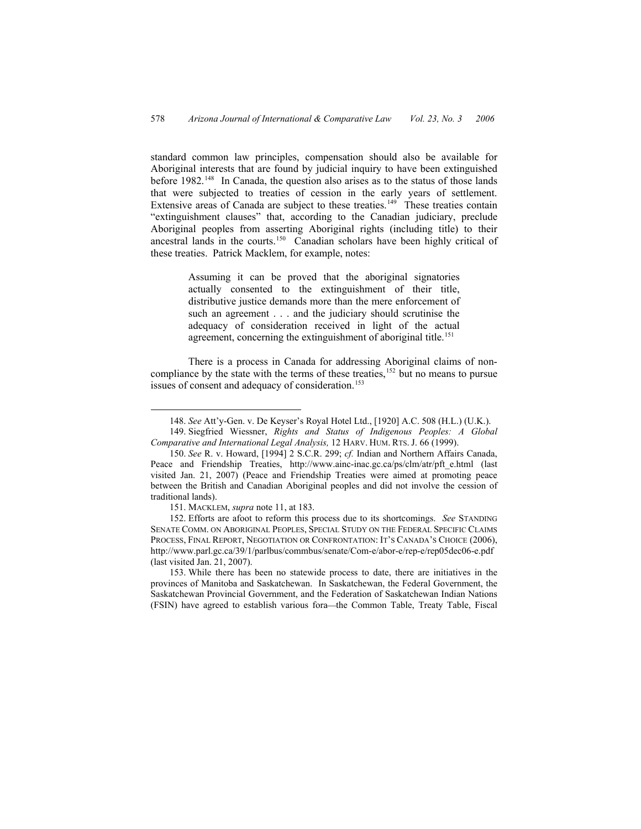standard common law principles, compensation should also be available for Aboriginal interests that are found by judicial inquiry to have been extinguished before 1982.<sup>[148](#page-35-0)</sup> In Canada, the question also arises as to the status of those lands that were subjected to treaties of cession in the early years of settlement. Extensive areas of Canada are subject to these treaties.<sup>[149](#page-35-1)</sup> These treaties contain "extinguishment clauses" that, according to the Canadian judiciary, preclude Aboriginal peoples from asserting Aboriginal rights (including title) to their ancestral lands in the courts.[150](#page-35-2) Canadian scholars have been highly critical of these treaties. Patrick Macklem, for example, notes:

> Assuming it can be proved that the aboriginal signatories actually consented to the extinguishment of their title, distributive justice demands more than the mere enforcement of such an agreement . . . and the judiciary should scrutinise the adequacy of consideration received in light of the actual agreement, concerning the extinguishment of aboriginal title.<sup>[151](#page-35-3)</sup>

There is a process in Canada for addressing Aboriginal claims of non-compliance by the state with the terms of these treaties,<sup>[152](#page-35-4)</sup> but no means to pursue issues of consent and adequacy of consideration.<sup>[153](#page-35-5)</sup>

 <sup>148.</sup> *See* Att'y-Gen. v. De Keyser's Royal Hotel Ltd., [1920] A.C. 508 (H.L.) (U.K.).

<sup>149.</sup> Siegfried Wiessner, *Rights and Status of Indigenous Peoples: A Global Comparative and International Legal Analysis,* 12 HARV. HUM. RTS. J. 66 (1999).

<sup>150.</sup> *See* R. v. Howard, [1994] 2 S.C.R. 299; *cf.* Indian and Northern Affairs Canada, Peace and Friendship Treaties, http://www.ainc-inac.gc.ca/ps/clm/atr/pft e.html (last visited Jan. 21, 2007) (Peace and Friendship Treaties were aimed at promoting peace between the British and Canadian Aboriginal peoples and did not involve the cession of traditional lands).

<sup>151.</sup> MACKLEM, *supra* note 11, at 183.

<span id="page-35-2"></span><span id="page-35-1"></span><span id="page-35-0"></span><sup>152.</sup> Efforts are afoot to reform this process due to its shortcomings. *See* STANDING SENATE COMM. ON ABORIGINAL PEOPLES, SPECIAL STUDY ON THE FEDERAL SPECIFIC CLAIMS PROCESS, FINAL REPORT, NEGOTIATION OR CONFRONTATION: IT'S CANADA'S CHOICE (2006), <http://www.parl.gc.ca/39/1/parlbus/commbus/senate/Com-e/abor-e/rep-e/rep05dec06-e.pdf> (last visited Jan. 21, 2007).

<span id="page-35-5"></span><span id="page-35-4"></span><span id="page-35-3"></span><sup>153.</sup> While there has been no statewide process to date, there are initiatives in the provinces of Manitoba and Saskatchewan. In Saskatchewan, the Federal Government, the Saskatchewan Provincial Government, and the Federation of Saskatchewan Indian Nations (FSIN) have agreed to establish various fora—the Common Table, Treaty Table, Fiscal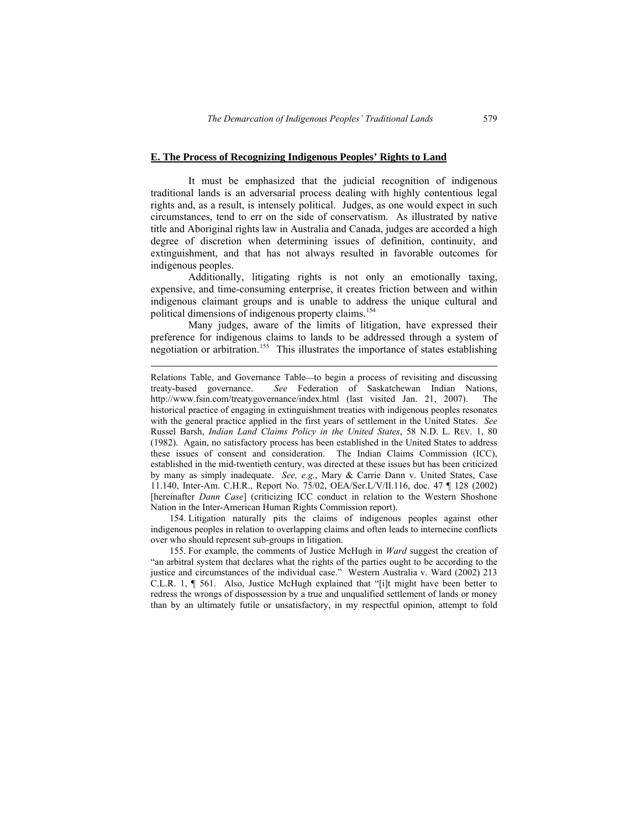#### **E. The Process of Recognizing Indigenous Peoples' Rights to Land**

It must be emphasized that the judicial recognition of indigenous traditional lands is an adversarial process dealing with highly contentious legal rights and, as a result, is intensely political. Judges, as one would expect in such circumstances, tend to err on the side of conservatism. As illustrated by native title and Aboriginal rights law in Australia and Canada, judges are accorded a high degree of discretion when determining issues of definition, continuity, and extinguishment, and that has not always resulted in favorable outcomes for indigenous peoples.

Additionally, litigating rights is not only an emotionally taxing, expensive, and time-consuming enterprise, it creates friction between and within indigenous claimant groups and is unable to address the unique cultural and political dimensions of indigenous property claims.<sup>[154](#page-36-0)</sup>

Many judges, aware of the limits of litigation, have expressed their preference for indigenous claims to lands to be addressed through a system of negotiation or arbitration.<sup>[155](#page-36-1)</sup> This illustrates the importance of states establishing

 $\overline{a}$ 

154. Litigation naturally pits the claims of indigenous peoples against other indigenous peoples in relation to overlapping claims and often leads to internecine conflicts over who should represent sub-groups in litigation.

<span id="page-36-1"></span><span id="page-36-0"></span>155. For example, the comments of Justice McHugh in *Ward* suggest the creation of "an arbitral system that declares what the rights of the parties ought to be according to the justice and circumstances of the individual case." Western Australia v. Ward (2002) 213 C.L.R. 1, ¶ 561. Also, Justice McHugh explained that "[i]t might have been better to redress the wrongs of dispossession by a true and unqualified settlement of lands or money than by an ultimately futile or unsatisfactory, in my respectful opinion, attempt to fold

Relations Table, and Governance Table—to begin a process of revisiting and discussing treaty-based governance. *See* Federation of Saskatchewan Indian Nations, http://www.fsin.com/treatygovernance/index.html (last visited Jan. 21, 2007). The historical practice of engaging in extinguishment treaties with indigenous peoples resonates with the general practice applied in the first years of settlement in the United States. *See* Russel Barsh, *Indian Land Claims Policy in the United States*, 58 N.D. L. REV. 1, 80 (1982). Again, no satisfactory process has been established in the United States to address these issues of consent and consideration. The Indian Claims Commission (ICC), established in the mid-twentieth century, was directed at these issues but has been criticized by many as simply inadequate. *See, e.g.*, Mary & Carrie Dann v. United States, Case 11.140, Inter-Am. C.H.R., Report No. 75/02, OEA/Ser.L/V/II.116, doc. 47 ¶ 128 (2002) [hereinafter *Dann Case*] (criticizing ICC conduct in relation to the Western Shoshone Nation in the Inter-American Human Rights Commission report).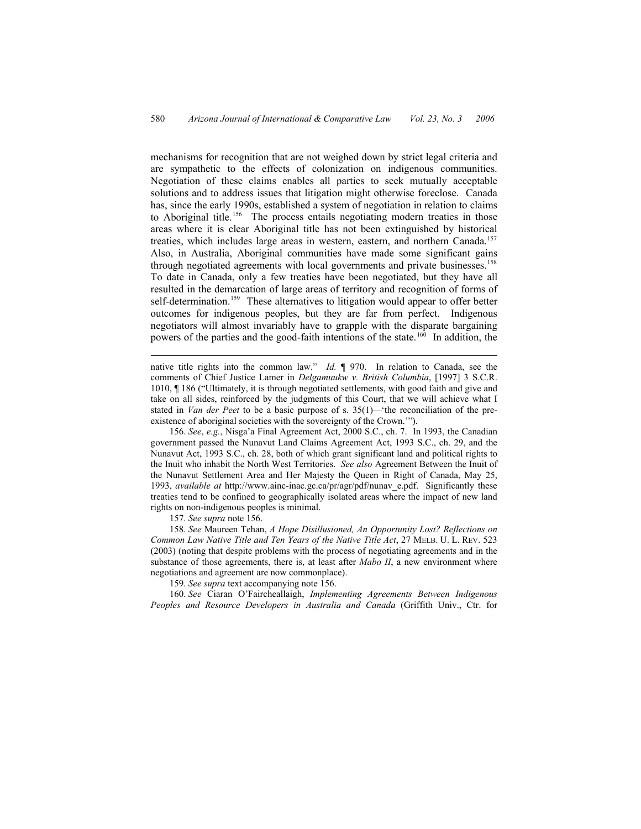mechanisms for recognition that are not weighed down by strict legal criteria and are sympathetic to the effects of colonization on indigenous communities. Negotiation of these claims enables all parties to seek mutually acceptable solutions and to address issues that litigation might otherwise foreclose. Canada has, since the early 1990s, established a system of negotiation in relation to claims to Aboriginal title.<sup>[156](#page-37-0)</sup> The process entails negotiating modern treaties in those areas where it is clear Aboriginal title has not been extinguished by historical treaties, which includes large areas in western, eastern, and northern Canada.<sup>[157](#page-37-1)</sup> Also, in Australia, Aboriginal communities have made some significant gains through negotiated agreements with local governments and private businesses.<sup>[158](#page-37-2)</sup> To date in Canada, only a few treaties have been negotiated, but they have all resulted in the demarcation of large areas of territory and recognition of forms of self-determination.<sup>[159](#page-37-3)</sup> These alternatives to litigation would appear to offer better outcomes for indigenous peoples, but they are far from perfect. Indigenous negotiators will almost invariably have to grapple with the disparate bargaining powers of the parties and the good-faith intentions of the state.<sup>[160](#page-37-4)</sup> In addition, the

native title rights into the common law." *Id.* ¶ 970. In relation to Canada, see the comments of Chief Justice Lamer in *Delgamuukw v. British Columbia*, [1997] 3 S.C.R. 1010, ¶ 186 ("Ultimately, it is through negotiated settlements, with good faith and give and take on all sides, reinforced by the judgments of this Court, that we will achieve what I stated in *Van der Peet* to be a basic purpose of s.  $35(1)$ —'the reconciliation of the preexistence of aboriginal societies with the sovereignty of the Crown.'").

156. *See*, *e.g.*, Nisga'a Final Agreement Act, 2000 S.C., ch. 7. In 1993, the Canadian government passed the Nunavut Land Claims Agreement Act, 1993 S.C., ch. 29, and the Nunavut Act, 1993 S.C., ch. 28, both of which grant significant land and political rights to the Inuit who inhabit the North West Territories. *See also* Agreement Between the Inuit of the Nunavut Settlement Area and Her Majesty the Queen in Right of Canada, May 25, 1993, *available at* http://www.ainc-inac.gc.ca/pr/agr/pdf/nunav\_e.pdf. Significantly these treaties tend to be confined to geographically isolated areas where the impact of new land rights on non-indigenous peoples is minimal.

157. *See supra* note 156.

 $\overline{a}$ 

<span id="page-37-0"></span>158. *See* Maureen Tehan, *A Hope Disillusioned, An Opportunity Lost? Reflections on Common Law Native Title and Ten Years of the Native Title Act*, 27 MELB. U. L. REV. 523 (2003) (noting that despite problems with the process of negotiating agreements and in the substance of those agreements, there is, at least after *Mabo II*, a new environment where negotiations and agreement are now commonplace).

159. *See supra* text accompanying note 156.

<span id="page-37-4"></span><span id="page-37-3"></span><span id="page-37-2"></span><span id="page-37-1"></span>160. *See* Ciaran O'Faircheallaigh, *Implementing Agreements Between Indigenous Peoples and Resource Developers in Australia and Canada* (Griffith Univ., Ctr. for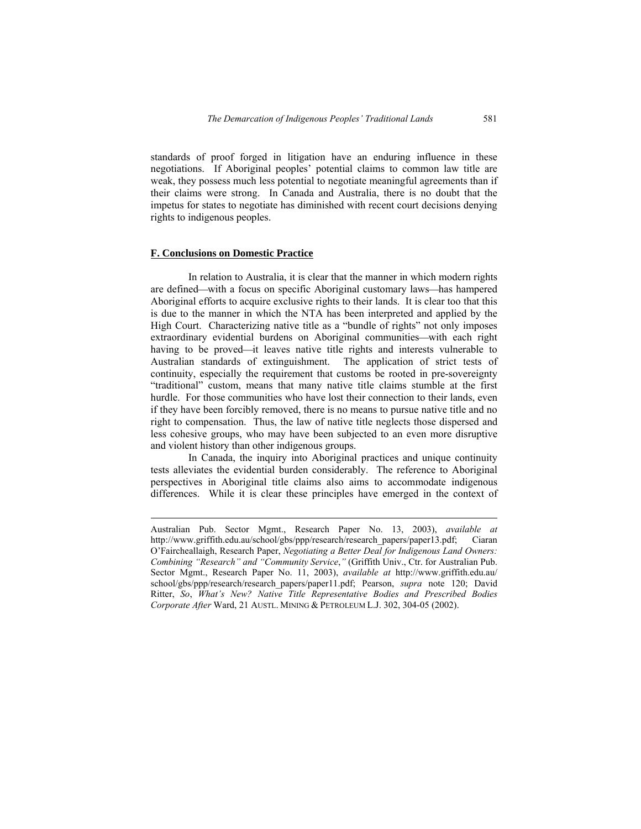standards of proof forged in litigation have an enduring influence in these negotiations. If Aboriginal peoples' potential claims to common law title are weak, they possess much less potential to negotiate meaningful agreements than if their claims were strong. In Canada and Australia, there is no doubt that the impetus for states to negotiate has diminished with recent court decisions denying rights to indigenous peoples.

### **F. Conclusions on Domestic Practice**

 $\overline{a}$ 

In relation to Australia, it is clear that the manner in which modern rights are defined—with a focus on specific Aboriginal customary laws—has hampered Aboriginal efforts to acquire exclusive rights to their lands. It is clear too that this is due to the manner in which the NTA has been interpreted and applied by the High Court. Characterizing native title as a "bundle of rights" not only imposes extraordinary evidential burdens on Aboriginal communities—with each right having to be proved—it leaves native title rights and interests vulnerable to Australian standards of extinguishment. The application of strict tests of continuity, especially the requirement that customs be rooted in pre-sovereignty "traditional" custom, means that many native title claims stumble at the first hurdle. For those communities who have lost their connection to their lands, even if they have been forcibly removed, there is no means to pursue native title and no right to compensation. Thus, the law of native title neglects those dispersed and less cohesive groups, who may have been subjected to an even more disruptive and violent history than other indigenous groups.

In Canada, the inquiry into Aboriginal practices and unique continuity tests alleviates the evidential burden considerably. The reference to Aboriginal perspectives in Aboriginal title claims also aims to accommodate indigenous differences. While it is clear these principles have emerged in the context of

Australian Pub. Sector Mgmt., Research Paper No. 13, 2003), *available at* http://www.griffith.edu.au/school/gbs/ppp/research/research\_papers/paper13.pdf; Ciaran O'Faircheallaigh, Research Paper, *Negotiating a Better Deal for Indigenous Land Owners: Combining "Research" and "Community Service*,*"* (Griffith Univ., Ctr. for Australian Pub. Sector Mgmt., Research Paper No. 11, 2003), *available at* http://www.griffith.edu.au/ school/gbs/ppp/research/research\_papers/paper11.pdf; Pearson, *supra* note 120; David Ritter, *So*, *What's New? Native Title Representative Bodies and Prescribed Bodies Corporate After* Ward, 21 AUSTL. MINING & PETROLEUM L.J. 302, 304-05 (2002).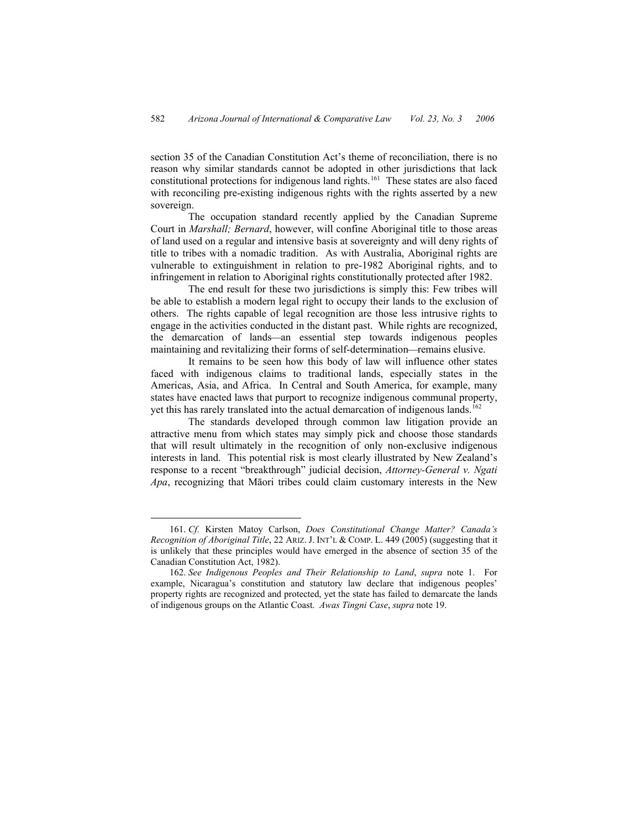section 35 of the Canadian Constitution Act's theme of reconciliation, there is no reason why similar standards cannot be adopted in other jurisdictions that lack constitutional protections for indigenous land rights.[161](#page-39-0) These states are also faced with reconciling pre-existing indigenous rights with the rights asserted by a new sovereign.

The occupation standard recently applied by the Canadian Supreme Court in *Marshall; Bernard*, however, will confine Aboriginal title to those areas of land used on a regular and intensive basis at sovereignty and will deny rights of title to tribes with a nomadic tradition. As with Australia, Aboriginal rights are vulnerable to extinguishment in relation to pre-1982 Aboriginal rights, and to infringement in relation to Aboriginal rights constitutionally protected after 1982.

The end result for these two jurisdictions is simply this: Few tribes will be able to establish a modern legal right to occupy their lands to the exclusion of others. The rights capable of legal recognition are those less intrusive rights to engage in the activities conducted in the distant past. While rights are recognized, the demarcation of lands—an essential step towards indigenous peoples maintaining and revitalizing their forms of self-determination—remains elusive.

It remains to be seen how this body of law will influence other states faced with indigenous claims to traditional lands, especially states in the Americas, Asia, and Africa. In Central and South America, for example, many states have enacted laws that purport to recognize indigenous communal property, yet this has rarely translated into the actual demarcation of indigenous lands.<sup>[162](#page-39-1)</sup>

The standards developed through common law litigation provide an attractive menu from which states may simply pick and choose those standards that will result ultimately in the recognition of only non-exclusive indigenous interests in land. This potential risk is most clearly illustrated by New Zealand's response to a recent "breakthrough" judicial decision, *Attorney-General v. Ngati Apa*, recognizing that Māori tribes could claim customary interests in the New

 <sup>161.</sup> *Cf.* Kirsten Matoy Carlson, *Does Constitutional Change Matter? Canada's Recognition of Aboriginal Title*, 22 ARIZ. J. INT'L & COMP. L. 449 (2005) (suggesting that it is unlikely that these principles would have emerged in the absence of section 35 of the Canadian Constitution Act, 1982).

<span id="page-39-1"></span><span id="page-39-0"></span><sup>162.</sup> *See Indigenous Peoples and Their Relationship to Land*, *supra* note 1. For example, Nicaragua's constitution and statutory law declare that indigenous peoples' property rights are recognized and protected, yet the state has failed to demarcate the lands of indigenous groups on the Atlantic Coast. *Awas Tingni Case*, *supra* note 19.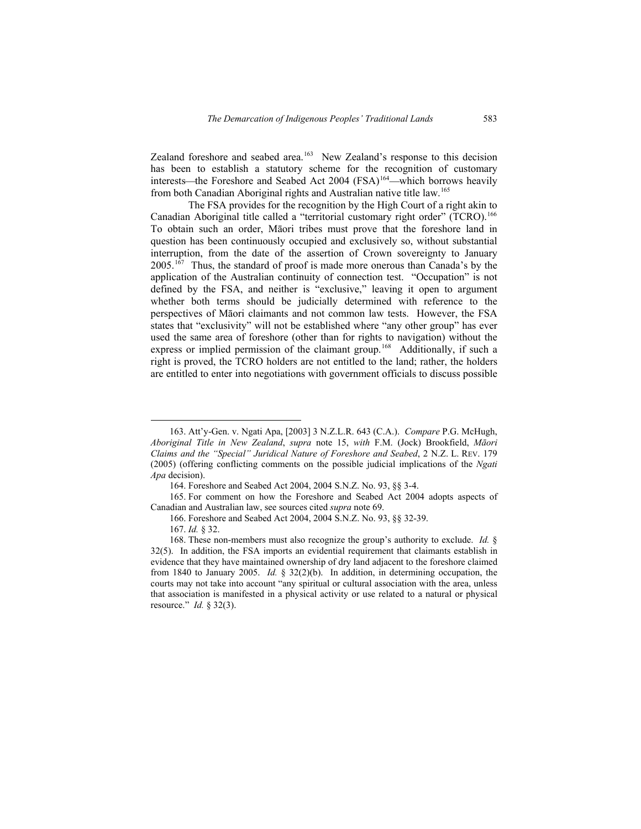Zealand foreshore and seabed area.<sup>[163](#page-40-0)</sup> New Zealand's response to this decision has been to establish a statutory scheme for the recognition of customary interests—the Foreshore and Seabed Act 2004 (FSA)<sup>[164](#page-40-1)</sup>—which borrows heavily from both Canadian Aboriginal rights and Australian native title law.<sup>[165](#page-40-2)</sup>

The FSA provides for the recognition by the High Court of a right akin to Canadian Aboriginal title called a "territorial customary right order" (TCRO).<sup>[166](#page-40-3)</sup> To obtain such an order, Māori tribes must prove that the foreshore land in question has been continuously occupied and exclusively so, without substantial interruption, from the date of the assertion of Crown sovereignty to January 2005.[167](#page-40-4) Thus, the standard of proof is made more onerous than Canada's by the application of the Australian continuity of connection test. "Occupation" is not defined by the FSA, and neither is "exclusive," leaving it open to argument whether both terms should be judicially determined with reference to the perspectives of Māori claimants and not common law tests. However, the FSA states that "exclusivity" will not be established where "any other group" has ever used the same area of foreshore (other than for rights to navigation) without the express or implied permission of the claimant group.<sup>[168](#page-40-5)</sup> Additionally, if such a right is proved, the TCRO holders are not entitled to the land; rather, the holders are entitled to enter into negotiations with government officials to discuss possible

 <sup>163.</sup> Att'y-Gen. v. Ngati Apa, [2003] 3 N.Z.L.R. 643 (C.A.). *Compare* P.G. McHugh, *Aboriginal Title in New Zealand*, *supra* note 15, *with* F.M. (Jock) Brookfield, *Māori Claims and the "Special" Juridical Nature of Foreshore and Seabed*, 2 N.Z. L. REV. 179 (2005) (offering conflicting comments on the possible judicial implications of the *Ngati Apa* decision).

<sup>164.</sup> Foreshore and Seabed Act 2004, 2004 S.N.Z. No. 93, §§ 3-4.

<span id="page-40-0"></span><sup>165.</sup> For comment on how the Foreshore and Seabed Act 2004 adopts aspects of Canadian and Australian law, see sources cited *supra* note 69.

<sup>166.</sup> Foreshore and Seabed Act 2004, 2004 S.N.Z. No. 93, §§ 32-39.

<sup>167.</sup> *Id.* § 32.

<span id="page-40-5"></span><span id="page-40-4"></span><span id="page-40-3"></span><span id="page-40-2"></span><span id="page-40-1"></span><sup>168.</sup> These non-members must also recognize the group's authority to exclude. *Id.* § 32(5). In addition, the FSA imports an evidential requirement that claimants establish in evidence that they have maintained ownership of dry land adjacent to the foreshore claimed from 1840 to January 2005. *Id.* § 32(2)(b). In addition, in determining occupation, the courts may not take into account "any spiritual or cultural association with the area, unless that association is manifested in a physical activity or use related to a natural or physical resource." *Id.* § 32(3).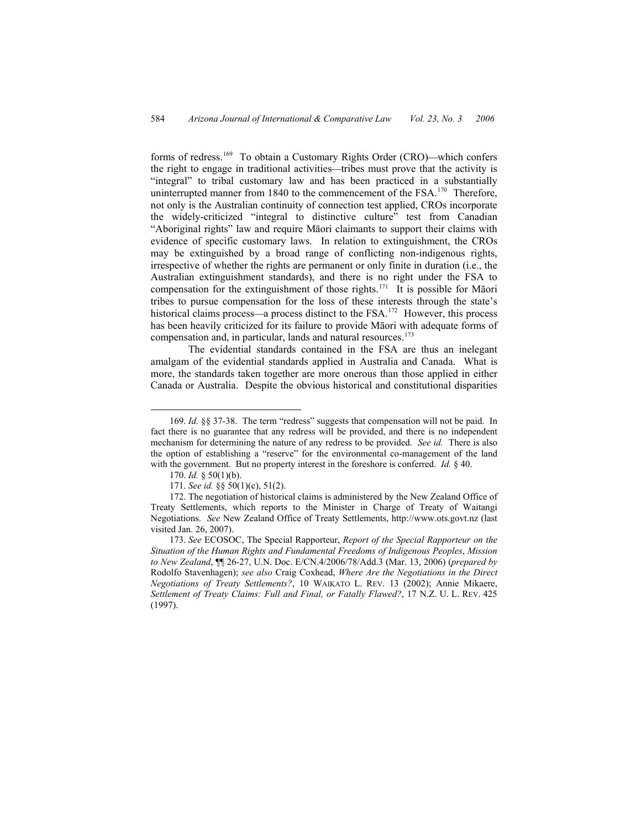forms of redress.<sup>[169](#page-41-0)</sup> To obtain a Customary Rights Order (CRO)—which confers the right to engage in traditional activities—tribes must prove that the activity is "integral" to tribal customary law and has been practiced in a substantially uninterrupted manner from 1840 to the commencement of the FSA.<sup>[170](#page-41-1)</sup> Therefore, not only is the Australian continuity of connection test applied, CROs incorporate the widely-criticized "integral to distinctive culture" test from Canadian "Aboriginal rights" law and require Māori claimants to support their claims with evidence of specific customary laws. In relation to extinguishment, the CROs may be extinguished by a broad range of conflicting non-indigenous rights, irrespective of whether the rights are permanent or only finite in duration (i.e., the Australian extinguishment standards), and there is no right under the FSA to compensation for the extinguishment of those rights.<sup>[171](#page-41-2)</sup> It is possible for Maori tribes to pursue compensation for the loss of these interests through the state's historical claims process—a process distinct to the FSA.<sup>[172](#page-41-3)</sup> However, this process has been heavily criticized for its failure to provide Māori with adequate forms of compensation and, in particular, lands and natural resources.[173](#page-41-4)

The evidential standards contained in the FSA are thus an inelegant amalgam of the evidential standards applied in Australia and Canada. What is more, the standards taken together are more onerous than those applied in either Canada or Australia. Despite the obvious historical and constitutional disparities

 <sup>169.</sup> *Id.* §§ 37-38. The term "redress" suggests that compensation will not be paid. In fact there is no guarantee that any redress will be provided, and there is no independent mechanism for determining the nature of any redress to be provided. *See id.* There is also the option of establishing a "reserve" for the environmental co-management of the land with the government. But no property interest in the foreshore is conferred. *Id.* § 40.

<sup>170.</sup> *Id.* § 50(1)(b).

<sup>171.</sup> *See id.* §§ 50(1)(c), 51(2).

<span id="page-41-0"></span><sup>172.</sup> The negotiation of historical claims is administered by the New Zealand Office of Treaty Settlements, which reports to the Minister in Charge of Treaty of Waitangi Negotiations. *See* New Zealand Office of Treaty Settlements, [http://www.ots.govt.nz](http://www.ots.govt.nz/) (last visited Jan. 26, 2007).

<span id="page-41-4"></span><span id="page-41-3"></span><span id="page-41-2"></span><span id="page-41-1"></span><sup>173.</sup> *See* ECOSOC, The Special Rapporteur, *Report of the Special Rapporteur on the Situation of the Human Rights and Fundamental Freedoms of Indigenous Peoples*, *Mission to New Zealand*, ¶¶ 26-27, U.N. Doc. E/CN.4/2006/78/Add.3 (Mar. 13, 2006) (*prepared by* Rodolfo Stavenhagen); *see also* Craig Coxhead, *Where Are the Negotiations in the Direct Negotiations of Treaty Settlements?*, 10 WAIKATO L. REV. 13 (2002); Annie Mikaere, *Settlement of Treaty Claims: Full and Final, or Fatally Flawed?*, 17 N.Z. U. L. REV. 425 (1997).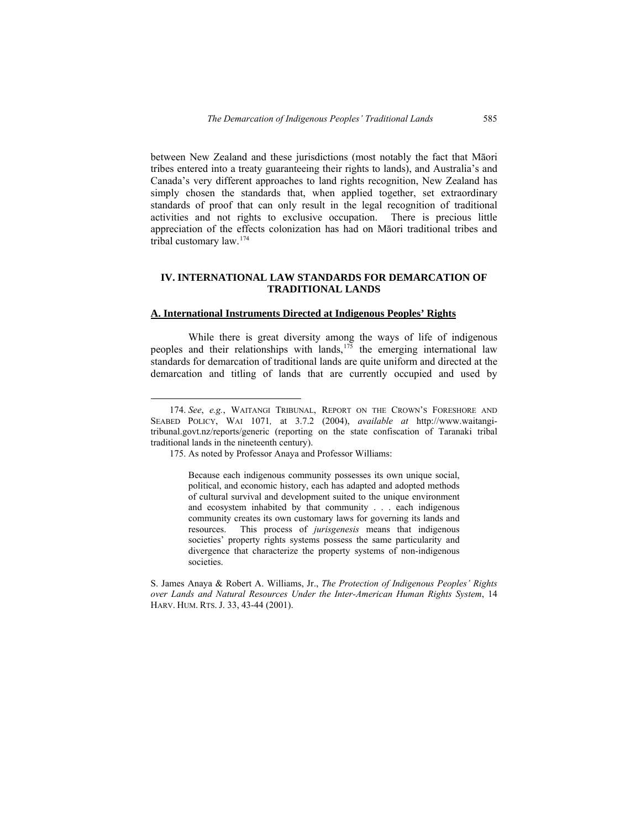between New Zealand and these jurisdictions (most notably the fact that Māori tribes entered into a treaty guaranteeing their rights to lands), and Australia's and Canada's very different approaches to land rights recognition, New Zealand has simply chosen the standards that, when applied together, set extraordinary standards of proof that can only result in the legal recognition of traditional activities and not rights to exclusive occupation. There is precious little appreciation of the effects colonization has had on Māori traditional tribes and tribal customary law.[174](#page-42-0)

### **IV. INTERNATIONAL LAW STANDARDS FOR DEMARCATION OF TRADITIONAL LANDS**

#### **A. International Instruments Directed at Indigenous Peoples' Rights**

While there is great diversity among the ways of life of indigenous peoples and their relationships with lands,<sup>[175](#page-42-1)</sup> the emerging international law standards for demarcation of traditional lands are quite uniform and directed at the demarcation and titling of lands that are currently occupied and used by

Because each indigenous community possesses its own unique social, political, and economic history, each has adapted and adopted methods of cultural survival and development suited to the unique environment and ecosystem inhabited by that community . . . each indigenous community creates its own customary laws for governing its lands and resources. This process of *jurisgenesis* means that indigenous societies' property rights systems possess the same particularity and divergence that characterize the property systems of non-indigenous societies.

<span id="page-42-0"></span> <sup>174.</sup> *See*, *e.g.*, WAITANGI TRIBUNAL, REPORT ON THE CROWN'S FORESHORE AND SEABED POLICY, WAI 1071*,* at 3.7.2 (2004), *available at* http://www.waitangitribunal.govt.nz/reports/generic (reporting on the state confiscation of Taranaki tribal traditional lands in the nineteenth century).

<sup>175.</sup> As noted by Professor Anaya and Professor Williams:

<span id="page-42-1"></span>S. James Anaya & Robert A. Williams, Jr., *The Protection of Indigenous Peoples' Rights over Lands and Natural Resources Under the Inter-American Human Rights System*, 14 HARV. HUM. RTS. J. 33, 43-44 (2001).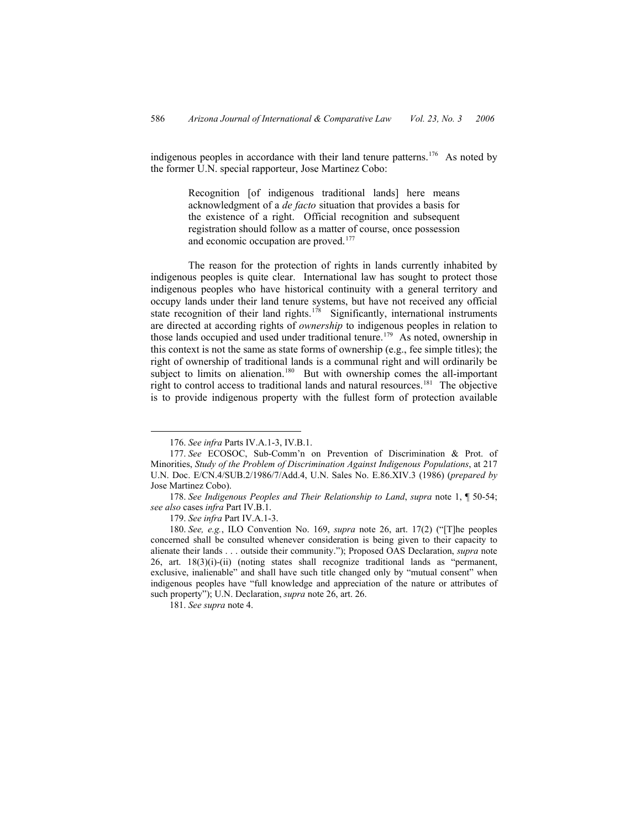indigenous peoples in accordance with their land tenure patterns.<sup>[176](#page-43-0)</sup> As noted by the former U.N. special rapporteur, Jose Martinez Cobo:

> Recognition [of indigenous traditional lands] here means acknowledgment of a *de facto* situation that provides a basis for the existence of a right. Official recognition and subsequent registration should follow as a matter of course, once possession and economic occupation are proved.<sup>[177](#page-43-1)</sup>

The reason for the protection of rights in lands currently inhabited by indigenous peoples is quite clear. International law has sought to protect those indigenous peoples who have historical continuity with a general territory and occupy lands under their land tenure systems, but have not received any official state recognition of their land rights.<sup>[178](#page-43-2)</sup> Significantly, international instruments are directed at according rights of *ownership* to indigenous peoples in relation to those lands occupied and used under traditional tenure.<sup>179</sup> As noted, ownership in this context is not the same as state forms of ownership (e.g., fee simple titles); the right of ownership of traditional lands is a communal right and will ordinarily be subject to limits on alienation.<sup>[180](#page-43-4)</sup> But with ownership comes the all-important right to control access to traditional lands and natural resources.<sup>181</sup> The objective is to provide indigenous property with the fullest form of protection available

<span id="page-43-5"></span>181. *See supra* note 4.

 <sup>176.</sup> *See infra* Parts IV.A.1-3, IV.B.1.

<sup>177.</sup> *See* ECOSOC, Sub-Comm'n on Prevention of Discrimination & Prot. of Minorities, *Study of the Problem of Discrimination Against Indigenous Populations*, at 217 U.N. Doc. E/CN.4/SUB.2/1986/7/Add.4, U.N. Sales No. E.86.XIV.3 (1986) (*prepared by* Jose Martinez Cobo).

<sup>178.</sup> *See Indigenous Peoples and Their Relationship to Land*, *supra* note 1, ¶ 50-54; *see also* cases *infra* Part IV.B.1.

<sup>179.</sup> *See infra* Part IV.A.1-3.

<span id="page-43-4"></span><span id="page-43-3"></span><span id="page-43-2"></span><span id="page-43-1"></span><span id="page-43-0"></span><sup>180.</sup> *See, e.g.*, ILO Convention No. 169, *supra* note 26, art. 17(2) ("[T]he peoples concerned shall be consulted whenever consideration is being given to their capacity to alienate their lands . . . outside their community."); Proposed OAS Declaration, *supra* note 26, art. 18(3)(i)-(ii) (noting states shall recognize traditional lands as "permanent, exclusive, inalienable" and shall have such title changed only by "mutual consent" when indigenous peoples have "full knowledge and appreciation of the nature or attributes of such property"); U.N. Declaration, *supra* note 26, art. 26.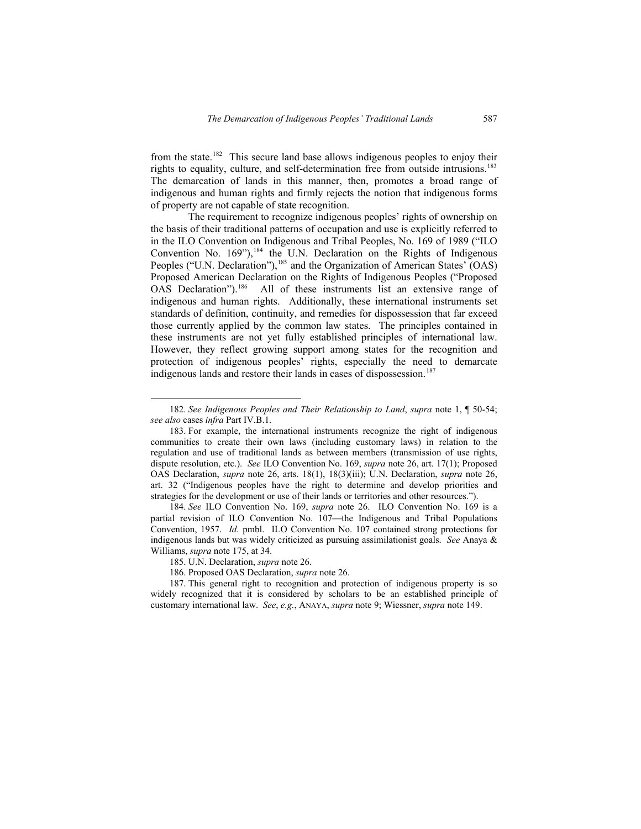from the state.<sup>[182](#page-44-0)</sup> This secure land base allows indigenous peoples to enjoy their rights to equality, culture, and self-determination free from outside intrusions.[183](#page-44-1) The demarcation of lands in this manner, then, promotes a broad range of indigenous and human rights and firmly rejects the notion that indigenous forms of property are not capable of state recognition.

The requirement to recognize indigenous peoples' rights of ownership on the basis of their traditional patterns of occupation and use is explicitly referred to in the ILO Convention on Indigenous and Tribal Peoples, No. 169 of 1989 ("ILO Convention No.  $169$ "),<sup>[184](#page-44-2)</sup> the U.N. Declaration on the Rights of Indigenous Peoples ("U.N. Declaration"),<sup>185</sup> and the Organization of American States' (OAS) Proposed American Declaration on the Rights of Indigenous Peoples ("Proposed OAS Declaration").<sup>186</sup> All of these instruments list an extensive range of indigenous and human rights. Additionally, these international instruments set standards of definition, continuity, and remedies for dispossession that far exceed those currently applied by the common law states. The principles contained in these instruments are not yet fully established principles of international law. However, they reflect growing support among states for the recognition and protection of indigenous peoples' rights, especially the need to demarcate indigenous lands and restore their lands in cases of dispossession.<sup>[187](#page-44-5)</sup>

 <sup>182.</sup> *See Indigenous Peoples and Their Relationship to Land*, *supra* note 1, ¶ 50-54; *see also* cases *infra* Part IV.B.1.

<sup>183.</sup> For example, the international instruments recognize the right of indigenous communities to create their own laws (including customary laws) in relation to the regulation and use of traditional lands as between members (transmission of use rights, dispute resolution, etc.). *See* ILO Convention No. 169, *supra* note 26, art. 17(1); Proposed OAS Declaration, *supra* note 26, arts. 18(1), 18(3)(iii); U.N. Declaration, *supra* note 26, art. 32 ("Indigenous peoples have the right to determine and develop priorities and strategies for the development or use of their lands or territories and other resources.").

<span id="page-44-1"></span><span id="page-44-0"></span><sup>184.</sup> *See* ILO Convention No. 169, *supra* note 26. ILO Convention No. 169 is a partial revision of ILO Convention No. 107-the Indigenous and Tribal Populations Convention, 1957. *Id.* pmbl. ILO Convention No. 107 contained strong protections for indigenous lands but was widely criticized as pursuing assimilationist goals. *See* Anaya & Williams, *supra* note 175, at 34.

<sup>185.</sup> U.N. Declaration, *supra* note 26.

<sup>186.</sup> Proposed OAS Declaration, *supra* note 26.

<span id="page-44-5"></span><span id="page-44-4"></span><span id="page-44-3"></span><span id="page-44-2"></span><sup>187.</sup> This general right to recognition and protection of indigenous property is so widely recognized that it is considered by scholars to be an established principle of customary international law. *See*, *e.g.*, ANAYA, *supra* note 9; Wiessner, *supra* note 149.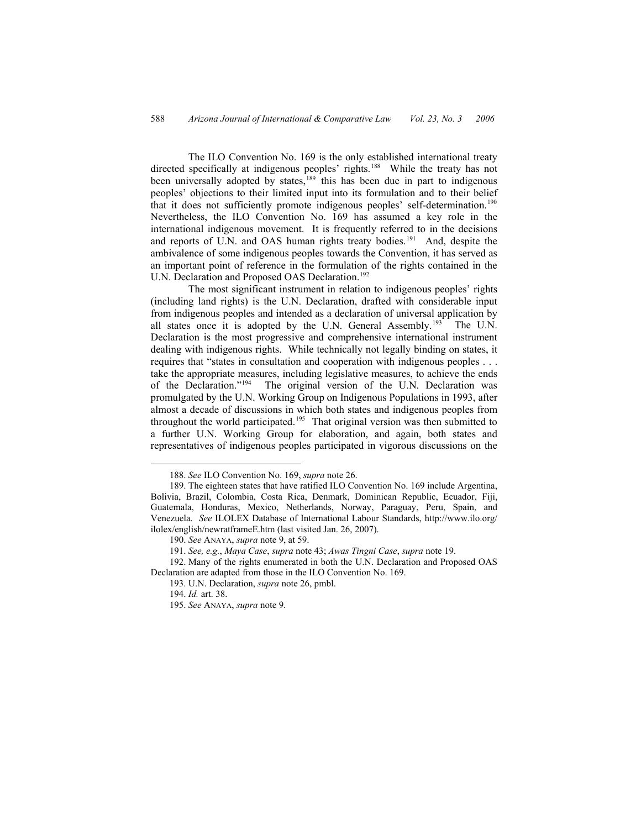The ILO Convention No. 169 is the only established international treaty directed specifically at indigenous peoples' rights.<sup>188</sup> While the treaty has not been universally adopted by states,<sup>[189](#page-45-1)</sup> this has been due in part to indigenous peoples' objections to their limited input into its formulation and to their belief that it does not sufficiently promote indigenous peoples' self-determination.<sup>[190](#page-45-2)</sup> Nevertheless, the ILO Convention No. 169 has assumed a key role in the international indigenous movement. It is frequently referred to in the decisions and reports of U.N. and OAS human rights treaty bodies.<sup>[191](#page-45-3)</sup> And, despite the ambivalence of some indigenous peoples towards the Convention, it has served as an important point of reference in the formulation of the rights contained in the U.N. Declaration and Proposed OAS Declaration.<sup>[192](#page-45-4)</sup>

The most significant instrument in relation to indigenous peoples' rights (including land rights) is the U.N. Declaration, drafted with considerable input from indigenous peoples and intended as a declaration of universal application by all states once it is adopted by the U.N. General Assembly.<sup>[193](#page-45-5)</sup> The U.N. Declaration is the most progressive and comprehensive international instrument dealing with indigenous rights. While technically not legally binding on states, it requires that "states in consultation and cooperation with indigenous peoples . . . take the appropriate measures, including legislative measures, to achieve the ends of the Declaration."<sup>194</sup> The original version of the U.N. Declaration was The original version of the U.N. Declaration was promulgated by the U.N. Working Group on Indigenous Populations in 1993, after almost a decade of discussions in which both states and indigenous peoples from throughout the world participated.<sup>[195](#page-45-7)</sup> That original version was then submitted to a further U.N. Working Group for elaboration, and again, both states and representatives of indigenous peoples participated in vigorous discussions on the

 <sup>188.</sup> *See* ILO Convention No. 169, *supra* note 26.

<sup>189.</sup> The eighteen states that have ratified ILO Convention No. 169 include Argentina, Bolivia, Brazil, Colombia, Costa Rica, Denmark, Dominican Republic, Ecuador, Fiji, Guatemala, Honduras, Mexico, Netherlands, Norway, Paraguay, Peru, Spain, and Venezuela. *See* ILOLEX Database of International Labour Standards, http://www.ilo.org/ ilolex/english/newratframeE.htm (last visited Jan. 26, 2007).

<sup>190.</sup> *See* ANAYA, *supra* note 9, at 59.

<sup>191.</sup> *See, e.g.*, *Maya Case*, *supra* note 43; *Awas Tingni Case*, *supra* note 19.

<span id="page-45-4"></span><span id="page-45-3"></span><span id="page-45-2"></span><span id="page-45-1"></span><span id="page-45-0"></span><sup>192.</sup> Many of the rights enumerated in both the U.N. Declaration and Proposed OAS Declaration are adapted from those in the ILO Convention No. 169.

<sup>193.</sup> U.N. Declaration, *supra* note 26, pmbl.

<sup>194.</sup> *Id.* art. 38.

<span id="page-45-7"></span><span id="page-45-6"></span><span id="page-45-5"></span><sup>195.</sup> *See* ANAYA, *supra* note 9.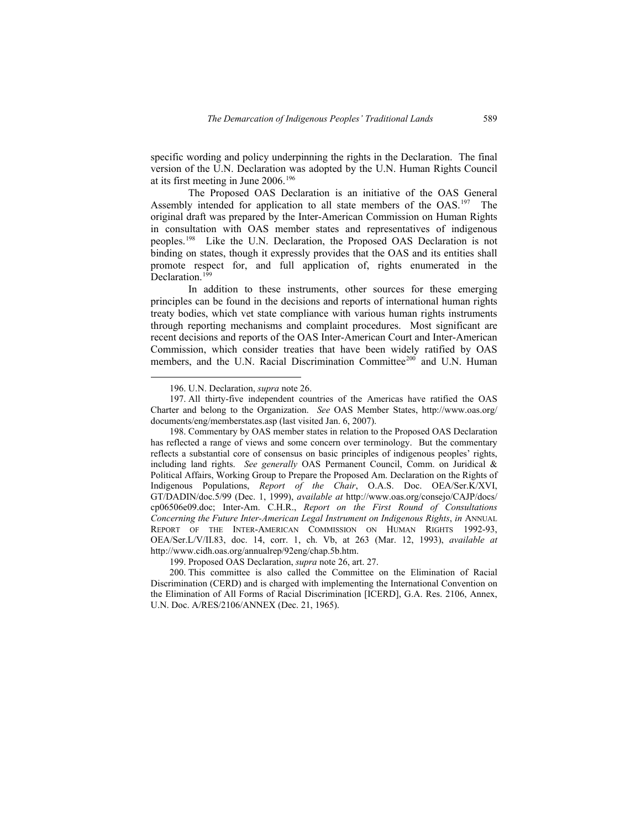specific wording and policy underpinning the rights in the Declaration. The final version of the U.N. Declaration was adopted by the U.N. Human Rights Council at its first meeting in June 2006.[196](#page-46-0)

The Proposed OAS Declaration is an initiative of the OAS General Assembly intended for application to all state members of the OAS.<sup>[197](#page-46-1)</sup> The original draft was prepared by the Inter-American Commission on Human Rights in consultation with OAS member states and representatives of indigenous peoples.[198](#page-46-2) Like the U.N. Declaration, the Proposed OAS Declaration is not binding on states, though it expressly provides that the OAS and its entities shall promote respect for, and full application of, rights enumerated in the Declaration.<sup>[199](#page-46-3)</sup>

In addition to these instruments, other sources for these emerging principles can be found in the decisions and reports of international human rights treaty bodies, which vet state compliance with various human rights instruments through reporting mechanisms and complaint procedures. Most significant are recent decisions and reports of the OAS Inter-American Court and Inter-American Commission, which consider treaties that have been widely ratified by OAS members, and the U.N. Racial Discrimination Committee<sup>[200](#page-46-4)</sup> and U.N. Human

 <sup>196.</sup> U.N. Declaration, *supra* note 26.

<sup>197.</sup> All thirty-five independent countries of the Americas have ratified the OAS Charter and belong to the Organization. *See* OAS Member States, http://www.oas.org/ documents/eng/memberstates.asp (last visited Jan. 6, 2007).

<span id="page-46-1"></span><span id="page-46-0"></span><sup>198.</sup> Commentary by OAS member states in relation to the Proposed OAS Declaration has reflected a range of views and some concern over terminology. But the commentary reflects a substantial core of consensus on basic principles of indigenous peoples' rights, including land rights. *See generally* OAS Permanent Council, Comm. on Juridical & Political Affairs, Working Group to Prepare the Proposed Am. Declaration on the Rights of Indigenous Populations, *Report of the Chair*, O.A.S. Doc. OEA/Ser.K/XVI, GT/DADIN/doc.5/99 (Dec. 1, 1999), *available at* http://www.oas.org/consejo/CAJP/docs/ cp06506e09.doc; Inter-Am. C.H.R., *Report on the First Round of Consultations Concerning the Future Inter-American Legal Instrument on Indigenous Rights*, *in* ANNUAL REPORT OF THE INTER-AMERICAN COMMISSION ON HUMAN RIGHTS 1992-93, OEA/Ser.L/V/II.83, doc. 14, corr. 1, ch. Vb, at 263 (Mar. 12, 1993), *available at* http://www.cidh.oas.org/annualrep/92eng/chap.5b.htm.

<sup>199.</sup> Proposed OAS Declaration, *supra* note 26, art. 27.

<span id="page-46-4"></span><span id="page-46-3"></span><span id="page-46-2"></span><sup>200.</sup> This committee is also called the Committee on the Elimination of Racial Discrimination (CERD) and is charged with implementing the International Convention on the Elimination of All Forms of Racial Discrimination [ICERD], G.A. Res. 2106, Annex, U.N. Doc. A/RES/2106/ANNEX (Dec. 21, 1965).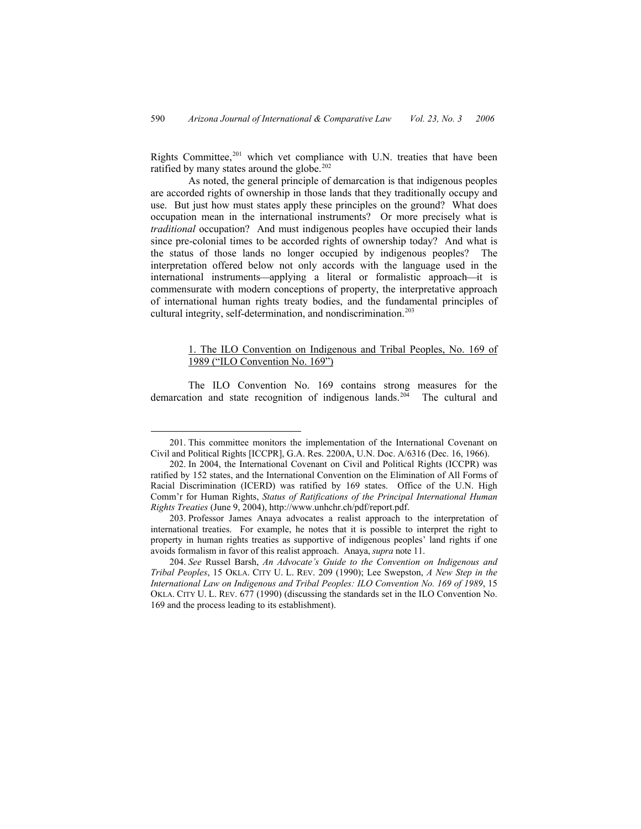Rights Committee, $201$  which vet compliance with U.N. treaties that have been ratified by many states around the globe. $202$ 

As noted, the general principle of demarcation is that indigenous peoples are accorded rights of ownership in those lands that they traditionally occupy and use. But just how must states apply these principles on the ground? What does occupation mean in the international instruments? Or more precisely what is *traditional* occupation? And must indigenous peoples have occupied their lands since pre-colonial times to be accorded rights of ownership today? And what is the status of those lands no longer occupied by indigenous peoples? The interpretation offered below not only accords with the language used in the international instruments—applying a literal or formalistic approach—it is commensurate with modern conceptions of property, the interpretative approach of international human rights treaty bodies, and the fundamental principles of cultural integrity, self-determination, and nondiscrimination.<sup>[203](#page-47-2)</sup>

## 1. The ILO Convention on Indigenous and Tribal Peoples, No. 169 of 1989 ("ILO Convention No. 169")

The ILO Convention No. 169 contains strong measures for the demarcation and state recognition of indigenous lands.<sup>[204](#page-47-3)</sup> The cultural and

 <sup>201.</sup> This committee monitors the implementation of the International Covenant on Civil and Political Rights [ICCPR], G.A. Res. 2200A, U.N. Doc. A/6316 (Dec. 16, 1966).

<sup>202.</sup> In 2004, the International Covenant on Civil and Political Rights (ICCPR) was ratified by 152 states, and the International Convention on the Elimination of All Forms of Racial Discrimination (ICERD) was ratified by 169 states. Office of the U.N. High Comm'r for Human Rights, *Status of Ratifications of the Principal International Human Rights Treaties* (June 9, 2004), http://www.unhchr.ch/pdf/report.pdf.

<span id="page-47-1"></span><span id="page-47-0"></span><sup>203.</sup> Professor James Anaya advocates a realist approach to the interpretation of international treaties. For example, he notes that it is possible to interpret the right to property in human rights treaties as supportive of indigenous peoples' land rights if one avoids formalism in favor of this realist approach. Anaya, *supra* note 11.

<span id="page-47-3"></span><span id="page-47-2"></span><sup>204.</sup> *See* Russel Barsh, *An Advocate's Guide to the Convention on Indigenous and Tribal Peoples*, 15 OKLA. CITY U. L. REV. 209 (1990); Lee Swepston, *A New Step in the International Law on Indigenous and Tribal Peoples: ILO Convention No. 169 of 1989*, 15 OKLA. CITY U. L. REV. 677 (1990) (discussing the standards set in the ILO Convention No. 169 and the process leading to its establishment).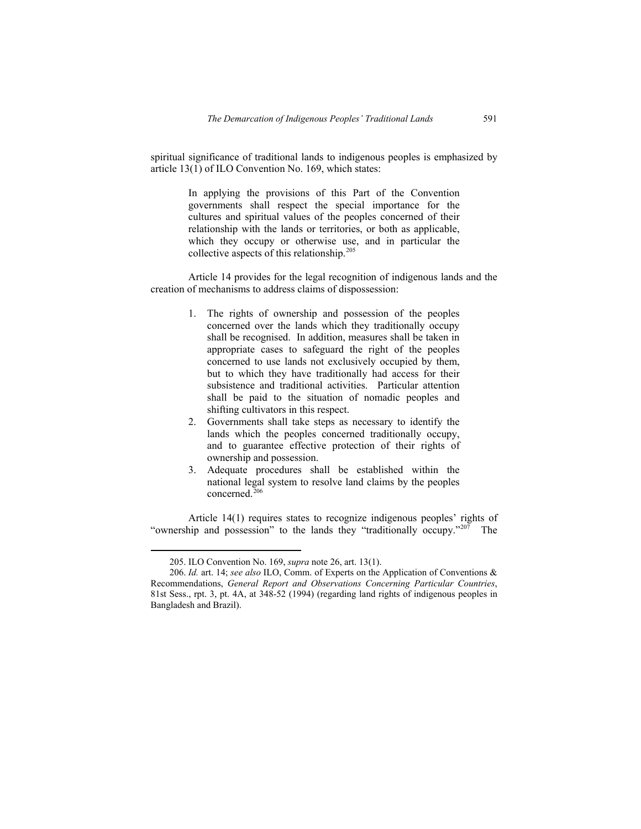spiritual significance of traditional lands to indigenous peoples is emphasized by article 13(1) of ILO Convention No. 169, which states:

> In applying the provisions of this Part of the Convention governments shall respect the special importance for the cultures and spiritual values of the peoples concerned of their relationship with the lands or territories, or both as applicable, which they occupy or otherwise use, and in particular the collective aspects of this relationship.<sup>[205](#page-48-0)</sup>

Article 14 provides for the legal recognition of indigenous lands and the creation of mechanisms to address claims of dispossession:

- 1. The rights of ownership and possession of the peoples concerned over the lands which they traditionally occupy shall be recognised. In addition, measures shall be taken in appropriate cases to safeguard the right of the peoples concerned to use lands not exclusively occupied by them, but to which they have traditionally had access for their subsistence and traditional activities. Particular attention shall be paid to the situation of nomadic peoples and shifting cultivators in this respect.
- 2. Governments shall take steps as necessary to identify the lands which the peoples concerned traditionally occupy, and to guarantee effective protection of their rights of ownership and possession.
- 3. Adequate procedures shall be established within the national legal system to resolve land claims by the peoples concerned.[206](#page-48-1)

Article 14(1) requires states to recognize indigenous peoples' rights of "ownership and possession" to the lands they "traditionally occupy."<sup>[207](#page-48-2)</sup> The

 <sup>205.</sup> ILO Convention No. 169, *supra* note 26, art. 13(1).

<span id="page-48-2"></span><span id="page-48-1"></span><span id="page-48-0"></span><sup>206.</sup> *Id.* art. 14; *see also* ILO, Comm. of Experts on the Application of Conventions & Recommendations, *General Report and Observations Concerning Particular Countries*, 81st Sess., rpt. 3, pt. 4A, at 348-52 (1994) (regarding land rights of indigenous peoples in Bangladesh and Brazil).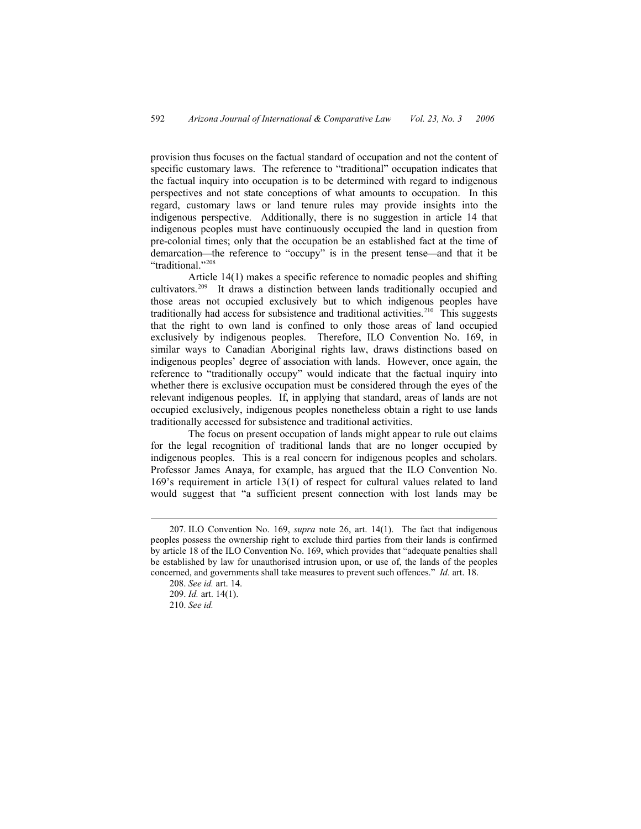provision thus focuses on the factual standard of occupation and not the content of specific customary laws. The reference to "traditional" occupation indicates that the factual inquiry into occupation is to be determined with regard to indigenous perspectives and not state conceptions of what amounts to occupation. In this regard, customary laws or land tenure rules may provide insights into the indigenous perspective. Additionally, there is no suggestion in article 14 that indigenous peoples must have continuously occupied the land in question from pre-colonial times; only that the occupation be an established fact at the time of demarcation—the reference to "occupy" is in the present tense—and that it be "traditional."[208](#page-49-0)

Article 14(1) makes a specific reference to nomadic peoples and shifting cultivators.[209](#page-49-1) It draws a distinction between lands traditionally occupied and those areas not occupied exclusively but to which indigenous peoples have traditionally had access for subsistence and traditional activities.<sup>[210](#page-49-2)</sup> This suggests that the right to own land is confined to only those areas of land occupied exclusively by indigenous peoples. Therefore, ILO Convention No. 169, in similar ways to Canadian Aboriginal rights law, draws distinctions based on indigenous peoples' degree of association with lands. However, once again, the reference to "traditionally occupy" would indicate that the factual inquiry into whether there is exclusive occupation must be considered through the eyes of the relevant indigenous peoples. If, in applying that standard, areas of lands are not occupied exclusively, indigenous peoples nonetheless obtain a right to use lands traditionally accessed for subsistence and traditional activities.

The focus on present occupation of lands might appear to rule out claims for the legal recognition of traditional lands that are no longer occupied by indigenous peoples. This is a real concern for indigenous peoples and scholars. Professor James Anaya, for example, has argued that the ILO Convention No. 169's requirement in article 13(1) of respect for cultural values related to land would suggest that "a sufficient present connection with lost lands may be

 <sup>207.</sup> ILO Convention No. 169, *supra* note 26, art. 14(1). The fact that indigenous peoples possess the ownership right to exclude third parties from their lands is confirmed by article 18 of the ILO Convention No. 169, which provides that "adequate penalties shall be established by law for unauthorised intrusion upon, or use of, the lands of the peoples concerned, and governments shall take measures to prevent such offences." *Id.* art. 18.

<sup>208.</sup> *See id.* art. 14. 209. *Id.* art. 14(1).

<span id="page-49-2"></span><span id="page-49-1"></span><span id="page-49-0"></span><sup>210.</sup> *See id.*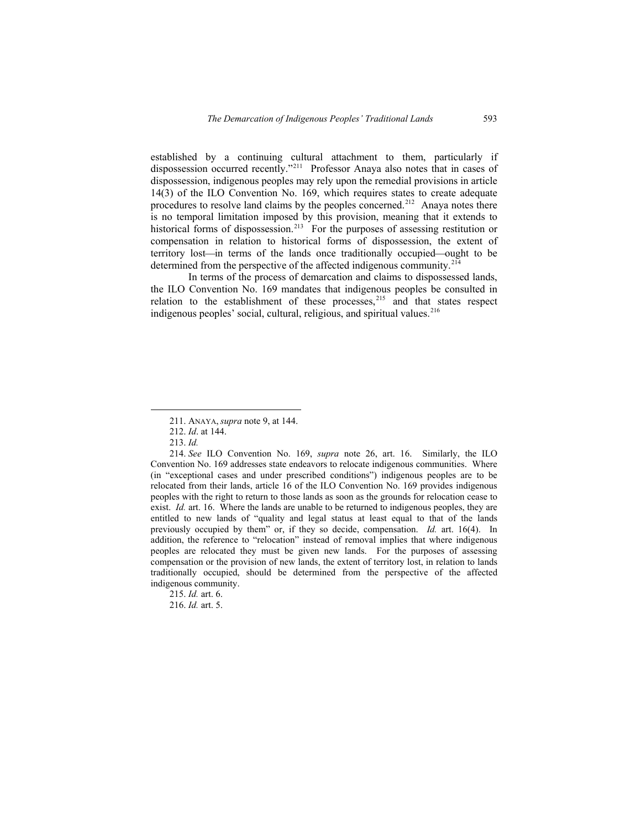established by a continuing cultural attachment to them, particularly if dispossession occurred recently."<sup>[211](#page-50-0)</sup> Professor Anaya also notes that in cases of dispossession, indigenous peoples may rely upon the remedial provisions in article 14(3) of the ILO Convention No. 169, which requires states to create adequate procedures to resolve land claims by the peoples concerned.<sup>[212](#page-50-1)</sup> Anaya notes there is no temporal limitation imposed by this provision, meaning that it extends to historical forms of dispossession.<sup>[213](#page-50-2)</sup> For the purposes of assessing restitution or compensation in relation to historical forms of dispossession, the extent of territory lost—in terms of the lands once traditionally occupied—ought to be determined from the perspective of the affected indigenous community.<sup>[214](#page-50-3)</sup>

In terms of the process of demarcation and claims to dispossessed lands, the ILO Convention No. 169 mandates that indigenous peoples be consulted in relation to the establishment of these processes, $215$  and that states respect indigenous peoples' social, cultural, religious, and spiritual values.<sup>[216](#page-50-5)</sup>

 <sup>211.</sup> ANAYA, *supra* note 9, at 144.

<sup>212.</sup> *Id*. at 144.

<sup>213.</sup> *Id.* 

<span id="page-50-3"></span><span id="page-50-2"></span><span id="page-50-1"></span><span id="page-50-0"></span><sup>214.</sup> *See* ILO Convention No. 169, *supra* note 26, art. 16. Similarly, the ILO Convention No. 169 addresses state endeavors to relocate indigenous communities. Where (in "exceptional cases and under prescribed conditions") indigenous peoples are to be relocated from their lands, article 16 of the ILO Convention No. 169 provides indigenous peoples with the right to return to those lands as soon as the grounds for relocation cease to exist. *Id.* art. 16. Where the lands are unable to be returned to indigenous peoples, they are entitled to new lands of "quality and legal status at least equal to that of the lands previously occupied by them" or, if they so decide, compensation. *Id.* art. 16(4). In addition, the reference to "relocation" instead of removal implies that where indigenous peoples are relocated they must be given new lands.For the purposes of assessing compensation or the provision of new lands, the extent of territory lost, in relation to lands traditionally occupied, should be determined from the perspective of the affected indigenous community.

<sup>215.</sup> *Id.* art. 6.

<span id="page-50-5"></span><span id="page-50-4"></span><sup>216.</sup> *Id.* art. 5.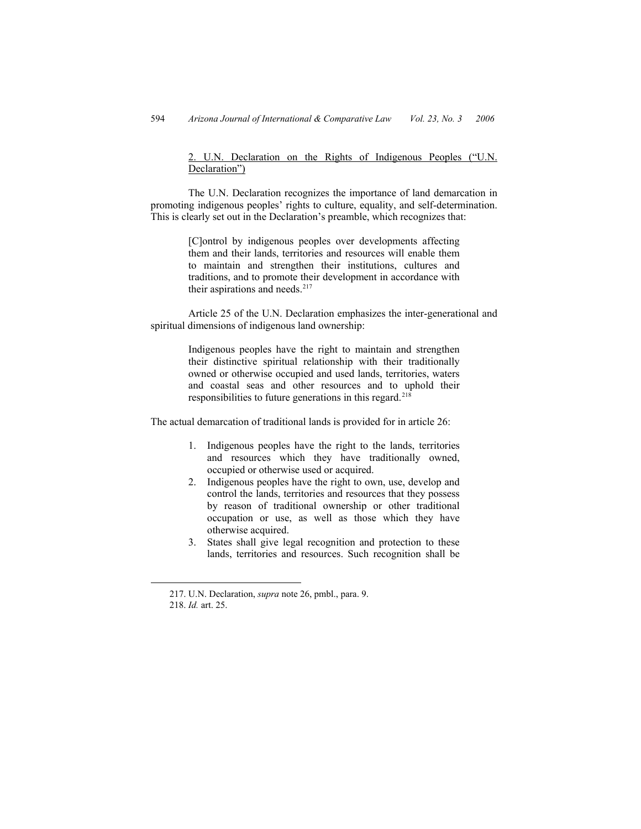2. U.N. Declaration on the Rights of Indigenous Peoples ("U.N. Declaration")

The U.N. Declaration recognizes the importance of land demarcation in promoting indigenous peoples' rights to culture, equality, and self-determination. This is clearly set out in the Declaration's preamble, which recognizes that:

> [C]ontrol by indigenous peoples over developments affecting them and their lands, territories and resources will enable them to maintain and strengthen their institutions, cultures and traditions, and to promote their development in accordance with their aspirations and needs. $217$

Article 25 of the U.N. Declaration emphasizes the inter-generational and spiritual dimensions of indigenous land ownership:

> Indigenous peoples have the right to maintain and strengthen their distinctive spiritual relationship with their traditionally owned or otherwise occupied and used lands, territories, waters and coastal seas and other resources and to uphold their responsibilities to future generations in this regard.<sup>[218](#page-51-1)</sup>

The actual demarcation of traditional lands is provided for in article 26:

- 1. Indigenous peoples have the right to the lands, territories and resources which they have traditionally owned, occupied or otherwise used or acquired.
- 2. Indigenous peoples have the right to own, use, develop and control the lands, territories and resources that they possess by reason of traditional ownership or other traditional occupation or use, as well as those which they have otherwise acquired.
- 3. States shall give legal recognition and protection to these lands, territories and resources. Such recognition shall be

<span id="page-51-1"></span><span id="page-51-0"></span> <sup>217.</sup> U.N. Declaration, *supra* note 26, pmbl., para. 9. 218. *Id.* art. 25.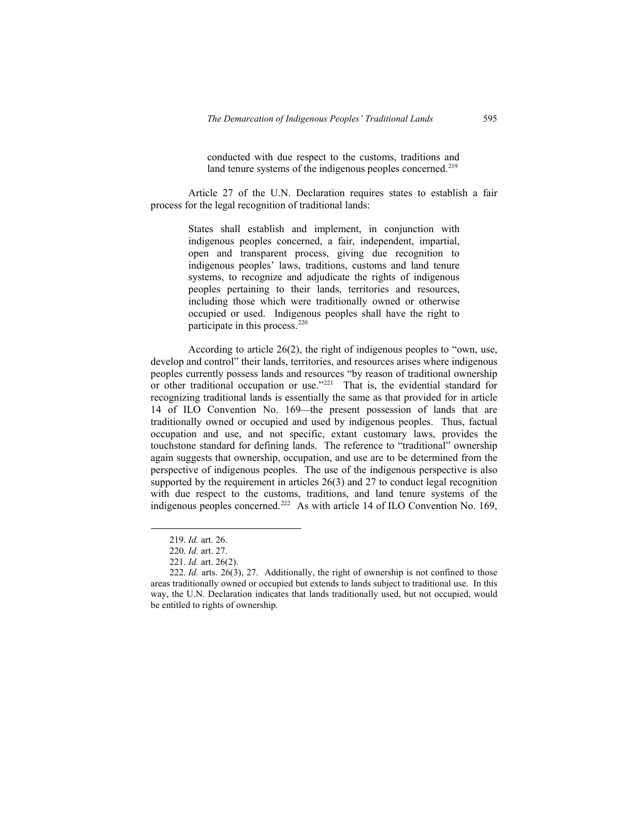conducted with due respect to the customs, traditions and land tenure systems of the indigenous peoples concerned.<sup>[219](#page-52-0)</sup>

Article 27 of the U.N. Declaration requires states to establish a fair process for the legal recognition of traditional lands:

> States shall establish and implement, in conjunction with indigenous peoples concerned, a fair, independent, impartial, open and transparent process, giving due recognition to indigenous peoples' laws, traditions, customs and land tenure systems, to recognize and adjudicate the rights of indigenous peoples pertaining to their lands, territories and resources, including those which were traditionally owned or otherwise occupied or used. Indigenous peoples shall have the right to participate in this process.<sup>[220](#page-52-1)</sup>

According to article 26(2), the right of indigenous peoples to "own, use, develop and control" their lands, territories, and resources arises where indigenous peoples currently possess lands and resources "by reason of traditional ownership or other traditional occupation or use."<sup>[221](#page-52-2)</sup> That is, the evidential standard for recognizing traditional lands is essentially the same as that provided for in article 14 of ILO Convention No. 169-the present possession of lands that are traditionally owned or occupied and used by indigenous peoples. Thus, factual occupation and use, and not specific, extant customary laws, provides the touchstone standard for defining lands. The reference to "traditional" ownership again suggests that ownership, occupation, and use are to be determined from the perspective of indigenous peoples. The use of the indigenous perspective is also supported by the requirement in articles 26(3) and 27 to conduct legal recognition with due respect to the customs, traditions, and land tenure systems of the indigenous peoples concerned.<sup>[222](#page-52-3)</sup> As with article 14 of ILO Convention No. 169,

 <sup>219.</sup> *Id.* art. 26.

<sup>220.</sup> *Id.* art. 27.

<sup>221.</sup> *Id.* art. 26(2).

<span id="page-52-3"></span><span id="page-52-2"></span><span id="page-52-1"></span><span id="page-52-0"></span><sup>222.</sup> *Id.* arts. 26(3), 27. Additionally, the right of ownership is not confined to those areas traditionally owned or occupied but extends to lands subject to traditional use. In this way, the U.N. Declaration indicates that lands traditionally used, but not occupied, would be entitled to rights of ownership.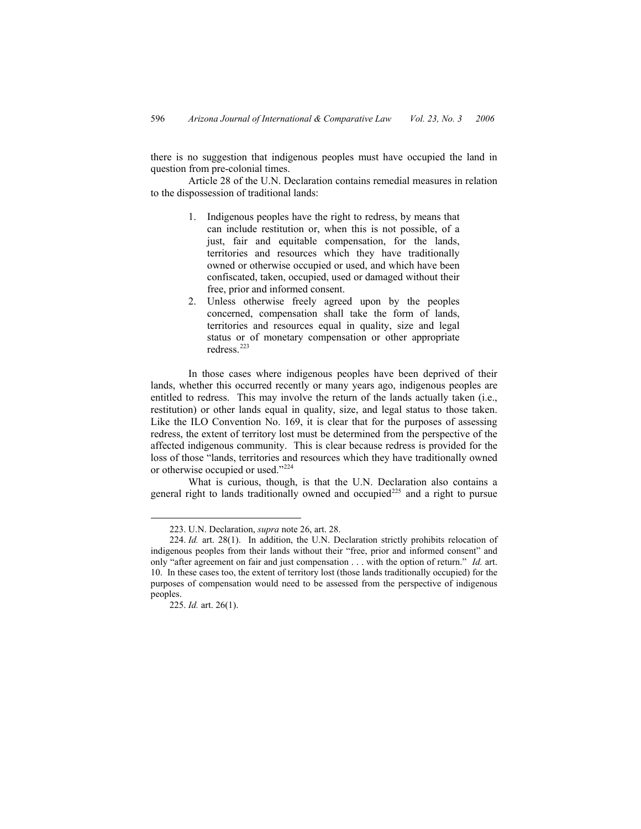there is no suggestion that indigenous peoples must have occupied the land in question from pre-colonial times.

Article 28 of the U.N. Declaration contains remedial measures in relation to the dispossession of traditional lands:

- 1. Indigenous peoples have the right to redress, by means that can include restitution or, when this is not possible, of a just, fair and equitable compensation, for the lands, territories and resources which they have traditionally owned or otherwise occupied or used, and which have been confiscated, taken, occupied, used or damaged without their free, prior and informed consent.
- 2. Unless otherwise freely agreed upon by the peoples concerned, compensation shall take the form of lands, territories and resources equal in quality, size and legal status or of monetary compensation or other appropriate redress.<sup>[223](#page-53-0)</sup>

In those cases where indigenous peoples have been deprived of their lands, whether this occurred recently or many years ago, indigenous peoples are entitled to redress. This may involve the return of the lands actually taken (i.e., restitution) or other lands equal in quality, size, and legal status to those taken. Like the ILO Convention No. 169, it is clear that for the purposes of assessing redress, the extent of territory lost must be determined from the perspective of the affected indigenous community. This is clear because redress is provided for the loss of those "lands, territories and resources which they have traditionally owned or otherwise occupied or used.["224](#page-53-1)

What is curious, though, is that the U.N. Declaration also contains a general right to lands traditionally owned and occupied<sup>[225](#page-53-2)</sup> and a right to pursue

 <sup>223.</sup> U.N. Declaration, *supra* note 26, art. 28.

<span id="page-53-0"></span><sup>224.</sup> *Id.* art. 28(1). In addition, the U.N. Declaration strictly prohibits relocation of indigenous peoples from their lands without their "free, prior and informed consent" and only "after agreement on fair and just compensation . . . with the option of return." *Id.* art. 10. In these cases too, the extent of territory lost (those lands traditionally occupied) for the purposes of compensation would need to be assessed from the perspective of indigenous peoples.

<span id="page-53-2"></span><span id="page-53-1"></span><sup>225.</sup> *Id.* art. 26(1).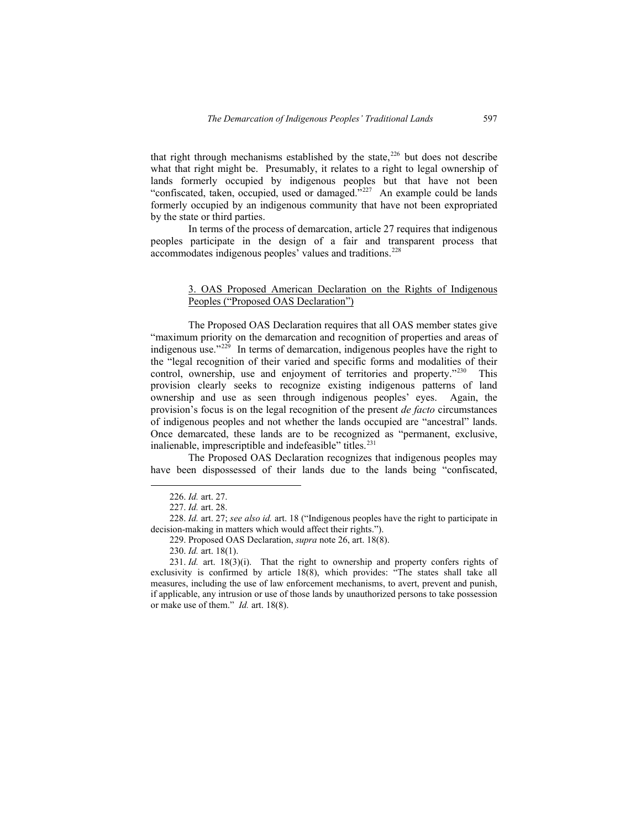that right through mechanisms established by the state, $226$  but does not describe what that right might be. Presumably, it relates to a right to legal ownership of lands formerly occupied by indigenous peoples but that have not been "confiscated, taken, occupied, used or damaged."[227](#page-54-1) An example could be lands formerly occupied by an indigenous community that have not been expropriated by the state or third parties.

In terms of the process of demarcation, article 27 requires that indigenous peoples participate in the design of a fair and transparent process that accommodates indigenous peoples' values and traditions.[228](#page-54-2)

### 3. OAS Proposed American Declaration on the Rights of Indigenous Peoples ("Proposed OAS Declaration")

The Proposed OAS Declaration requires that all OAS member states give "maximum priority on the demarcation and recognition of properties and areas of indigenous use."<sup>[229](#page-54-3)</sup> In terms of demarcation, indigenous peoples have the right to the "legal recognition of their varied and specific forms and modalities of their control, ownership, use and enjoyment of territories and property."<sup>[230](#page-54-4)</sup> This provision clearly seeks to recognize existing indigenous patterns of land ownership and use as seen through indigenous peoples' eyes. Again, the provision's focus is on the legal recognition of the present *de facto* circumstances of indigenous peoples and not whether the lands occupied are "ancestral" lands. Once demarcated, these lands are to be recognized as "permanent, exclusive, inalienable, imprescriptible and indefeasible" titles.<sup>[231](#page-54-5)</sup>

The Proposed OAS Declaration recognizes that indigenous peoples may have been dispossessed of their lands due to the lands being "confiscated,

 <sup>226.</sup> *Id.* art. 27.

<sup>227.</sup> *Id.* art. 28.

<sup>228.</sup> *Id.* art. 27; *see also id.* art. 18 ("Indigenous peoples have the right to participate in decision-making in matters which would affect their rights.").

<sup>229.</sup> Proposed OAS Declaration, *supra* note 26, art. 18(8).

<sup>230.</sup> *Id.* art. 18(1).

<span id="page-54-5"></span><span id="page-54-4"></span><span id="page-54-3"></span><span id="page-54-2"></span><span id="page-54-1"></span><span id="page-54-0"></span><sup>231.</sup> *Id.* art. 18(3)(i). That the right to ownership and property confers rights of exclusivity is confirmed by article 18(8), which provides: "The states shall take all measures, including the use of law enforcement mechanisms, to avert, prevent and punish, if applicable, any intrusion or use of those lands by unauthorized persons to take possession or make use of them." *Id.* art. 18(8).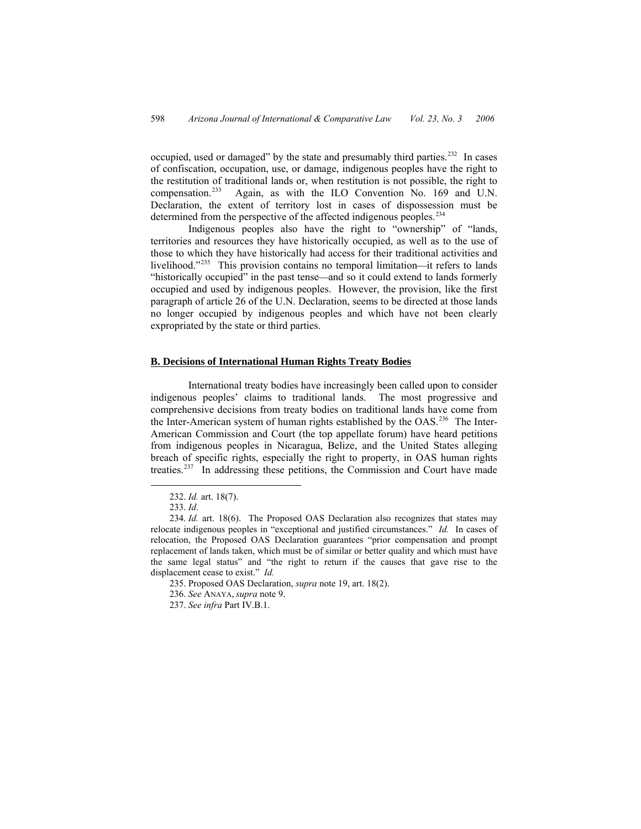occupied, used or damaged" by the state and presumably third parties.<sup>[232](#page-55-0)</sup> In cases of confiscation, occupation, use, or damage, indigenous peoples have the right to the restitution of traditional lands or, when restitution is not possible, the right to compensation  $233$  Again, as with the ILO Convention No. 169 and U.N. Again, as with the ILO Convention No. 169 and U.N. Declaration, the extent of territory lost in cases of dispossession must be determined from the perspective of the affected indigenous peoples.<sup>[234](#page-55-2)</sup>

Indigenous peoples also have the right to "ownership" of "lands, territories and resources they have historically occupied, as well as to the use of those to which they have historically had access for their traditional activities and livelihood."<sup>[235](#page-55-3)</sup> This provision contains no temporal limitation—it refers to lands "historically occupied" in the past tense—and so it could extend to lands formerly occupied and used by indigenous peoples. However, the provision, like the first paragraph of article 26 of the U.N. Declaration, seems to be directed at those lands no longer occupied by indigenous peoples and which have not been clearly expropriated by the state or third parties.

#### **B. Decisions of International Human Rights Treaty Bodies**

International treaty bodies have increasingly been called upon to consider indigenous peoples' claims to traditional lands. The most progressive and comprehensive decisions from treaty bodies on traditional lands have come from the Inter-American system of human rights established by the OAS.<sup>[236](#page-55-4)</sup> The Inter-American Commission and Court (the top appellate forum) have heard petitions from indigenous peoples in Nicaragua, Belize, and the United States alleging breach of specific rights, especially the right to property, in OAS human rights treaties.[237](#page-55-5) In addressing these petitions, the Commission and Court have made

 <sup>232.</sup> *Id.* art. 18(7).

<sup>233.</sup> *Id*.

<span id="page-55-1"></span><span id="page-55-0"></span><sup>234.</sup> *Id.* art. 18(6). The Proposed OAS Declaration also recognizes that states may relocate indigenous peoples in "exceptional and justified circumstances." *Id.* In cases of relocation, the Proposed OAS Declaration guarantees "prior compensation and prompt replacement of lands taken, which must be of similar or better quality and which must have the same legal status" and "the right to return if the causes that gave rise to the displacement cease to exist." *Id.*

<sup>235.</sup> Proposed OAS Declaration, *supra* note 19, art. 18(2).

<span id="page-55-2"></span><sup>236.</sup> *See* ANAYA, *supra* note 9.

<span id="page-55-5"></span><span id="page-55-4"></span><span id="page-55-3"></span><sup>237.</sup> *See infra* Part IV.B.1.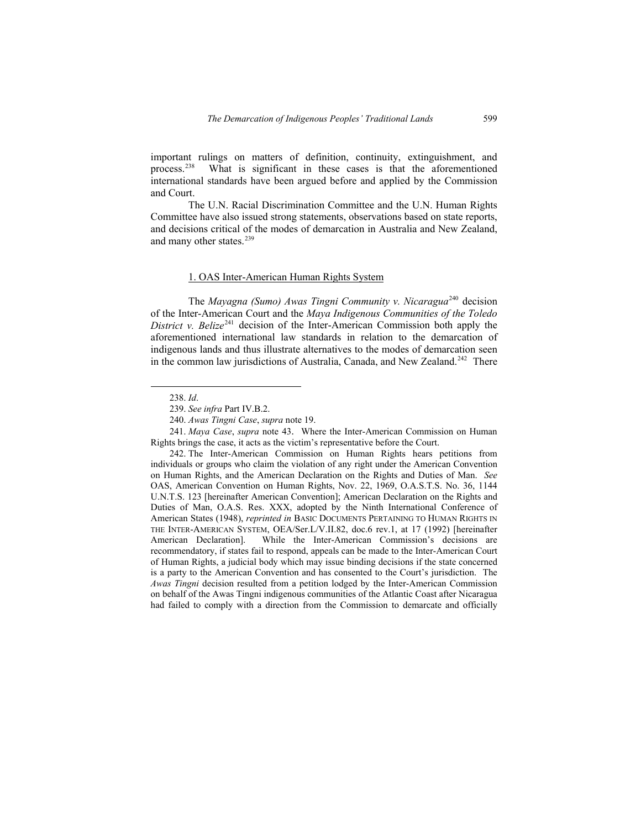important rulings on matters of definition, continuity, extinguishment, and process.[238](#page-56-0) What is significant in these cases is that the aforementioned international standards have been argued before and applied by the Commission and Court.

The U.N. Racial Discrimination Committee and the U.N. Human Rights Committee have also issued strong statements, observations based on state reports, and decisions critical of the modes of demarcation in Australia and New Zealand, and many other states.<sup>[239](#page-56-1)</sup>

# 1. OAS Inter-American Human Rights System

The *Mayagna (Sumo) Awas Tingni Community v. Nicaragua*[240](#page-56-2) decision of the Inter-American Court and the *Maya Indigenous Communities of the Toledo District v. Belize*<sup>[241](#page-56-3)</sup> decision of the Inter-American Commission both apply the aforementioned international law standards in relation to the demarcation of indigenous lands and thus illustrate alternatives to the modes of demarcation seen in the common law jurisdictions of Australia, Canada, and New Zealand.<sup>[242](#page-56-4)</sup> There

241. *Maya Case*, *supra* note 43. Where the Inter-American Commission on Human Rights brings the case, it acts as the victim's representative before the Court.

 <sup>238.</sup> *Id*.

<sup>239.</sup> *See infra* Part IV.B.2.

<sup>240.</sup> *Awas Tingni Case*, *supra* note 19.

<span id="page-56-4"></span><span id="page-56-3"></span><span id="page-56-2"></span><span id="page-56-1"></span><span id="page-56-0"></span><sup>242.</sup> The Inter-American Commission on Human Rights hears petitions from individuals or groups who claim the violation of any right under the American Convention on Human Rights, and the American Declaration on the Rights and Duties of Man. *See* OAS, American Convention on Human Rights, Nov. 22, 1969, O.A.S.T.S. No. 36, 1144 U.N.T.S. 123 [hereinafter American Convention]; American Declaration on the Rights and Duties of Man, O.A.S. Res. XXX, adopted by the Ninth International Conference of American States (1948), *reprinted in* BASIC DOCUMENTS PERTAINING TO HUMAN RIGHTS IN THE INTER-AMERICAN SYSTEM, OEA/Ser.L/V.II.82, doc.6 rev.1, at 17 (1992) [hereinafter American Declaration]. While the Inter-American Commission's decisions are recommendatory, if states fail to respond, appeals can be made to the Inter-American Court of Human Rights, a judicial body which may issue binding decisions if the state concerned is a party to the American Convention and has consented to the Court's jurisdiction. The *Awas Tingni* decision resulted from a petition lodged by the Inter-American Commission on behalf of the Awas Tingni indigenous communities of the Atlantic Coast after Nicaragua had failed to comply with a direction from the Commission to demarcate and officially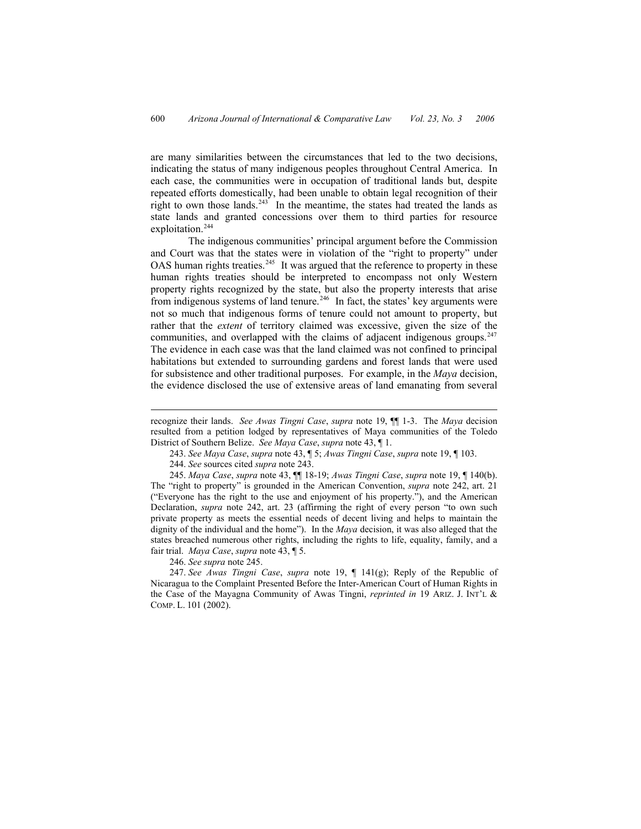are many similarities between the circumstances that led to the two decisions, indicating the status of many indigenous peoples throughout Central America. In each case, the communities were in occupation of traditional lands but, despite repeated efforts domestically, had been unable to obtain legal recognition of their right to own those lands. $243$  In the meantime, the states had treated the lands as state lands and granted concessions over them to third parties for resource exploitation.<sup>[244](#page-57-1)</sup>

The indigenous communities' principal argument before the Commission and Court was that the states were in violation of the "right to property" under OAS human rights treaties.<sup>[245](#page-57-2)</sup> It was argued that the reference to property in these human rights treaties should be interpreted to encompass not only Western property rights recognized by the state, but also the property interests that arise from indigenous systems of land tenure.<sup>[246](#page-57-3)</sup> In fact, the states' key arguments were not so much that indigenous forms of tenure could not amount to property, but rather that the *extent* of territory claimed was excessive, given the size of the communities, and overlapped with the claims of adjacent indigenous groups. $247$ The evidence in each case was that the land claimed was not confined to principal habitations but extended to surrounding gardens and forest lands that were used for subsistence and other traditional purposes. For example, in the *Maya* decision, the evidence disclosed the use of extensive areas of land emanating from several

245. *Maya Case*, *supra* note 43, ¶¶ 18-19; *Awas Tingni Case*, *supra* note 19, ¶ 140(b). The "right to property" is grounded in the American Convention, *supra* note 242, art. 21 ("Everyone has the right to the use and enjoyment of his property."), and the American Declaration, *supra* note 242, art. 23 (affirming the right of every person "to own such private property as meets the essential needs of decent living and helps to maintain the dignity of the individual and the home"). In the *Maya* decision, it was also alleged that the states breached numerous other rights, including the rights to life, equality, family, and a fair trial. *Maya Case*, *supra* note 43, ¶ 5.

246. *See supra* note 245.

 $\overline{a}$ 

<span id="page-57-4"></span><span id="page-57-3"></span><span id="page-57-2"></span><span id="page-57-1"></span><span id="page-57-0"></span>247. *See Awas Tingni Case*, *supra* note 19, ¶ 141(g); Reply of the Republic of Nicaragua to the Complaint Presented Before the Inter-American Court of Human Rights in the Case of the Mayagna Community of Awas Tingni, *reprinted in* 19 ARIZ. J. INT'L & COMP. L. 101 (2002).

recognize their lands. *See Awas Tingni Case*, *supra* note 19, ¶¶ 1-3. The *Maya* decision resulted from a petition lodged by representatives of Maya communities of the Toledo District of Southern Belize. *See Maya Case*, *supra* note 43, ¶ 1.

<sup>243.</sup> *See Maya Case*, *supra* note 43, ¶ 5; *Awas Tingni Case*, *supra* note 19, ¶ 103.

<sup>244.</sup> *See* sources cited *supra* note 243.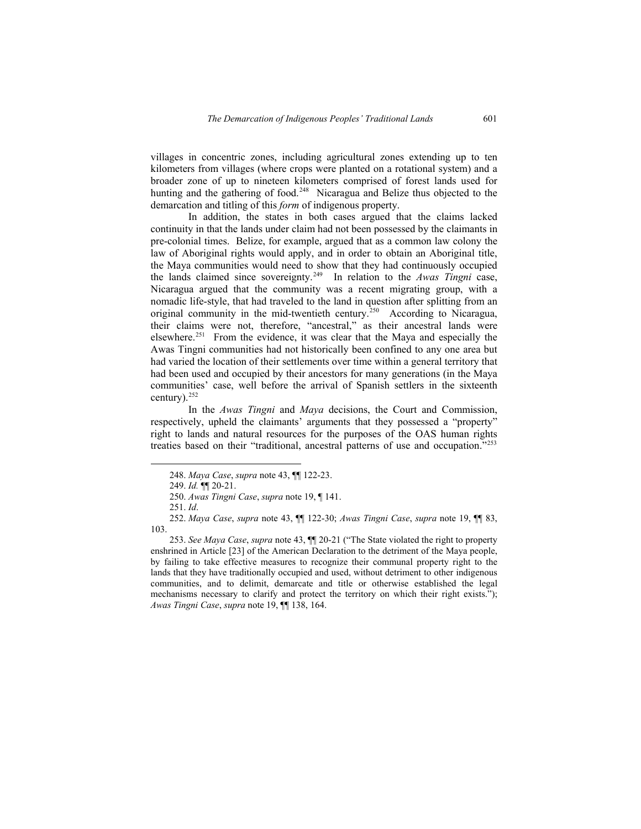villages in concentric zones, including agricultural zones extending up to ten kilometers from villages (where crops were planted on a rotational system) and a broader zone of up to nineteen kilometers comprised of forest lands used for hunting and the gathering of food.<sup>[248](#page-58-0)</sup> Nicaragua and Belize thus objected to the demarcation and titling of this *form* of indigenous property.

In addition, the states in both cases argued that the claims lacked continuity in that the lands under claim had not been possessed by the claimants in pre-colonial times. Belize, for example, argued that as a common law colony the law of Aboriginal rights would apply, and in order to obtain an Aboriginal title, the Maya communities would need to show that they had continuously occupied the lands claimed since sovereignty.[249](#page-58-1) In relation to the *Awas Tingni* case, Nicaragua argued that the community was a recent migrating group, with a nomadic life-style, that had traveled to the land in question after splitting from an original community in the mid-twentieth century.<sup>[250](#page-58-2)</sup> According to Nicaragua, their claims were not, therefore, "ancestral," as their ancestral lands were elsewhere.<sup>[251](#page-58-3)</sup> From the evidence, it was clear that the Maya and especially the Awas Tingni communities had not historically been confined to any one area but had varied the location of their settlements over time within a general territory that had been used and occupied by their ancestors for many generations (in the Maya communities' case, well before the arrival of Spanish settlers in the sixteenth century).<sup>[252](#page-58-4)</sup>

In the *Awas Tingni* and *Maya* decisions, the Court and Commission, respectively, upheld the claimants' arguments that they possessed a "property" right to lands and natural resources for the purposes of the OAS human rights treaties based on their "traditional, ancestral patterns of use and occupation."[253](#page-58-5)

 <sup>248.</sup> *Maya Case*, *supra* note 43, ¶¶ 122-23.

<sup>249.</sup> *Id.* ¶¶ 20-21.

<sup>250.</sup> *Awas Tingni Case*, *supra* note 19, ¶ 141.

<sup>251.</sup> *Id*.

<sup>252.</sup> *Maya Case*, *supra* note 43, ¶¶ 122-30; *Awas Tingni Case*, *supra* note 19, ¶¶ 83, 103.

<span id="page-58-5"></span><span id="page-58-4"></span><span id="page-58-3"></span><span id="page-58-2"></span><span id="page-58-1"></span><span id="page-58-0"></span><sup>253.</sup> *See Maya Case*, *supra* note 43, ¶¶ 20-21 ("The State violated the right to property enshrined in Article [23] of the American Declaration to the detriment of the Maya people, by failing to take effective measures to recognize their communal property right to the lands that they have traditionally occupied and used, without detriment to other indigenous communities, and to delimit, demarcate and title or otherwise established the legal mechanisms necessary to clarify and protect the territory on which their right exists."); *Awas Tingni Case*, *supra* note 19, ¶¶ 138, 164.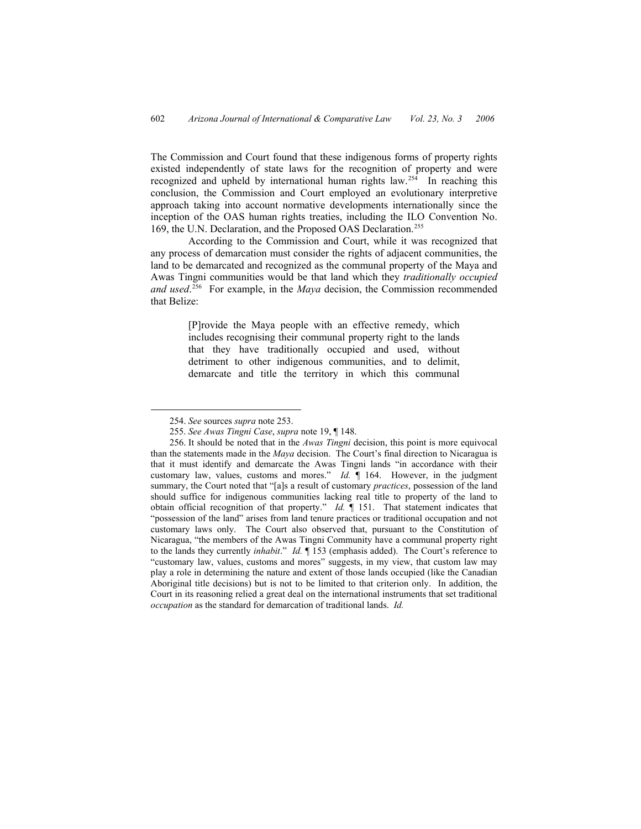The Commission and Court found that these indigenous forms of property rights existed independently of state laws for the recognition of property and were recognized and upheld by international human rights law.<sup>[254](#page-59-0)</sup> In reaching this conclusion, the Commission and Court employed an evolutionary interpretive approach taking into account normative developments internationally since the inception of the OAS human rights treaties, including the ILO Convention No. 169, the U.N. Declaration, and the Proposed OAS Declaration.<sup>[255](#page-59-1)</sup>

According to the Commission and Court, while it was recognized that any process of demarcation must consider the rights of adjacent communities, the land to be demarcated and recognized as the communal property of the Maya and Awas Tingni communities would be that land which they *traditionally occupied and used*. [256](#page-59-2) For example, in the *Maya* decision, the Commission recommended that Belize:

> [P]rovide the Maya people with an effective remedy, which includes recognising their communal property right to the lands that they have traditionally occupied and used, without detriment to other indigenous communities, and to delimit, demarcate and title the territory in which this communal

 <sup>254.</sup> *See* sources *supra* note 253.

<sup>255.</sup> *See Awas Tingni Case*, *supra* note 19, ¶ 148.

<span id="page-59-2"></span><span id="page-59-1"></span><span id="page-59-0"></span><sup>256.</sup> It should be noted that in the *Awas Tingni* decision, this point is more equivocal than the statements made in the *Maya* decision. The Court's final direction to Nicaragua is that it must identify and demarcate the Awas Tingni lands "in accordance with their customary law, values, customs and mores." *Id.* ¶ 164. However, in the judgment summary, the Court noted that "[a]s a result of customary *practices*, possession of the land should suffice for indigenous communities lacking real title to property of the land to obtain official recognition of that property." *Id.* ¶ 151. That statement indicates that "possession of the land" arises from land tenure practices or traditional occupation and not customary laws only. The Court also observed that, pursuant to the Constitution of Nicaragua, "the members of the Awas Tingni Community have a communal property right to the lands they currently *inhabit*." *Id.* ¶ 153 (emphasis added). The Court's reference to "customary law, values, customs and mores" suggests, in my view, that custom law may play a role in determining the nature and extent of those lands occupied (like the Canadian Aboriginal title decisions) but is not to be limited to that criterion only. In addition, the Court in its reasoning relied a great deal on the international instruments that set traditional *occupation* as the standard for demarcation of traditional lands. *Id.*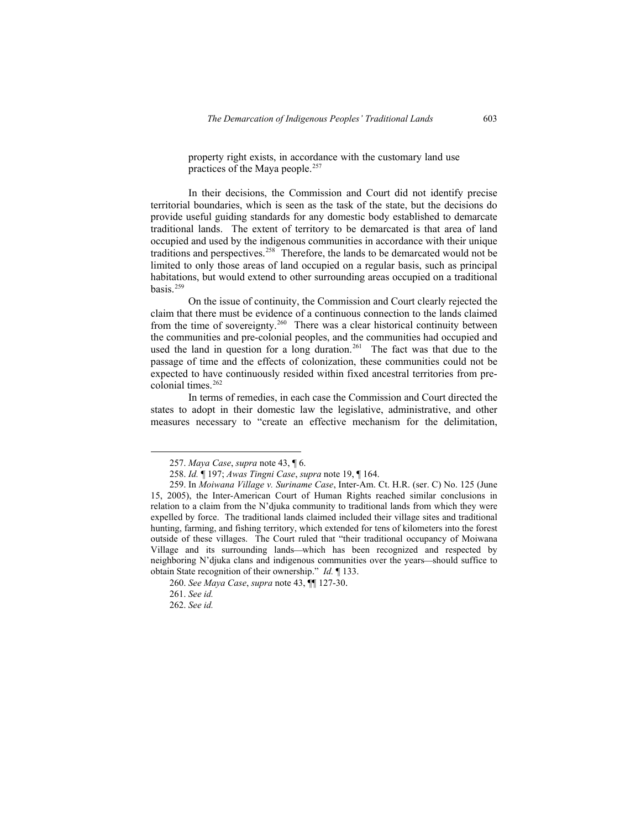property right exists, in accordance with the customary land use practices of the Maya people.<sup>257</sup>

In their decisions, the Commission and Court did not identify precise territorial boundaries, which is seen as the task of the state, but the decisions do provide useful guiding standards for any domestic body established to demarcate traditional lands. The extent of territory to be demarcated is that area of land occupied and used by the indigenous communities in accordance with their unique traditions and perspectives.[258](#page-60-1) Therefore, the lands to be demarcated would not be limited to only those areas of land occupied on a regular basis, such as principal habitations, but would extend to other surrounding areas occupied on a traditional basis. $259$ 

On the issue of continuity, the Commission and Court clearly rejected the claim that there must be evidence of a continuous connection to the lands claimed from the time of sovereignty.<sup>[260](#page-60-3)</sup> There was a clear historical continuity between the communities and pre-colonial peoples, and the communities had occupied and used the land in question for a long duration.<sup>[261](#page-60-4)</sup> The fact was that due to the passage of time and the effects of colonization, these communities could not be expected to have continuously resided within fixed ancestral territories from pre-colonial times.<sup>[262](#page-60-5)</sup>

In terms of remedies, in each case the Commission and Court directed the states to adopt in their domestic law the legislative, administrative, and other measures necessary to "create an effective mechanism for the delimitation,

 <sup>257.</sup> *Maya Case*, *supra* note 43, ¶ 6.

<sup>258.</sup> *Id.* ¶ 197; *Awas Tingni Case*, *supra* note 19, ¶ 164.

<span id="page-60-1"></span><span id="page-60-0"></span><sup>259.</sup> In *Moiwana Village v. Suriname Case*, Inter-Am. Ct. H.R. (ser. C) No. 125 (June 15, 2005), the Inter-American Court of Human Rights reached similar conclusions in relation to a claim from the N'djuka community to traditional lands from which they were expelled by force. The traditional lands claimed included their village sites and traditional hunting, farming, and fishing territory, which extended for tens of kilometers into the forest outside of these villages. The Court ruled that "their traditional occupancy of Moiwana Village and its surrounding lands—which has been recognized and respected by neighboring N'djuka clans and indigenous communities over the years—should suffice to obtain State recognition of their ownership." *Id.* ¶ 133.

<span id="page-60-2"></span><sup>260.</sup> *See Maya Case*, *supra* note 43, ¶¶ 127-30.

<sup>261.</sup> *See id.*

<span id="page-60-5"></span><span id="page-60-4"></span><span id="page-60-3"></span><sup>262.</sup> *See id.*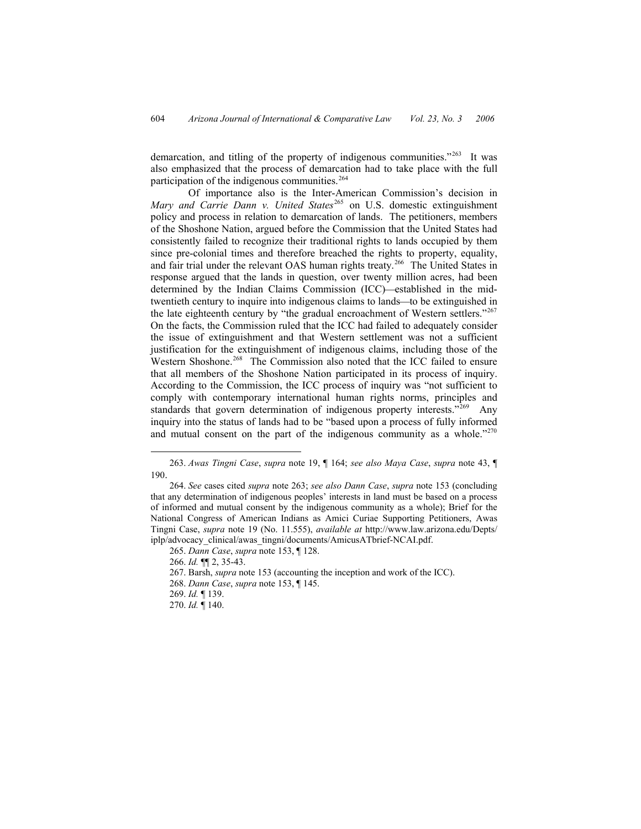demarcation, and titling of the property of indigenous communities."<sup>[263](#page-61-0)</sup> It was also emphasized that the process of demarcation had to take place with the full participation of the indigenous communities.<sup>[264](#page-61-1)</sup>

Of importance also is the Inter-American Commission's decision in *Mary and Carrie Dann v. United States<sup>[265](#page-61-2)</sup> on U.S. domestic extinguishment* policy and process in relation to demarcation of lands. The petitioners, members of the Shoshone Nation, argued before the Commission that the United States had consistently failed to recognize their traditional rights to lands occupied by them since pre-colonial times and therefore breached the rights to property, equality, and fair trial under the relevant OAS human rights treaty.<sup>[266](#page-61-3)</sup> The United States in response argued that the lands in question, over twenty million acres, had been determined by the Indian Claims Commission (ICC)—established in the midtwentieth century to inquire into indigenous claims to lands—to be extinguished in the late eighteenth century by "the gradual encroachment of Western settlers."[267](#page-61-4) On the facts, the Commission ruled that the ICC had failed to adequately consider the issue of extinguishment and that Western settlement was not a sufficient justification for the extinguishment of indigenous claims, including those of the Western Shoshone.<sup>[268](#page-61-5)</sup> The Commission also noted that the ICC failed to ensure that all members of the Shoshone Nation participated in its process of inquiry. According to the Commission, the ICC process of inquiry was "not sufficient to comply with contemporary international human rights norms, principles and standards that govern determination of indigenous property interests."<sup>[269](#page-61-6)</sup> Any inquiry into the status of lands had to be "based upon a process of fully informed and mutual consent on the part of the indigenous community as a whole.<sup>"[270](#page-61-7)</sup>

<span id="page-61-7"></span><span id="page-61-6"></span><span id="page-61-5"></span><span id="page-61-4"></span><span id="page-61-3"></span>270. *Id.* ¶ 140.

 <sup>263.</sup> *Awas Tingni Case*, *supra* note 19, ¶ 164; *see also Maya Case*, *supra* note 43, ¶ 190.

<span id="page-61-1"></span><span id="page-61-0"></span><sup>264.</sup> *See* cases cited *supra* note 263; *see also Dann Case*, *supra* note 153 (concluding that any determination of indigenous peoples' interests in land must be based on a process of informed and mutual consent by the indigenous community as a whole); Brief for the National Congress of American Indians as Amici Curiae Supporting Petitioners, Awas Tingni Case, *supra* note 19 (No. 11.555), *available at* http://www.law.arizona.edu/Depts/ iplp/advocacy\_clinical/awas\_tingni/documents/AmicusATbrief-NCAI.pdf.

<sup>265.</sup> *Dann Case*, *supra* note 153, ¶ 128.

<sup>266.</sup> *Id.* ¶¶ 2, 35-43.

<sup>267.</sup> Barsh, *supra* note 153 (accounting the inception and work of the ICC).

<sup>268.</sup> *Dann Case*, *supra* note 153, ¶ 145.

<span id="page-61-2"></span><sup>269.</sup> *Id.* ¶ 139.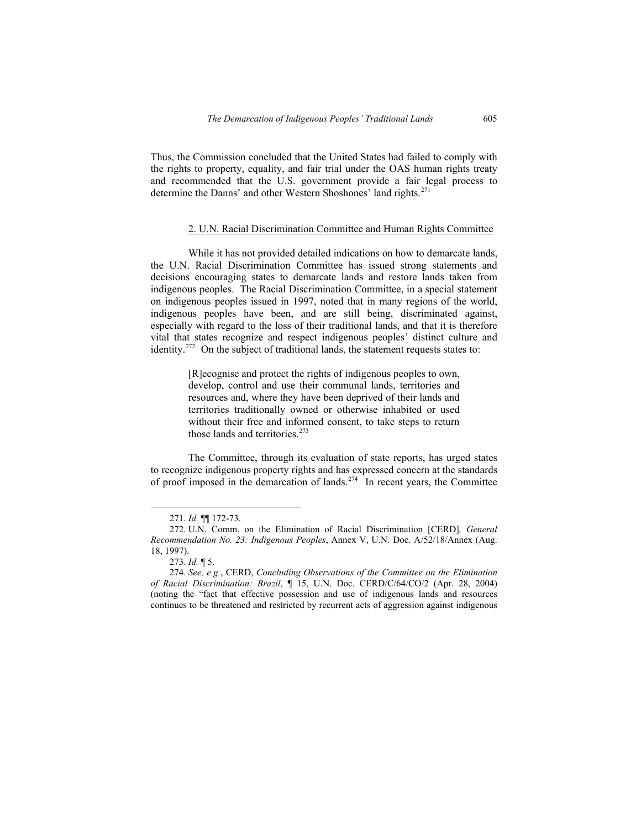Thus, the Commission concluded that the United States had failed to comply with the rights to property, equality, and fair trial under the OAS human rights treaty and recommended that the U.S. government provide a fair legal process to determine the Danns' and other Western Shoshones' land rights.<sup>[271](#page-62-0)</sup>

### 2. U.N. Racial Discrimination Committee and Human Rights Committee

While it has not provided detailed indications on how to demarcate lands, the U.N. Racial Discrimination Committee has issued strong statements and decisions encouraging states to demarcate lands and restore lands taken from indigenous peoples. The Racial Discrimination Committee, in a special statement on indigenous peoples issued in 1997, noted that in many regions of the world, indigenous peoples have been, and are still being, discriminated against, especially with regard to the loss of their traditional lands, and that it is therefore vital that states recognize and respect indigenous peoples' distinct culture and identity.[272](#page-62-1) On the subject of traditional lands, the statement requests states to:

> [R]ecognise and protect the rights of indigenous peoples to own, develop, control and use their communal lands, territories and resources and, where they have been deprived of their lands and territories traditionally owned or otherwise inhabited or used without their free and informed consent, to take steps to return those lands and territories.<sup>[273](#page-62-2)</sup>

The Committee, through its evaluation of state reports, has urged states to recognize indigenous property rights and has expressed concern at the standards of proof imposed in the demarcation of lands.[274](#page-62-3) In recent years, the Committee

 <sup>271.</sup> *Id.* ¶¶ 172-73.

<sup>272.</sup> U.N. Comm. on the Elimination of Racial Discrimination [CERD]*, General Recommendation No. 23: Indigenous Peoples*, Annex V, U.N. Doc. A/52/18/Annex (Aug. 18, 1997).

<sup>273.</sup> *Id.* ¶ 5.

<span id="page-62-3"></span><span id="page-62-2"></span><span id="page-62-1"></span><span id="page-62-0"></span><sup>274.</sup> *See, e.g.*, CERD, *Concluding Observations of the Committee on the Elimination of Racial Discrimination: Brazil*, ¶ 15, U.N. Doc. CERD/C/64/CO/2 (Apr. 28, 2004) (noting the "fact that effective possession and use of indigenous lands and resources continues to be threatened and restricted by recurrent acts of aggression against indigenous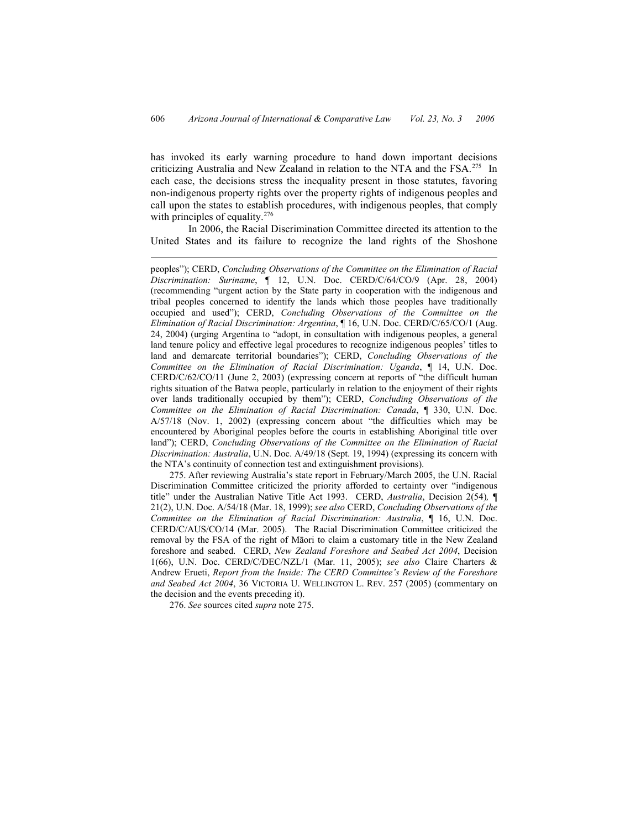has invoked its early warning procedure to hand down important decisions criticizing Australia and New Zealand in relation to the NTA and the FSA.<sup>[275](#page-63-0)</sup> In each case, the decisions stress the inequality present in those statutes, favoring non-indigenous property rights over the property rights of indigenous peoples and call upon the states to establish procedures, with indigenous peoples, that comply with principles of equality.<sup>[276](#page-63-1)</sup>

In 2006, the Racial Discrimination Committee directed its attention to the United States and its failure to recognize the land rights of the Shoshone

<span id="page-63-0"></span>275. After reviewing Australia's state report in February/March 2005, the U.N. Racial Discrimination Committee criticized the priority afforded to certainty over "indigenous title" under the Australian Native Title Act 1993. CERD, *Australia*, Decision 2(54)*,* ¶ 21(2), U.N. Doc. A/54/18 (Mar. 18, 1999); *see also* CERD, *Concluding Observations of the Committee on the Elimination of Racial Discrimination: Australia*, ¶ 16, U.N. Doc. CERD/C/AUS/CO/14 (Mar. 2005). The Racial Discrimination Committee criticized the removal by the FSA of the right of Māori to claim a customary title in the New Zealand foreshore and seabed. CERD, *New Zealand Foreshore and Seabed Act 2004*, Decision 1(66), U.N. Doc. CERD/C/DEC/NZL/1 (Mar. 11, 2005); *see also* Claire Charters & Andrew Erueti, *Report from the Inside: The CERD Committee's Review of the Foreshore and Seabed Act 2004*, 36 VICTORIA U. WELLINGTON L. REV. 257 (2005) (commentary on the decision and the events preceding it).

<span id="page-63-1"></span>276. *See* sources cited *supra* note 275.

 $\overline{a}$ 

peoples"); CERD, *Concluding Observations of the Committee on the Elimination of Racial Discrimination: Suriname*, ¶ 12, U.N. Doc. CERD/C/64/CO/9 (Apr. 28, 2004) (recommending "urgent action by the State party in cooperation with the indigenous and tribal peoples concerned to identify the lands which those peoples have traditionally occupied and used"); CERD, *Concluding Observations of the Committee on the Elimination of Racial Discrimination: Argentina*, ¶ 16, U.N. Doc. CERD/C/65/CO/1 (Aug. 24, 2004) (urging Argentina to "adopt, in consultation with indigenous peoples, a general land tenure policy and effective legal procedures to recognize indigenous peoples' titles to land and demarcate territorial boundaries"); CERD, *Concluding Observations of the Committee on the Elimination of Racial Discrimination: Uganda*, ¶ 14, U.N. Doc. CERD/C/62/CO/11 (June 2, 2003) (expressing concern at reports of "the difficult human rights situation of the Batwa people, particularly in relation to the enjoyment of their rights over lands traditionally occupied by them"); CERD, *Concluding Observations of the Committee on the Elimination of Racial Discrimination: Canada*, ¶ 330, U.N. Doc. A/57/18 (Nov. 1, 2002) (expressing concern about "the difficulties which may be encountered by Aboriginal peoples before the courts in establishing Aboriginal title over land"); CERD, *Concluding Observations of the Committee on the Elimination of Racial Discrimination: Australia*, U.N. Doc. A/49/18 (Sept. 19, 1994) (expressing its concern with the NTA's continuity of connection test and extinguishment provisions).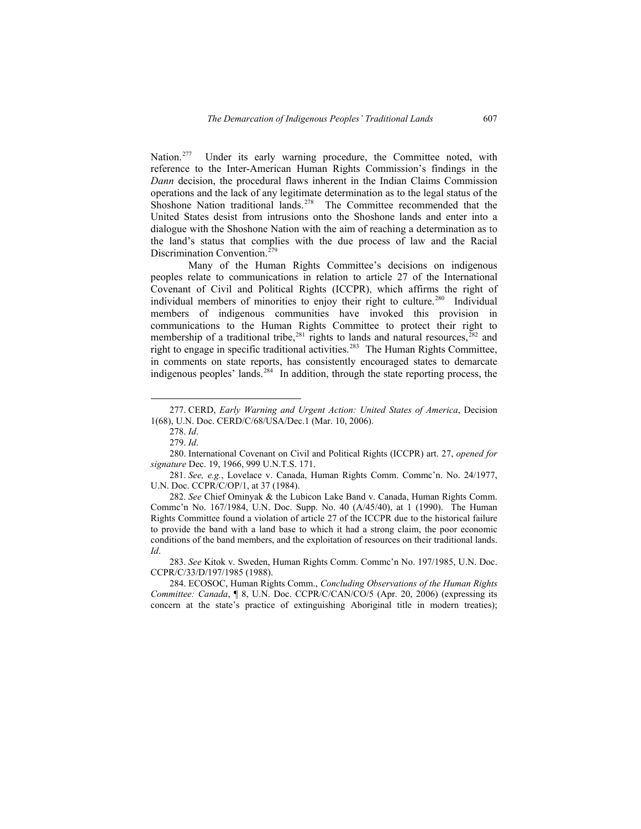Nation.<sup>[277](#page-64-0)</sup> Under its early warning procedure, the Committee noted, with reference to the Inter-American Human Rights Commission's findings in the *Dann* decision, the procedural flaws inherent in the Indian Claims Commission operations and the lack of any legitimate determination as to the legal status of the Shoshone Nation traditional lands.<sup>[278](#page-64-1)</sup> The Committee recommended that the United States desist from intrusions onto the Shoshone lands and enter into a dialogue with the Shoshone Nation with the aim of reaching a determination as to the land's status that complies with the due process of law and the Racial Discrimination Convention.<sup>[279](#page-64-0)</sup>

Many of the Human Rights Committee's decisions on indigenous peoples relate to communications in relation to article 27 of the International Covenant of Civil and Political Rights (ICCPR), which affirms the right of individual members of minorities to enjoy their right to culture.<sup>[280](#page-64-2)</sup> Individual members of indigenous communities have invoked this provision in communications to the Human Rights Committee to protect their right to membership of a traditional tribe,  $281$  rights to lands and natural resources,  $282$  and right to engage in specific traditional activities.<sup>[283](#page-64-5)</sup> The Human Rights Committee, in comments on state reports, has consistently encouraged states to demarcate indigenous peoples' lands.<sup>[284](#page-64-6)</sup> In addition, through the state reporting process, the

281. *See, e.g.*, Lovelace v. Canada, Human Rights Comm. Commc'n. No. 24/1977, U.N. Doc. CCPR/C/OP/1, at 37 (1984).

<span id="page-64-2"></span><span id="page-64-1"></span><span id="page-64-0"></span>282. *See* Chief Ominyak & the Lubicon Lake Band v. Canada, Human Rights Comm. Commc'n No. 167/1984, U.N. Doc. Supp. No. 40 (A/45/40), at 1 (1990). The Human Rights Committee found a violation of article 27 of the ICCPR due to the historical failure to provide the band with a land base to which it had a strong claim, the poor economic conditions of the band members, and the exploitation of resources on their traditional lands. *Id*.

<span id="page-64-3"></span>283. *See* Kitok v. Sweden, Human Rights Comm. Commc'n No. 197/1985, U.N. Doc. CCPR/C/33/D/197/1985 (1988).

<span id="page-64-6"></span><span id="page-64-5"></span><span id="page-64-4"></span>284. ECOSOC, Human Rights Comm., *Concluding Observations of the Human Rights Committee: Canada*, ¶ 8, U.N. Doc. CCPR/C/CAN/CO/5 (Apr. 20, 2006) (expressing its concern at the state's practice of extinguishing Aboriginal title in modern treaties);

 <sup>277.</sup> CERD, *Early Warning and Urgent Action: United States of America*, Decision 1(68), U.N. Doc. CERD/C/68/USA/Dec.1 (Mar. 10, 2006).

<sup>278.</sup> *Id*.

<sup>279.</sup> *Id*.

<sup>280.</sup> International Covenant on Civil and Political Rights (ICCPR) art. 27, *opened for signature* Dec. 19, 1966, 999 U.N.T.S. 171.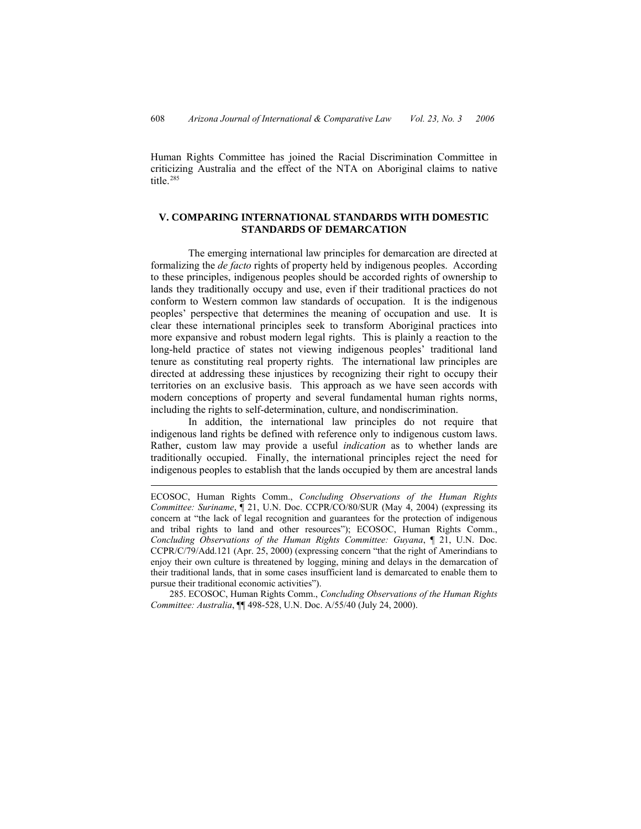Human Rights Committee has joined the Racial Discrimination Committee in criticizing Australia and the effect of the NTA on Aboriginal claims to native title.<sup>[285](#page-65-0)</sup>

### **V. COMPARING INTERNATIONAL STANDARDS WITH DOMESTIC STANDARDS OF DEMARCATION**

The emerging international law principles for demarcation are directed at formalizing the *de facto* rights of property held by indigenous peoples. According to these principles, indigenous peoples should be accorded rights of ownership to lands they traditionally occupy and use, even if their traditional practices do not conform to Western common law standards of occupation. It is the indigenous peoples' perspective that determines the meaning of occupation and use. It is clear these international principles seek to transform Aboriginal practices into more expansive and robust modern legal rights. This is plainly a reaction to the long-held practice of states not viewing indigenous peoples' traditional land tenure as constituting real property rights. The international law principles are directed at addressing these injustices by recognizing their right to occupy their territories on an exclusive basis. This approach as we have seen accords with modern conceptions of property and several fundamental human rights norms, including the rights to self-determination, culture, and nondiscrimination.

In addition, the international law principles do not require that indigenous land rights be defined with reference only to indigenous custom laws. Rather, custom law may provide a useful *indication* as to whether lands are traditionally occupied. Finally, the international principles reject the need for indigenous peoples to establish that the lands occupied by them are ancestral lands

 $\overline{a}$ 

<span id="page-65-0"></span>285. ECOSOC, Human Rights Comm., *Concluding Observations of the Human Rights Committee: Australia*, ¶¶ 498-528, U.N. Doc. A/55/40 (July 24, 2000).

ECOSOC, Human Rights Comm., *Concluding Observations of the Human Rights Committee: Suriname*, ¶ 21, U.N. Doc. CCPR/CO/80/SUR (May 4, 2004) (expressing its concern at "the lack of legal recognition and guarantees for the protection of indigenous and tribal rights to land and other resources"); ECOSOC, Human Rights Comm., *Concluding Observations of the Human Rights Committee: Guyana*, ¶ 21, U.N. Doc. CCPR/C/79/Add.121 (Apr. 25, 2000) (expressing concern "that the right of Amerindians to enjoy their own culture is threatened by logging, mining and delays in the demarcation of their traditional lands, that in some cases insufficient land is demarcated to enable them to pursue their traditional economic activities").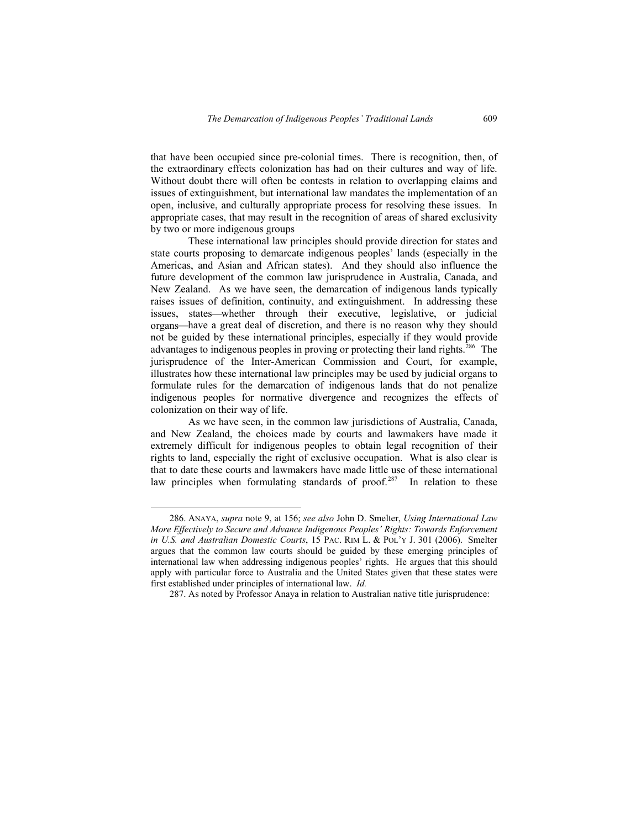that have been occupied since pre-colonial times. There is recognition, then, of the extraordinary effects colonization has had on their cultures and way of life. Without doubt there will often be contests in relation to overlapping claims and issues of extinguishment, but international law mandates the implementation of an open, inclusive, and culturally appropriate process for resolving these issues. In appropriate cases, that may result in the recognition of areas of shared exclusivity by two or more indigenous groups

These international law principles should provide direction for states and state courts proposing to demarcate indigenous peoples' lands (especially in the Americas, and Asian and African states). And they should also influence the future development of the common law jurisprudence in Australia, Canada, and New Zealand. As we have seen, the demarcation of indigenous lands typically raises issues of definition, continuity, and extinguishment. In addressing these issues, states—whether through their executive, legislative, or judicial organs⎯have a great deal of discretion, and there is no reason why they should not be guided by these international principles, especially if they would provide advantages to indigenous peoples in proving or protecting their land rights.<sup>[286](#page-66-0)</sup> The jurisprudence of the Inter-American Commission and Court, for example, illustrates how these international law principles may be used by judicial organs to formulate rules for the demarcation of indigenous lands that do not penalize indigenous peoples for normative divergence and recognizes the effects of colonization on their way of life.

As we have seen, in the common law jurisdictions of Australia, Canada, and New Zealand, the choices made by courts and lawmakers have made it extremely difficult for indigenous peoples to obtain legal recognition of their rights to land, especially the right of exclusive occupation. What is also clear is that to date these courts and lawmakers have made little use of these international law principles when formulating standards of proof.<sup>[287](#page-66-1)</sup> In relation to these

<span id="page-66-0"></span> <sup>286.</sup> ANAYA, *supra* note 9, at 156; *see also* John D. Smelter, *Using International Law More Effectively to Secure and Advance Indigenous Peoples' Rights: Towards Enforcement in U.S. and Australian Domestic Courts*, 15 PAC. RIM L. & POL'Y J. 301 (2006). Smelter argues that the common law courts should be guided by these emerging principles of international law when addressing indigenous peoples' rights. He argues that this should apply with particular force to Australia and the United States given that these states were first established under principles of international law. *Id.* 

<span id="page-66-1"></span><sup>287.</sup> As noted by Professor Anaya in relation to Australian native title jurisprudence: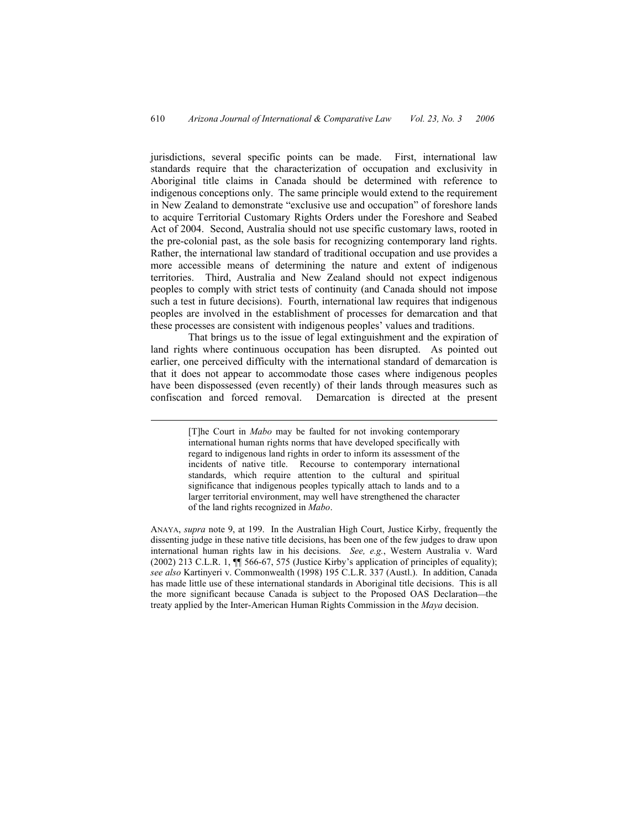jurisdictions, several specific points can be made. First, international law standards require that the characterization of occupation and exclusivity in Aboriginal title claims in Canada should be determined with reference to indigenous conceptions only. The same principle would extend to the requirement in New Zealand to demonstrate "exclusive use and occupation" of foreshore lands to acquire Territorial Customary Rights Orders under the Foreshore and Seabed Act of 2004. Second, Australia should not use specific customary laws, rooted in the pre-colonial past, as the sole basis for recognizing contemporary land rights. Rather, the international law standard of traditional occupation and use provides a more accessible means of determining the nature and extent of indigenous territories. Third, Australia and New Zealand should not expect indigenous peoples to comply with strict tests of continuity (and Canada should not impose such a test in future decisions). Fourth, international law requires that indigenous peoples are involved in the establishment of processes for demarcation and that these processes are consistent with indigenous peoples' values and traditions.

That brings us to the issue of legal extinguishment and the expiration of land rights where continuous occupation has been disrupted. As pointed out earlier, one perceived difficulty with the international standard of demarcation is that it does not appear to accommodate those cases where indigenous peoples have been dispossessed (even recently) of their lands through measures such as confiscation and forced removal. Demarcation is directed at the present

 <sup>[</sup>T]he Court in *Mabo* may be faulted for not invoking contemporary international human rights norms that have developed specifically with regard to indigenous land rights in order to inform its assessment of the incidents of native title. Recourse to contemporary international standards, which require attention to the cultural and spiritual significance that indigenous peoples typically attach to lands and to a larger territorial environment, may well have strengthened the character of the land rights recognized in *Mabo*.

ANAYA, *supra* note 9, at 199. In the Australian High Court, Justice Kirby, frequently the dissenting judge in these native title decisions, has been one of the few judges to draw upon international human rights law in his decisions. *See, e.g.*, Western Australia v. Ward (2002) 213 C.L.R. 1, ¶¶ 566-67, 575 (Justice Kirby's application of principles of equality); *see also* Kartinyeri v. Commonwealth (1998) 195 C.L.R. 337 (Austl.). In addition, Canada has made little use of these international standards in Aboriginal title decisions. This is all the more significant because Canada is subject to the Proposed OAS Declaration—the treaty applied by the Inter-American Human Rights Commission in the *Maya* decision.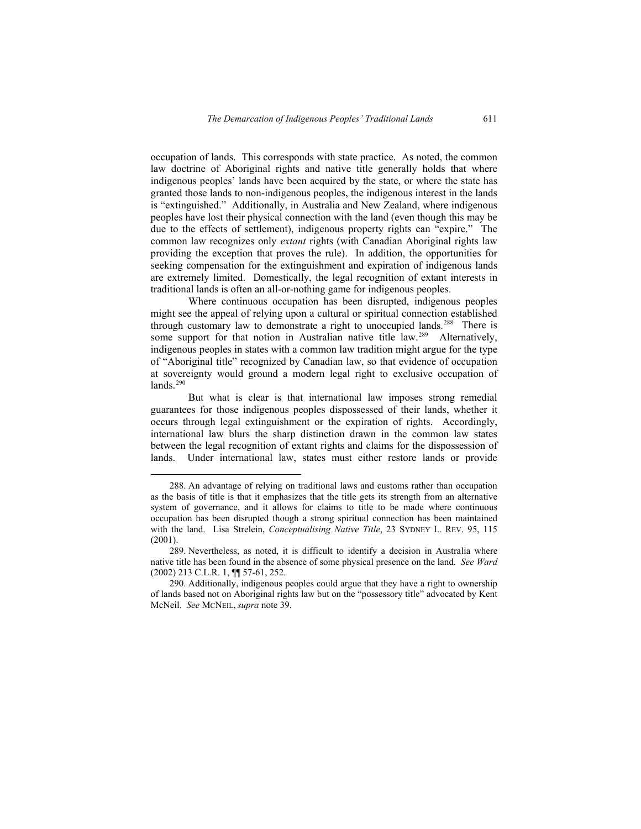occupation of lands. This corresponds with state practice. As noted, the common law doctrine of Aboriginal rights and native title generally holds that where indigenous peoples' lands have been acquired by the state, or where the state has granted those lands to non-indigenous peoples, the indigenous interest in the lands is "extinguished." Additionally, in Australia and New Zealand, where indigenous peoples have lost their physical connection with the land (even though this may be due to the effects of settlement), indigenous property rights can "expire." The common law recognizes only *extant* rights (with Canadian Aboriginal rights law providing the exception that proves the rule). In addition, the opportunities for seeking compensation for the extinguishment and expiration of indigenous lands are extremely limited. Domestically, the legal recognition of extant interests in traditional lands is often an all-or-nothing game for indigenous peoples.

Where continuous occupation has been disrupted, indigenous peoples might see the appeal of relying upon a cultural or spiritual connection established through customary law to demonstrate a right to unoccupied lands.<sup>[288](#page-68-0)</sup> There is some support for that notion in Australian native title law.<sup>[289](#page-68-1)</sup> Alternatively, indigenous peoples in states with a common law tradition might argue for the type of "Aboriginal title" recognized by Canadian law, so that evidence of occupation at sovereignty would ground a modern legal right to exclusive occupation of  $lands.<sup>290</sup>$  $lands.<sup>290</sup>$  $lands.<sup>290</sup>$ 

But what is clear is that international law imposes strong remedial guarantees for those indigenous peoples dispossessed of their lands, whether it occurs through legal extinguishment or the expiration of rights. Accordingly, international law blurs the sharp distinction drawn in the common law states between the legal recognition of extant rights and claims for the dispossession of lands. Under international law, states must either restore lands or provide

 <sup>288.</sup> An advantage of relying on traditional laws and customs rather than occupation as the basis of title is that it emphasizes that the title gets its strength from an alternative system of governance, and it allows for claims to title to be made where continuous occupation has been disrupted though a strong spiritual connection has been maintained with the land. Lisa Strelein, *Conceptualising Native Title*, 23 SYDNEY L. REV. 95, 115 (2001).

<span id="page-68-0"></span><sup>289.</sup> Nevertheless, as noted, it is difficult to identify a decision in Australia where native title has been found in the absence of some physical presence on the land. *See Ward* (2002) 213 C.L.R. 1, ¶¶ 57-61, 252.

<span id="page-68-2"></span><span id="page-68-1"></span><sup>290.</sup> Additionally, indigenous peoples could argue that they have a right to ownership of lands based not on Aboriginal rights law but on the "possessory title" advocated by Kent McNeil. *See* MCNEIL, *supra* note 39.